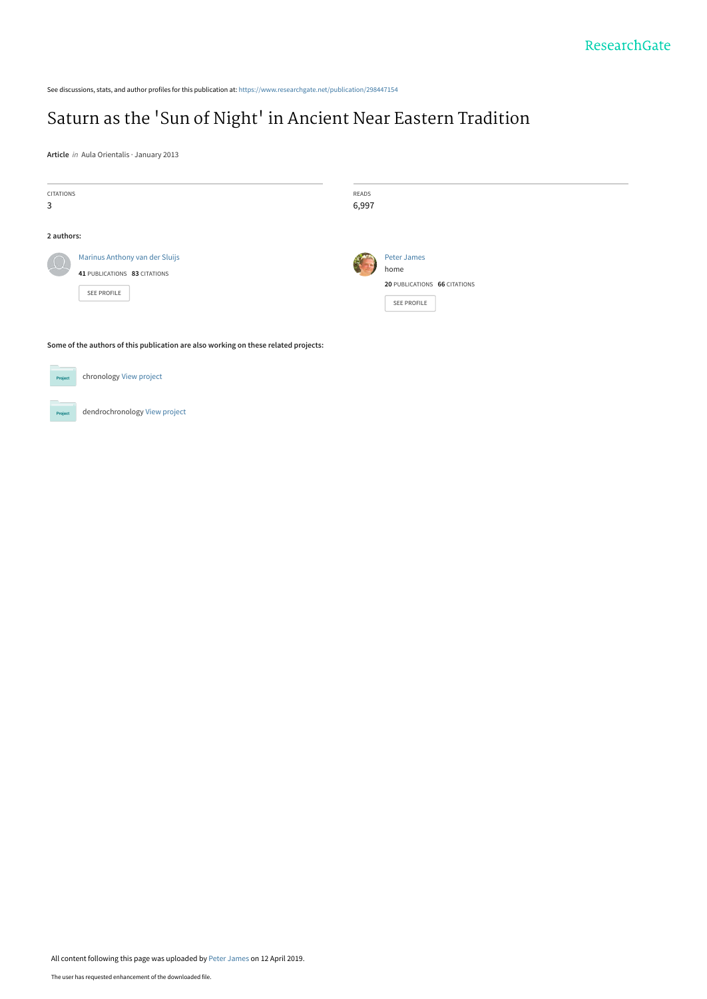See discussions, stats, and author profiles for this publication at: [https://www.researchgate.net/publication/298447154](https://www.researchgate.net/publication/298447154_Saturn_as_the_%27Sun_of_Night%27_in_Ancient_Near_Eastern_Tradition?enrichId=rgreq-8d1aade77ad6a047f68224ffb3067e53-XXX&enrichSource=Y292ZXJQYWdlOzI5ODQ0NzE1NDtBUzo3NDY4NjMwMDMxOTc0NDBAMTU1NTA3NzQyNDQwMQ%3D%3D&el=1_x_2&_esc=publicationCoverPdf)

# Saturn as the ['Sun of Night' in Ancient Near Eastern Tradition](https://www.researchgate.net/publication/298447154_Saturn_as_the_%27Sun_of_Night%27_in_Ancient_Near_Eastern_Tradition?enrichId=rgreq-8d1aade77ad6a047f68224ffb3067e53-XXX&enrichSource=Y292ZXJQYWdlOzI5ODQ0NzE1NDtBUzo3NDY4NjMwMDMxOTc0NDBAMTU1NTA3NzQyNDQwMQ%3D%3D&el=1_x_3&_esc=publicationCoverPdf)

**Article** in Aula Orientalis · January 2013

| <b>CITATIONS</b><br>3 |                                                                               | READS<br>6,997 |                                                                    |
|-----------------------|-------------------------------------------------------------------------------|----------------|--------------------------------------------------------------------|
| 2 authors:            |                                                                               |                |                                                                    |
| $\int$                | Marinus Anthony van der Sluijs<br>41 PUBLICATIONS 83 CITATIONS<br>SEE PROFILE |                | Peter James<br>home<br>20 PUBLICATIONS 66 CITATIONS<br>SEE PROFILE |

**Some of the authors of this publication are also working on these related projects:**

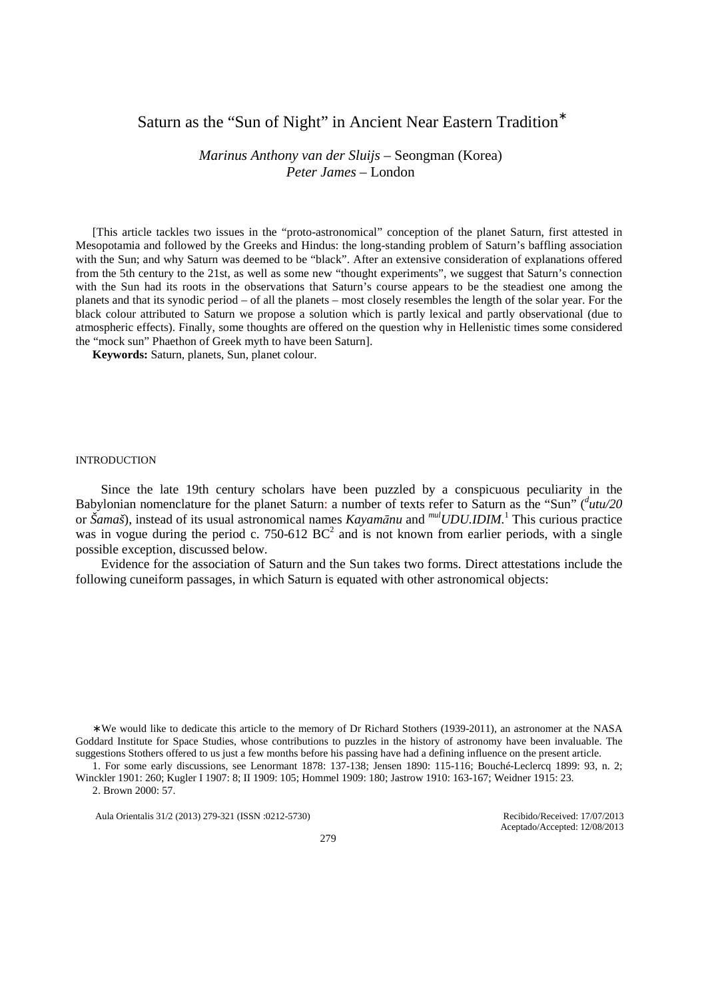# Saturn as the "Sun of Night" in Ancient Near Eastern Tradition<sup>\*</sup>

*Marinus Anthony van der Sluijs* – Seongman (Korea) *Peter James* – London

[This article tackles two issues in the "proto-astronomical" conception of the planet Saturn, first attested in Mesopotamia and followed by the Greeks and Hindus: the long-standing problem of Saturn's baffling association with the Sun; and why Saturn was deemed to be "black". After an extensive consideration of explanations offered from the 5th century to the 21st, as well as some new "thought experiments", we suggest that Saturn's connection with the Sun had its roots in the observations that Saturn's course appears to be the steadiest one among the planets and that its synodic period – of all the planets – most closely resembles the length of the solar year. For the black colour attributed to Saturn we propose a solution which is partly lexical and partly observational (due to atmospheric effects). Finally, some thoughts are offered on the question why in Hellenistic times some considered the "mock sun" Phaethon of Greek myth to have been Saturn].

**Keywords:** Saturn, planets, Sun, planet colour.

#### **INTRODUCTION**

Since the late 19th century scholars have been puzzled by a conspicuous peculiarity in the Babylonian nomenclature for the planet Saturn: a number of texts refer to Saturn as the "Sun" (<sup>*dutu/20*</sup> or *Šamaš*), instead of its usual astronomical names *Kayamānu* and *mulUDU.IDIM.*<sup>1</sup> This curious practice was in vogue during the period c. 750-612  $BC<sup>2</sup>$  and is not known from earlier periods, with a single possible exception, discussed below.

Evidence for the association of Saturn and the Sun takes two forms. Direct attestations include the following cuneiform passages, in which Saturn is equated with other astronomical objects:

∗ We would like to dedicate this article to the memory of Dr Richard Stothers (1939-2011), an astronomer at the NASA Goddard Institute for Space Studies, whose contributions to puzzles in the history of astronomy have been invaluable. The suggestions Stothers offered to us just a few months before his passing have had a defining influence on the present article.

1. For some early discussions, see Lenormant 1878: 137-138; Jensen 1890: 115-116; Bouché-Leclercq 1899: 93, n. 2; Winckler 1901: 260; Kugler I 1907: 8; II 1909: 105; Hommel 1909: 180; Jastrow 1910: 163-167; Weidner 1915: 23.

2. Brown 2000: 57.

Aula Orientalis 31/2 (2013) 279-321 (ISSN :0212-5730) Recibido/Received: 17/07/2013

Aceptado/Accepted: 12/08/2013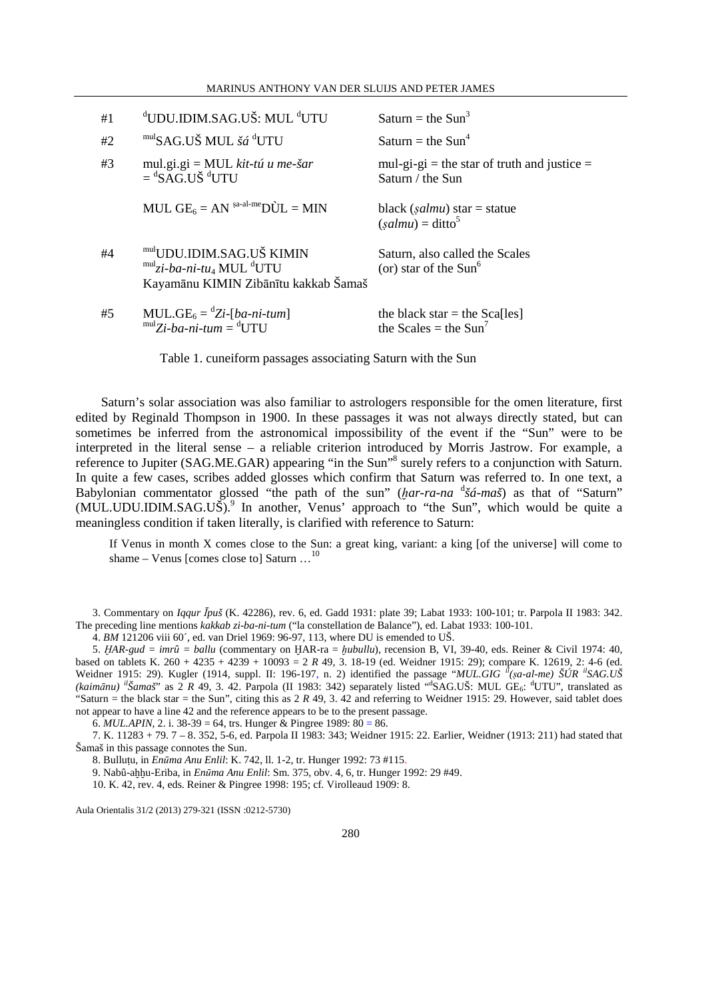| MARINUS ANTHONY VAN DER SLUIJS AND PETER JAMES |  |
|------------------------------------------------|--|
|------------------------------------------------|--|

| #1 | <sup>d</sup> UDU.IDIM.SAG.UŠ: MUL <sup>d</sup> UTU                                                                                  | Saturn = the Sun <sup>3</sup>                                   |
|----|-------------------------------------------------------------------------------------------------------------------------------------|-----------------------------------------------------------------|
| #2 | mulSAG.UŠ MUL šá <sup>d</sup> UTU                                                                                                   | Saturn = the $Sun4$                                             |
| #3 | mul.gi.gi = MUL kit-tú u me-šar<br>$=$ <sup>d</sup> SAG.UŠ <sup>d</sup> UTU                                                         | mul-gi-gi = the star of truth and justice =<br>Saturn / the Sun |
|    | MUL $GE_6 = AN$ sa-al-me $D\hat{U}L = MIN$                                                                                          | black (salmu) star = statue<br>$(salmu) = \text{ditto}^5$       |
| #4 | mulUDU.IDIM.SAG.UŠ KIMIN<br>$mul$ <sub>Zi-</sub> ba-ni-tu <sub>4</sub> MUL <sup>d</sup> UTU<br>Kayamānu KIMIN Zibānītu kakkab Šamaš | Saturn, also called the Scales<br>(or) star of the $Sun6$       |
| #5 | MUL.GE <sub>6</sub> = $^dZi$ -[ba-ni-tum]<br>$mul$ Zi-ba-ni-tum = <sup>d</sup> UTU                                                  | the black star = the Sca[les]<br>the Scales = the $Sun^7$       |

Table 1. cuneiform passages associating Saturn with the Sun

Saturn's solar association was also familiar to astrologers responsible for the omen literature, first edited by Reginald Thompson in 1900. In these passages it was not always directly stated, but can sometimes be inferred from the astronomical impossibility of the event if the "Sun" were to be interpreted in the literal sense – a reliable criterion introduced by Morris Jastrow. For example, a reference to Jupiter (SAG.ME.GAR) appearing "in the Sun"<sup>8</sup> surely refers to a conjunction with Saturn. In quite a few cases, scribes added glosses which confirm that Saturn was referred to. In one text, a Babylonian commentator glossed "the path of the sun" (*ḫar-ra-na*  d *šá-maš*) as that of "Saturn" (MUL.UDU.IDIM.SAG.UŠ).<sup>9</sup> In another, Venus' approach to "the Sun", which would be quite a meaningless condition if taken literally, is clarified with reference to Saturn:

If Venus in month X comes close to the Sun: a great king, variant: a king [of the universe] will come to shame – Venus [comes close to] Saturn ...<sup>10</sup>

3. Commentary on *Iqqur Īpuš* (K. 42286), rev. 6, ed. Gadd 1931: plate 39; Labat 1933: 100-101; tr. Parpola II 1983: 342. The preceding line mentions *kakkab zi-ba-ni-tum* ("la constellation de Balance"), ed. Labat 1933: 100-101.

4. *BM* 121206 viii 60´, ed. van Driel 1969: 96-97, 113, where DU is emended to UŠ.

5. *ḪAR-gud = imrû = ballu* (commentary on ḪAR-ra = *ḫubullu*), recension B, VI, 39-40, eds. Reiner & Civil 1974: 40, based on tablets K. 260 + 4235 + 4239 + 10093 = 2 *R* 49, 3. 18-19 (ed. Weidner 1915: 29); compare K. 12619, 2: 4-6 (ed. Weidner 1915: 29). Kugler (1914, suppl. II: 196-197, n. 2) identified the passage "*MUL.GIG il(ṣa-al-me) ŠÚR ilSAG.UŠ*  (kaimānu) <sup>il</sup>Šamaš" as 2 R 49, 3. 42. Parpola (II 1983: 342) separately listed "SAG.UŠ: MUL GE<sub>6</sub>: <sup>d</sup>UTU", translated as "Saturn = the black star = the Sun", citing this as 2 *R* 49, 3. 42 and referring to Weidner 1915: 29. However, said tablet does not appear to have a line 42 and the reference appears to be to the present passage.

6.  $MUL.APIN$ , 2. i. 38-39 = 64, trs. Hunger & Pingree 1989: 80 = 86.

7. K. 11283 + 79. 7 – 8. 352, 5-6, ed. Parpola II 1983: 343; Weidner 1915: 22. Earlier, Weidner (1913: 211) had stated that Šamaš in this passage connotes the Sun.

8. Bulluṭu, in *Enūma Anu Enlil*: K. 742, ll. 1-2, tr. Hunger 1992: 73 #115.

9. Nabû-aḫḫu-Eriba, in *Enūma Anu Enlil*: Sm. 375, obv. 4, 6, tr. Hunger 1992: 29 #49.

10. K. 42, rev. 4, eds. Reiner & Pingree 1998: 195; cf. Virolleaud 1909: 8.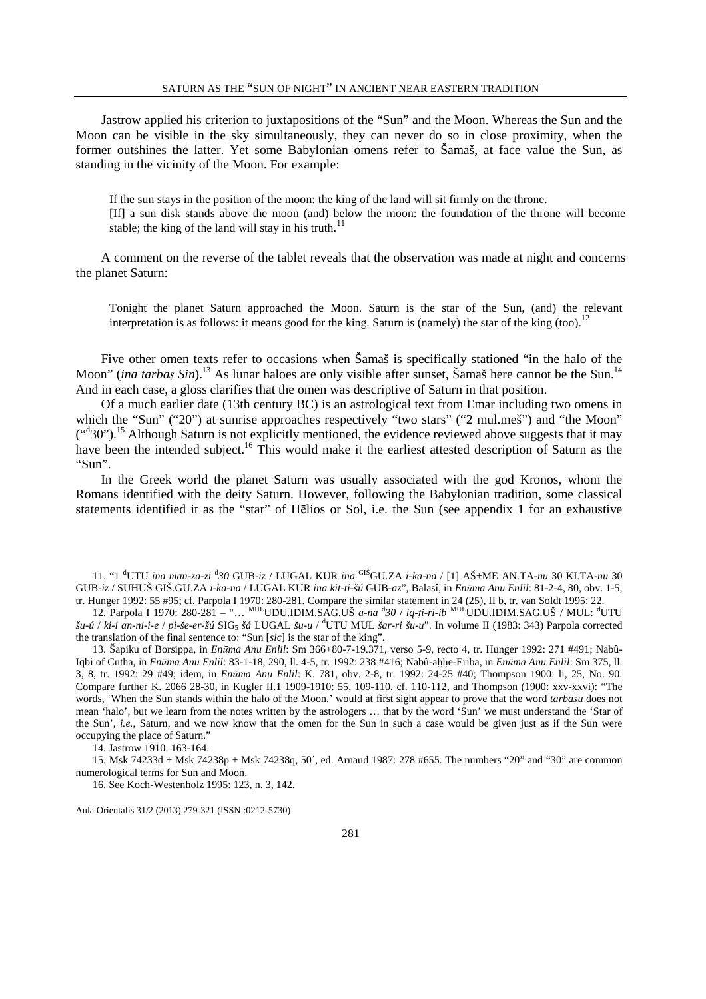Jastrow applied his criterion to juxtapositions of the "Sun" and the Moon. Whereas the Sun and the Moon can be visible in the sky simultaneously, they can never do so in close proximity, when the former outshines the latter. Yet some Babylonian omens refer to Šamaš, at face value the Sun, as standing in the vicinity of the Moon. For example:

If the sun stays in the position of the moon: the king of the land will sit firmly on the throne. [If] a sun disk stands above the moon (and) below the moon: the foundation of the throne will become stable; the king of the land will stay in his truth.<sup>11</sup>

A comment on the reverse of the tablet reveals that the observation was made at night and concerns the planet Saturn:

Tonight the planet Saturn approached the Moon. Saturn is the star of the Sun, (and) the relevant interpretation is as follows: it means good for the king. Saturn is (namely) the star of the king (too).<sup>12</sup>

Five other omen texts refer to occasions when Šamaš is specifically stationed "in the halo of the Moon" (*ina tarbas Sin*).<sup>13</sup> As lunar haloes are only visible after sunset, Šamaš here cannot be the Sun.<sup>14</sup> And in each case, a gloss clarifies that the omen was descriptive of Saturn in that position.

Of a much earlier date (13th century BC) is an astrological text from Emar including two omens in which the "Sun" ("20") at sunrise approaches respectively "two stars" ("2 mul.mes") and "the Moon" ("30").<sup>15</sup> Although Saturn is not explicitly mentioned, the evidence reviewed above suggests that it may have been the intended subject.<sup>16</sup> This would make it the earliest attested description of Saturn as the "Sun".

In the Greek world the planet Saturn was usually associated with the god Kronos, whom the Romans identified with the deity Saturn. However, following the Babylonian tradition, some classical statements identified it as the "star" of Hēlios or Sol, i.e. the Sun (see appendix 1 for an exhaustive

11. "1 <sup>d</sup>UTU *ina man-za-zi* <sup>d</sup> *30* GUB-*iz* / LUGAL KUR *ina* GIŠGU.ZA *i-ka-na* / [1] AŠ+ME AN.TA-*nu* 30 KI.TA-*nu* 30 GUB-*iz* / SUHUŠ GIŠ.GU.ZA *i-ka-na* / LUGAL KUR *ina kit-ti-šú* GUB*-az*", Balasî, in *Enūma Anu Enlil*: 81-2-4, 80, obv. 1-5, tr. Hunger 1992: 55 #95; cf. Parpola I 1970: 280-281. Compare the similar statement in 24 (25), II b, tr. van Soldt 1995: 22.

12. Parpola I 1970: 280-281 – "… MULUDU.IDIM.SAG.UŠ *a-na* <sup>d</sup> *30* / *iq-ṭi-ri-ib* MULUDU.IDIM.SAG.UŠ / MUL: <sup>d</sup>UTU *šu-ú* / *ki-i an-ni-i-e* / *pi-še-er-šú* SIG<sup>5</sup> *šá* LUGAL *šu-u* / <sup>d</sup>UTU MUL *šar-ri šu-u*". In volume II (1983: 343) Parpola corrected the translation of the final sentence to: "Sun [*sic*] is the star of the king".

13. Šapiku of Borsippa, in *Enūma Anu Enlil*: Sm 366+80-7-19.371, verso 5-9, recto 4, tr. Hunger 1992: 271 #491; Nabû-Iqbi of Cutha, in *Enūma Anu Enlil*: 83-1-18, 290, ll. 4-5, tr. 1992: 238 #416; Nabû-aḫḫe-Eriba, in *Enūma Anu Enlil*: Sm 375, ll. 3, 8, tr. 1992: 29 #49; idem, in *Enūma Anu Enlil*: K. 781, obv. 2-8, tr. 1992: 24-25 #40; Thompson 1900: li, 25, No. 90. Compare further K. 2066 28-30, in Kugler II.1 1909-1910: 55, 109-110, cf. 110-112, and Thompson (1900: xxv-xxvi): "The words, 'When the Sun stands within the halo of the Moon.' would at first sight appear to prove that the word *tarbaṣu* does not mean 'halo', but we learn from the notes written by the astrologers … that by the word 'Sun' we must understand the 'Star of the Sun', *i.e.*, Saturn, and we now know that the omen for the Sun in such a case would be given just as if the Sun were occupying the place of Saturn."

14. Jastrow 1910: 163-164.

15. Msk 74233d + Msk 74238p + Msk 74238q, 50´, ed. Arnaud 1987: 278 #655. The numbers "20" and "30" are common numerological terms for Sun and Moon.

16. See Koch-Westenholz 1995: 123, n. 3, 142.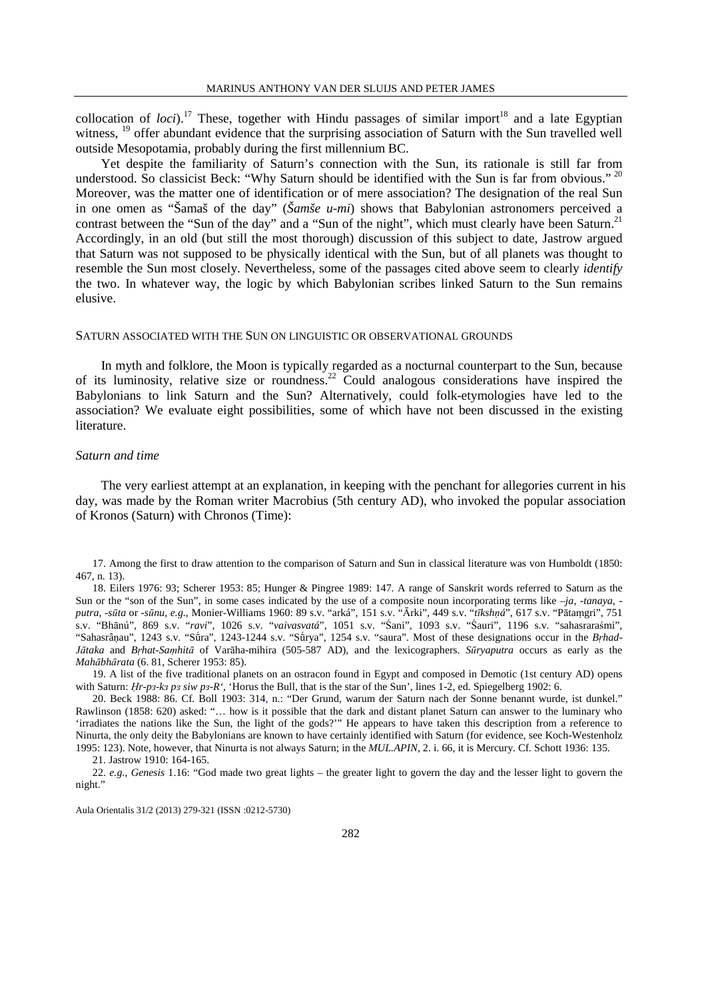collocation of *loci*).<sup>17</sup> These, together with Hindu passages of similar import<sup>18</sup> and a late Egyptian witness, <sup>19</sup> offer abundant evidence that the surprising association of Saturn with the Sun travelled well outside Mesopotamia, probably during the first millennium BC.

Yet despite the familiarity of Saturn's connection with the Sun, its rationale is still far from understood. So classicist Beck: "Why Saturn should be identified with the Sun is far from obvious." 20 Moreover, was the matter one of identification or of mere association? The designation of the real Sun in one omen as "Šamaš of the day" (*Šamše u-mi*) shows that Babylonian astronomers perceived a contrast between the "Sun of the day" and a "Sun of the night", which must clearly have been Saturn.<sup>21</sup> Accordingly, in an old (but still the most thorough) discussion of this subject to date, Jastrow argued that Saturn was not supposed to be physically identical with the Sun, but of all planets was thought to resemble the Sun most closely. Nevertheless, some of the passages cited above seem to clearly *identify*  the two. In whatever way, the logic by which Babylonian scribes linked Saturn to the Sun remains elusive.

#### SATURN ASSOCIATED WITH THE SUN ON LINGUISTIC OR OBSERVATIONAL GROUNDS

In myth and folklore, the Moon is typically regarded as a nocturnal counterpart to the Sun, because of its luminosity, relative size or roundness.<sup>22</sup> Could analogous considerations have inspired the Babylonians to link Saturn and the Sun? Alternatively, could folk-etymologies have led to the association? We evaluate eight possibilities, some of which have not been discussed in the existing literature.

#### *Saturn and time*

The very earliest attempt at an explanation, in keeping with the penchant for allegories current in his day, was made by the Roman writer Macrobius (5th century AD), who invoked the popular association of Kronos (Saturn) with Chronos (Time):

17. Among the first to draw attention to the comparison of Saturn and Sun in classical literature was von Humboldt (1850: 467, n. 13).

18. Eilers 1976: 93; Scherer 1953: 85; Hunger & Pingree 1989: 147. A range of Sanskrit words referred to Saturn as the Sun or the "son of the Sun", in some cases indicated by the use of a composite noun incorporating terms like *–ja*, *-tanaya*,  *putra*, *-sūta* or *-sūnu*, *e.g.*, Monier-Williams 1960: 89 s.v. "arká", 151 s.v. "Ārki", 449 s.v. "*tīkshṇá*", 617 s.v. "Pātaṃgri", 751 s.v. "Bhānú", 869 s.v. "*ravi*", 1026 s.v. "*vaivasvatá*", 1051 s.v. "Śani", 1093 s.v. "Śauri", 1196 s.v. "sahasraraśmi", "Sahasrâṇau", 1243 s.v. "Sū́ra", 1243-1244 s.v. "Sū́rya", 1254 s.v. "saura". Most of these designations occur in the *Bṛhad-Jātaka* and *Bṛhat-Saṃhitā* of Varāha-mihira (505-587 AD), and the lexicographers. *Sūryaputra* occurs as early as the *Mahābhārata* (6. 81, Scherer 1953: 85).

19. A list of the five traditional planets on an ostracon found in Egypt and composed in Demotic (1st century AD) opens with Saturn: *Hr-p*<sup>3</sup>-k<sup>3</sup> *p*<sup>3</sup> *siw p*<sup>3</sup>-R', 'Horus the Bull, that is the star of the Sun', lines 1-2, ed. Spiegelberg 1902: 6.

20. Beck 1988: 86. Cf. Boll 1903: 314, n.: "Der Grund, warum der Saturn nach der Sonne benannt wurde, ist dunkel." Rawlinson (1858: 620) asked: "… how is it possible that the dark and distant planet Saturn can answer to the luminary who 'irradiates the nations like the Sun, the light of the gods?'" He appears to have taken this description from a reference to Ninurta, the only deity the Babylonians are known to have certainly identified with Saturn (for evidence, see Koch-Westenholz 1995: 123). Note, however, that Ninurta is not always Saturn; in the *MUL.APIN*, 2. i. 66, it is Mercury. Cf. Schott 1936: 135.

21. Jastrow 1910: 164-165.

<sup>22.</sup> *e.g.*, *Genesis* 1.16: "God made two great lights – the greater light to govern the day and the lesser light to govern the night."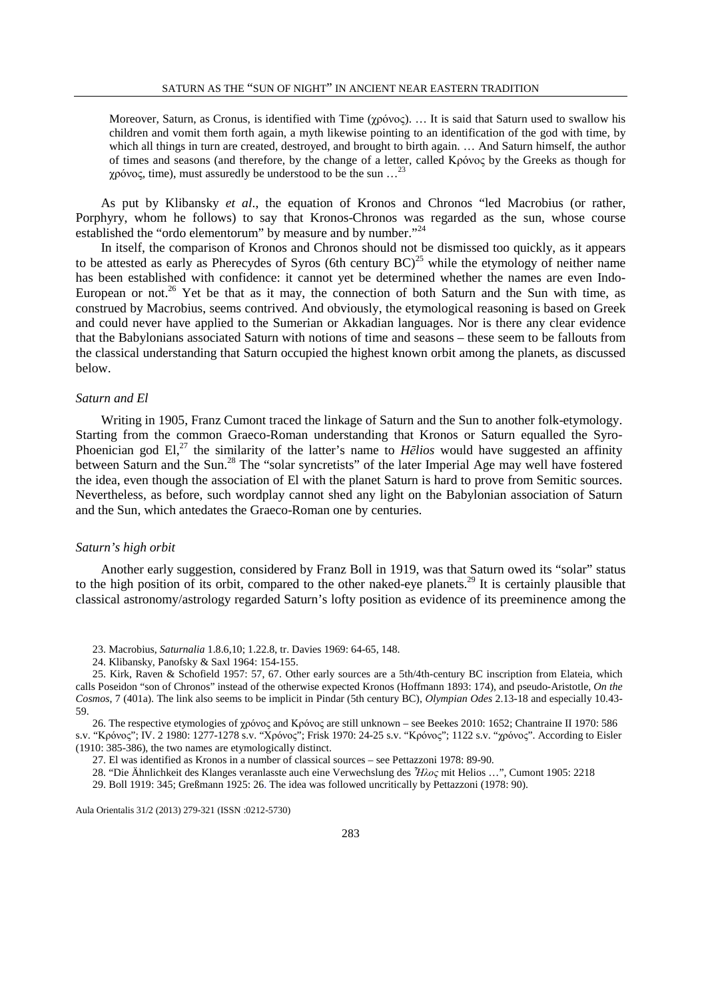Moreover, Saturn, as Cronus, is identified with Time (χρόνος). … It is said that Saturn used to swallow his children and vomit them forth again, a myth likewise pointing to an identification of the god with time, by which all things in turn are created, destroyed, and brought to birth again. … And Saturn himself, the author of times and seasons (and therefore, by the change of a letter, called Κρόνος by the Greeks as though for χρόνος, time), must assuredly be understood to be the sun …<sup>23</sup>

As put by Klibansky *et al*., the equation of Kronos and Chronos "led Macrobius (or rather, Porphyry, whom he follows) to say that Kronos-Chronos was regarded as the sun, whose course established the "ordo elementorum" by measure and by number."<sup>24</sup>

In itself, the comparison of Kronos and Chronos should not be dismissed too quickly, as it appears to be attested as early as Pherecydes of Syros (6th century  $BC)^{25}$  while the etymology of neither name has been established with confidence: it cannot yet be determined whether the names are even Indo-European or not.<sup>26</sup> Yet be that as it may, the connection of both Saturn and the Sun with time, as construed by Macrobius, seems contrived. And obviously, the etymological reasoning is based on Greek and could never have applied to the Sumerian or Akkadian languages. Nor is there any clear evidence that the Babylonians associated Saturn with notions of time and seasons – these seem to be fallouts from the classical understanding that Saturn occupied the highest known orbit among the planets, as discussed below.

### *Saturn and El*

Writing in 1905, Franz Cumont traced the linkage of Saturn and the Sun to another folk-etymology. Starting from the common Graeco-Roman understanding that Kronos or Saturn equalled the Syro-Phoenician god El,<sup>27</sup> the similarity of the latter's name to *Hēlios* would have suggested an affinity between Saturn and the Sun.<sup>28</sup> The "solar syncretists" of the later Imperial Age may well have fostered the idea, even though the association of El with the planet Saturn is hard to prove from Semitic sources. Nevertheless, as before, such wordplay cannot shed any light on the Babylonian association of Saturn and the Sun, which antedates the Graeco-Roman one by centuries.

#### *Saturn's high orbit*

Another early suggestion, considered by Franz Boll in 1919, was that Saturn owed its "solar" status to the high position of its orbit, compared to the other naked-eye planets.<sup>29</sup> It is certainly plausible that classical astronomy/astrology regarded Saturn's lofty position as evidence of its preeminence among the

23. Macrobius, *Saturnalia* 1.8.6,10; 1.22.8, tr. Davies 1969: 64-65, 148.

24. Klibansky, Panofsky & Saxl 1964: 154-155.

25. Kirk, Raven & Schofield 1957: 57, 67. Other early sources are a 5th/4th-century BC inscription from Elateia, which calls Poseidon "son of Chronos" instead of the otherwise expected Kronos (Hoffmann 1893: 174), and pseudo-Aristotle, *On the Cosmos*, 7 (401a). The link also seems to be implicit in Pindar (5th century BC), *Olympian Odes* 2.13-18 and especially 10.43- 59.

26. The respective etymologies of χρόνος and Κρόνος are still unknown – see Beekes 2010: 1652; Chantraine II 1970: 586 s.v. "Κρόνος"; IV. 2 1980: 1277-1278 s.v. "Χρόνος"; Frisk 1970: 24-25 s.v. "Κρόνος"; 1122 s.v. "χρόνος". According to Eisler (1910: 385-386), the two names are etymologically distinct.

27. El was identified as Kronos in a number of classical sources – see Pettazzoni 1978: 89-90.

28. "Die Ähnlichkeit des Klanges veranlasste auch eine Verwechslung des *Ἦλος* mit Helios …", Cumont 1905: 2218

29. Boll 1919: 345; Greßmann 1925: 26. The idea was followed uncritically by Pettazzoni (1978: 90).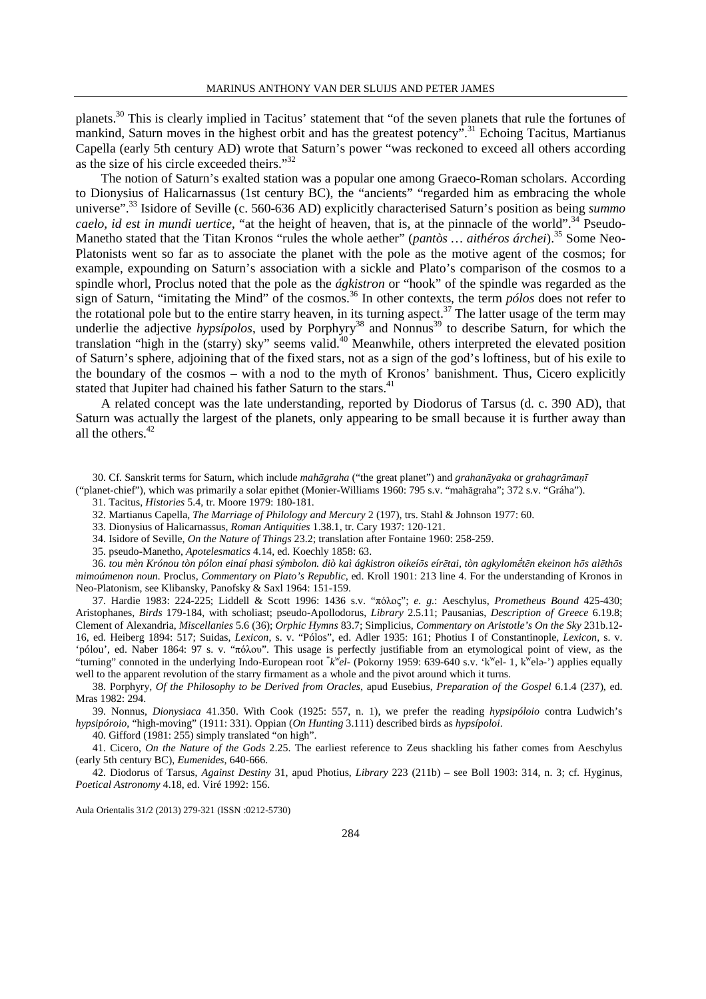planets.<sup>30</sup> This is clearly implied in Tacitus' statement that "of the seven planets that rule the fortunes of mankind, Saturn moves in the highest orbit and has the greatest potency".<sup>31</sup> Echoing Tacitus, Martianus Capella (early 5th century AD) wrote that Saturn's power "was reckoned to exceed all others according as the size of his circle exceeded theirs."<sup>32</sup>

The notion of Saturn's exalted station was a popular one among Graeco-Roman scholars. According to Dionysius of Halicarnassus (1st century BC), the "ancients" "regarded him as embracing the whole universe"<sup>33</sup> Isidore of Seville (c. 560-636 AD) explicitly characterised Saturn's position as being *summo caelo, id est in mundi uertice*, "at the height of heaven, that is, at the pinnacle of the world".<sup>34</sup> Pseudo-Manetho stated that the Titan Kronos "rules the whole aether" (*pantòs ... aithéros árchei*).<sup>35</sup> Some Neo-Platonists went so far as to associate the planet with the pole as the motive agent of the cosmos; for example, expounding on Saturn's association with a sickle and Plato's comparison of the cosmos to a spindle whorl, Proclus noted that the pole as the *ágkistron* or "hook" of the spindle was regarded as the sign of Saturn, "imitating the Mind" of the cosmos.<sup>36</sup> In other contexts, the term *pólos* does not refer to the rotational pole but to the entire starry heaven, in its turning aspect.<sup>37</sup> The latter usage of the term may underlie the adjective *hypsípolos*, used by Porphyry<sup>38</sup> and Nonnus<sup>39</sup> to describe Saturn, for which the translation "high in the (starry) sky" seems valid.<sup>40</sup> Meanwhile, others interpreted the elevated position of Saturn's sphere, adjoining that of the fixed stars, not as a sign of the god's loftiness, but of his exile to the boundary of the cosmos – with a nod to the myth of Kronos' banishment. Thus, Cicero explicitly stated that Jupiter had chained his father Saturn to the stars.<sup>41</sup>

A related concept was the late understanding, reported by Diodorus of Tarsus (d. c. 390 AD), that Saturn was actually the largest of the planets, only appearing to be small because it is further away than all the others. $42$ 

30. Cf. Sanskrit terms for Saturn, which include *mahāgraha* ("the great planet") and *grahanāyaka* or *grahagrāmaṇī* ("planet-chief"), which was primarily a solar epithet (Monier-Williams 1960: 795 s.v. "mahāgraha"; 372 s.v. "Gráha").

31. Tacitus, *Histories* 5.4, tr. Moore 1979: 180-181.

32. Martianus Capella, *The Marriage of Philology and Mercury* 2 (197), trs. Stahl & Johnson 1977: 60.

33. Dionysius of Halicarnassus, *Roman Antiquities* 1.38.1, tr. Cary 1937: 120-121.

34. Isidore of Seville, *On the Nature of Things* 23.2; translation after Fontaine 1960: 258-259.

35. pseudo-Manetho, *Apotelesmatics* 4.14, ed. Koechly 1858: 63.

36. tou mèn Krónou tòn pólon einaí phasi sýmbolon. diò kaì ágkistron oikeíōs eírētai, tòn agkylométēn ekeinon hōs alēthōs *mimoúmenon noun.* Proclus, *Commentary on Plato's Republic*, ed. Kroll 1901: 213 line 4. For the understanding of Kronos in Neo-Platonism, see Klibansky, Panofsky & Saxl 1964: 151-159.

37. Hardie 1983: 224-225; Liddell & Scott 1996: 1436 s.v. "πόλος"; *e. g.*: Aeschylus, *Prometheus Bound* 425-430; Aristophanes, *Birds* 179-184, with scholiast; pseudo-Apollodorus, *Library* 2.5.11; Pausanias, *Description of Greece* 6.19.8; Clement of Alexandria, *Miscellanies* 5.6 (36); *Orphic Hymns* 83.7; Simplicius, *Commentary on Aristotle's On the Sky* 231b.12- 16, ed. Heiberg 1894: 517; Suidas, *Lexicon*, s. v. "Pólos", ed. Adler 1935: 161; Photius I of Constantinople, *Lexicon*, s. v. 'pólou', ed. Naber 1864: 97 s. v. "πόλου". This usage is perfectly justifiable from an etymological point of view, as the "turning" connoted in the underlying Indo-European root  $^*k^{\bar{w}}el$ - (Pokorny 1959: 639-640 s.v. 'k<sup>w</sup>el- 1, k<sup>w</sup>el-') applies equally well to the apparent revolution of the starry firmament as a whole and the pivot around which it turns.

38. Porphyry, *Of the Philosophy to be Derived from Oracles*, apud Eusebius, *Preparation of the Gospel* 6.1.4 (237), ed. Mras 1982: 294.

39. Nonnus, *Dionysiaca* 41.350. With Cook (1925: 557, n. 1), we prefer the reading *hypsipóloio* contra Ludwich's *hypsipóroio*, "high-moving" (1911: 331). Oppian (*On Hunting* 3.111) described birds as *hypsípoloi*.

40. Gifford (1981: 255) simply translated "on high".

41. Cicero, *On the Nature of the Gods* 2.25. The earliest reference to Zeus shackling his father comes from Aeschylus (early 5th century BC), *Eumenides*, 640-666.

42. Diodorus of Tarsus, *Against Destiny* 31, apud Photius, *Library* 223 (211b) – see Boll 1903: 314, n. 3; cf. Hyginus, *Poetical Astronomy* 4.18, ed. Viré 1992: 156.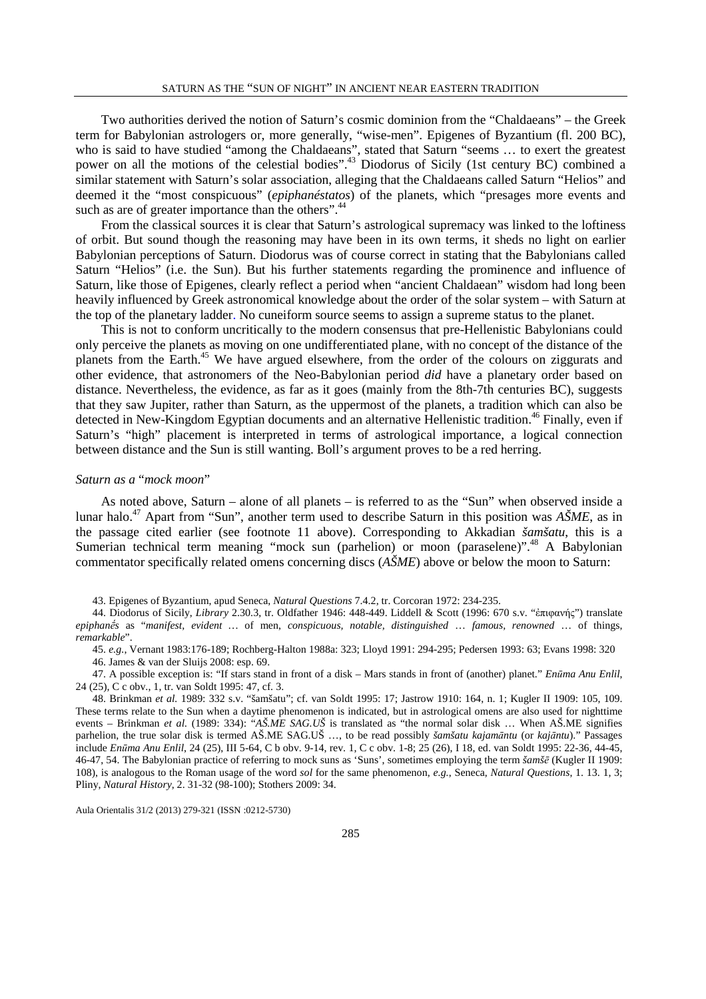Two authorities derived the notion of Saturn's cosmic dominion from the "Chaldaeans" – the Greek term for Babylonian astrologers or, more generally, "wise-men". Epigenes of Byzantium (fl. 200 BC), who is said to have studied "among the Chaldaeans", stated that Saturn "seems ... to exert the greatest power on all the motions of the celestial bodies".<sup>43</sup> Diodorus of Sicily (1st century BC) combined a similar statement with Saturn's solar association, alleging that the Chaldaeans called Saturn "Helios" and deemed it the "most conspicuous" (*epiphanéstatos*) of the planets, which "presages more events and such as are of greater importance than the others".<sup>44</sup>

From the classical sources it is clear that Saturn's astrological supremacy was linked to the loftiness of orbit. But sound though the reasoning may have been in its own terms, it sheds no light on earlier Babylonian perceptions of Saturn. Diodorus was of course correct in stating that the Babylonians called Saturn "Helios" (i.e. the Sun). But his further statements regarding the prominence and influence of Saturn, like those of Epigenes, clearly reflect a period when "ancient Chaldaean" wisdom had long been heavily influenced by Greek astronomical knowledge about the order of the solar system – with Saturn at the top of the planetary ladder. No cuneiform source seems to assign a supreme status to the planet.

This is not to conform uncritically to the modern consensus that pre-Hellenistic Babylonians could only perceive the planets as moving on one undifferentiated plane, with no concept of the distance of the planets from the Earth.<sup>45</sup> We have argued elsewhere, from the order of the colours on ziggurats and other evidence, that astronomers of the Neo-Babylonian period *did* have a planetary order based on distance. Nevertheless, the evidence, as far as it goes (mainly from the 8th-7th centuries BC), suggests that they saw Jupiter, rather than Saturn, as the uppermost of the planets, a tradition which can also be detected in New-Kingdom Egyptian documents and an alternative Hellenistic tradition.<sup>46</sup> Finally, even if Saturn's "high" placement is interpreted in terms of astrological importance, a logical connection between distance and the Sun is still wanting. Boll's argument proves to be a red herring.

#### *Saturn as a* "*mock moon*"

As noted above, Saturn – alone of all planets – is referred to as the "Sun" when observed inside a lunar halo.<sup>47</sup> Apart from "Sun", another term used to describe Saturn in this position was *AŠME*, as in the passage cited earlier (see footnote 11 above). Corresponding to Akkadian *šamšatu*, this is a Sumerian technical term meaning "mock sun (parhelion) or moon (paraselene)".<sup>48</sup> A Babylonian commentator specifically related omens concerning discs (*AŠME*) above or below the moon to Saturn:

43. Epigenes of Byzantium, apud Seneca, *Natural Questions* 7.4.2, tr. Corcoran 1972: 234-235.

44. Diodorus of Sicily, *Library* 2.30.3, tr. Oldfather 1946: 448-449. Liddell & Scott (1996: 670 s.v. "ἐπιφανής") translate *epiphanḗs* as "*manifest, evident …* of men, *conspicuous, notable, distinguished* … *famous, renowned* … of things, *remarkable*".

45. *e.g.*, Vernant 1983:176-189; Rochberg-Halton 1988a: 323; Lloyd 1991: 294-295; Pedersen 1993: 63; Evans 1998: 320 46. James & van der Sluijs 2008: esp. 69.

47. A possible exception is: "If stars stand in front of a disk – Mars stands in front of (another) planet." *Enūma Anu Enlil*, 24 (25), C c obv., 1, tr. van Soldt 1995: 47, cf. 3.

48. Brinkman *et al.* 1989: 332 s.v. "šamšatu"; cf. van Soldt 1995: 17; Jastrow 1910: 164, n. 1; Kugler II 1909: 105, 109. These terms relate to the Sun when a daytime phenomenon is indicated, but in astrological omens are also used for nighttime events – Brinkman *et al.* (1989: 334): "*AŠ.ME SAG.UŠ* is translated as "the normal solar disk … When AŠ.ME signifies parhelion, the true solar disk is termed AŠ.ME SAG.UŠ …, to be read possibly *šamšatu kajamāntu* (or *kajāntu*)." Passages include *Enūma Anu Enlil*, 24 (25), III 5-64, C b obv. 9-14, rev. 1, C c obv. 1-8; 25 (26), I 18, ed. van Soldt 1995: 22-36, 44-45, 46-47, 54. The Babylonian practice of referring to mock suns as 'Suns', sometimes employing the term *šamšē* (Kugler II 1909: 108), is analogous to the Roman usage of the word *sol* for the same phenomenon, *e.g.*, Seneca, *Natural Questions*, 1. 13. 1, 3; Pliny, *Natural History*, 2. 31-32 (98-100); Stothers 2009: 34.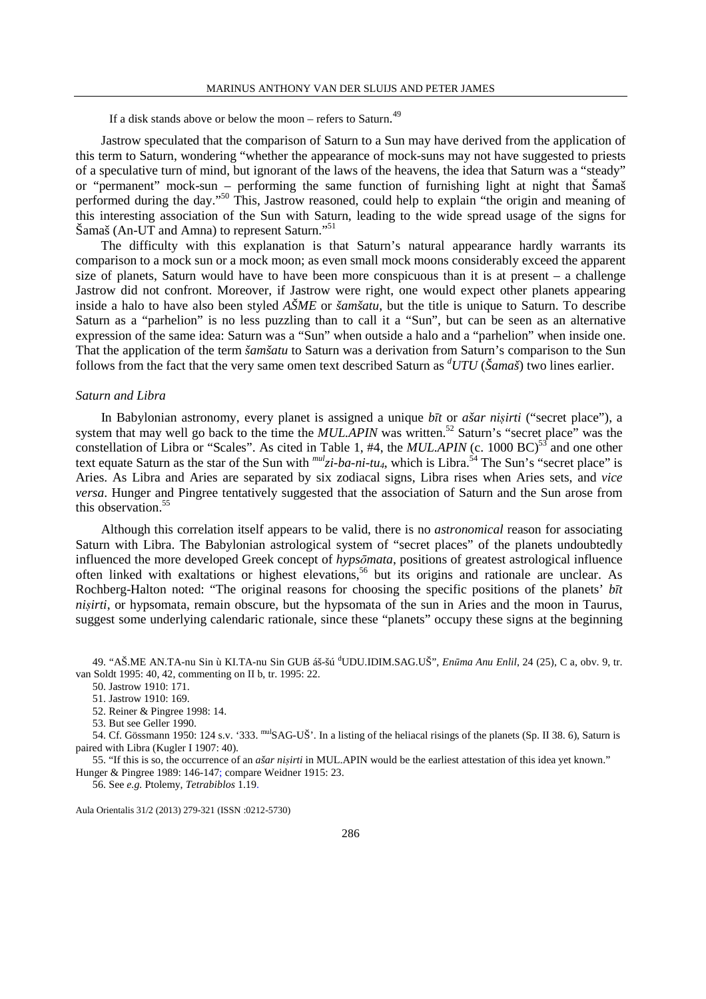If a disk stands above or below the moon – refers to Saturn.<sup>49</sup>

Jastrow speculated that the comparison of Saturn to a Sun may have derived from the application of this term to Saturn, wondering "whether the appearance of mock-suns may not have suggested to priests of a speculative turn of mind, but ignorant of the laws of the heavens, the idea that Saturn was a "steady" or "permanent" mock-sun – performing the same function of furnishing light at night that Šamaš performed during the day."<sup>50</sup> This, Jastrow reasoned, could help to explain "the origin and meaning of this interesting association of the Sun with Saturn, leading to the wide spread usage of the signs for Šamaš (An-UT and Amna) to represent Saturn."<sup>51</sup>

The difficulty with this explanation is that Saturn's natural appearance hardly warrants its comparison to a mock sun or a mock moon; as even small mock moons considerably exceed the apparent size of planets, Saturn would have to have been more conspicuous than it is at present – a challenge Jastrow did not confront. Moreover, if Jastrow were right, one would expect other planets appearing inside a halo to have also been styled *AŠME* or *šamšatu*, but the title is unique to Saturn. To describe Saturn as a "parhelion" is no less puzzling than to call it a "Sun", but can be seen as an alternative expression of the same idea: Saturn was a "Sun" when outside a halo and a "parhelion" when inside one. That the application of the term *šamšatu* to Saturn was a derivation from Saturn's comparison to the Sun follows from the fact that the very same omen text described Saturn as *<sup>d</sup>UTU* (*Šamaš*) two lines earlier.

### *Saturn and Libra*

In Babylonian astronomy, every planet is assigned a unique *bīt* or *ašar niṣirti* ("secret place"), a system that may well go back to the time the *MUL.APIN* was written.<sup>52</sup> Saturn's "secret place" was the constellation of Libra or "Scales". As cited in Table 1,  $#4$ , the  $MULAPIN$  (c. 1000 BC)<sup>53</sup> and one other text equate Saturn as the star of the Sun with  $^{mul}z\bar{i}$ -ba-ni-tu<sub>4</sub>, which is Libra.<sup>54</sup> The Sun's "secret place" is Aries. As Libra and Aries are separated by six zodiacal signs, Libra rises when Aries sets, and *vice versa*. Hunger and Pingree tentatively suggested that the association of Saturn and the Sun arose from this observation.<sup>55</sup>

Although this correlation itself appears to be valid, there is no *astronomical* reason for associating Saturn with Libra. The Babylonian astrological system of "secret places" of the planets undoubtedly influenced the more developed Greek concept of *hypsōmata*, positions of greatest astrological influence often linked with exaltations or highest elevations, <sup>56</sup> but its origins and rationale are unclear. As Rochberg-Halton noted: "The original reasons for choosing the specific positions of the planets' *bīt nisirti*, or hypsomata, remain obscure, but the hypsomata of the sun in Aries and the moon in Taurus, suggest some underlying calendaric rationale, since these "planets" occupy these signs at the beginning

49. "AŠ.ME AN.TA-nu Sin ù KI.TA-nu Sin GUB áš-šú <sup>d</sup>UDU.IDIM.SAG.UŠ", *Enūma Anu Enlil*, 24 (25), C a, obv. 9, tr. van Soldt 1995: 40, 42, commenting on II b, tr. 1995: 22.

50. Jastrow 1910: 171.

51. Jastrow 1910: 169.

52. Reiner & Pingree 1998: 14.

53. But see Geller 1990.

54. Cf. Gössmann 1950: 124 s.v. '333. mulSAG-UŠ'. In a listing of the heliacal risings of the planets (Sp. II 38. 6), Saturn is paired with Libra (Kugler I 1907: 40).

55. "If this is so, the occurrence of an *ašar niṣirti* in MUL.APIN would be the earliest attestation of this idea yet known." Hunger & Pingree 1989: 146-147; compare Weidner 1915: 23.

56. See *e.g.* Ptolemy, *Tetrabiblos* 1.19.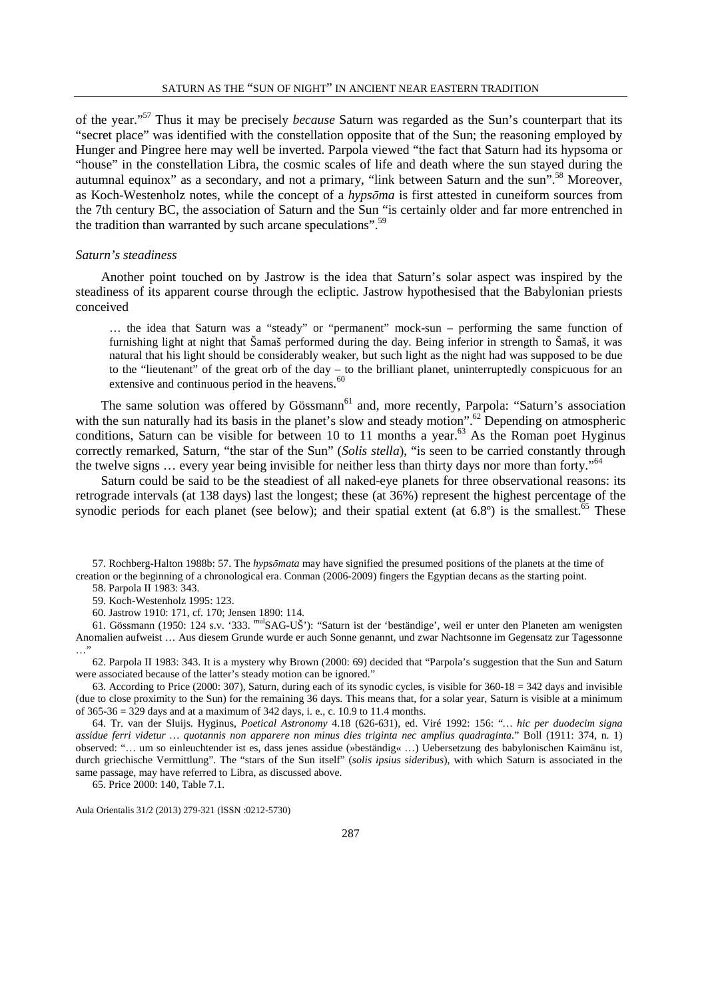of the year."<sup>57</sup> Thus it may be precisely *because* Saturn was regarded as the Sun's counterpart that its "secret place" was identified with the constellation opposite that of the Sun; the reasoning employed by Hunger and Pingree here may well be inverted. Parpola viewed "the fact that Saturn had its hypsoma or "house" in the constellation Libra, the cosmic scales of life and death where the sun stayed during the autumnal equinox" as a secondary, and not a primary, "link between Saturn and the sun".<sup>58</sup> Moreover, as Koch-Westenholz notes, while the concept of a *hypsōma* is first attested in cuneiform sources from the 7th century BC, the association of Saturn and the Sun "is certainly older and far more entrenched in the tradition than warranted by such arcane speculations".<sup>59</sup>

### *Saturn's steadiness*

Another point touched on by Jastrow is the idea that Saturn's solar aspect was inspired by the steadiness of its apparent course through the ecliptic. Jastrow hypothesised that the Babylonian priests conceived

… the idea that Saturn was a "steady" or "permanent" mock-sun – performing the same function of furnishing light at night that Šamaš performed during the day. Being inferior in strength to Šamaš, it was natural that his light should be considerably weaker, but such light as the night had was supposed to be due to the "lieutenant" of the great orb of the day – to the brilliant planet, uninterruptedly conspicuous for an extensive and continuous period in the heavens.<sup>60</sup>

The same solution was offered by Gössmann<sup>61</sup> and, more recently, Parpola: "Saturn's association with the sun naturally had its basis in the planet's slow and steady motion".<sup>62</sup> Depending on atmospheric conditions, Saturn can be visible for between 10 to 11 months a year. $63$  As the Roman poet Hyginus correctly remarked, Saturn, "the star of the Sun" (*Solis stella*), "is seen to be carried constantly through the twelve signs  $\ldots$  every year being invisible for neither less than thirty days nor more than forty."<sup>64</sup>

Saturn could be said to be the steadiest of all naked-eye planets for three observational reasons: its retrograde intervals (at 138 days) last the longest; these (at 36%) represent the highest percentage of the synodic periods for each planet (see below); and their spatial extent (at  $6.8^\circ$ ) is the smallest.<sup>65</sup> These

57. Rochberg-Halton 1988b: 57. The *hypsōmata* may have signified the presumed positions of the planets at the time of creation or the beginning of a chronological era. Conman (2006-2009) fingers the Egyptian decans as the starting point.

58. Parpola II 1983: 343.

59. Koch-Westenholz 1995: 123.

60. Jastrow 1910: 171, cf. 170; Jensen 1890: 114.

61. Gössmann (1950: 124 s.v. '333. mulSAG-UŠ'): "Saturn ist der 'beständige', weil er unter den Planeten am wenigsten Anomalien aufweist … Aus diesem Grunde wurde er auch Sonne genannt, und zwar Nachtsonne im Gegensatz zur Tagessonne …"

62. Parpola II 1983: 343. It is a mystery why Brown (2000: 69) decided that "Parpola's suggestion that the Sun and Saturn were associated because of the latter's steady motion can be ignored."

63. According to Price (2000: 307), Saturn, during each of its synodic cycles, is visible for  $360-18 = 342$  days and invisible (due to close proximity to the Sun) for the remaining 36 days. This means that, for a solar year, Saturn is visible at a minimum of 365-36 = 329 days and at a maximum of 342 days, i. e., c. 10.9 to 11.4 months.

64. Tr. van der Sluijs. Hyginus, *Poetical Astronomy* 4.18 (626-631), ed. Viré 1992: 156: "*… hic per duodecim signa assidue ferri videtur … quotannis non apparere non minus dies triginta nec amplius quadraginta.*" Boll (1911: 374, n. 1) observed: "… um so einleuchtender ist es, dass jenes assidue (»beständig« …) Uebersetzung des babylonischen Kaimānu ist, durch griechische Vermittlung". The "stars of the Sun itself" (*solis ipsius sideribus*), with which Saturn is associated in the same passage, may have referred to Libra, as discussed above.

65. Price 2000: 140, Table 7.1.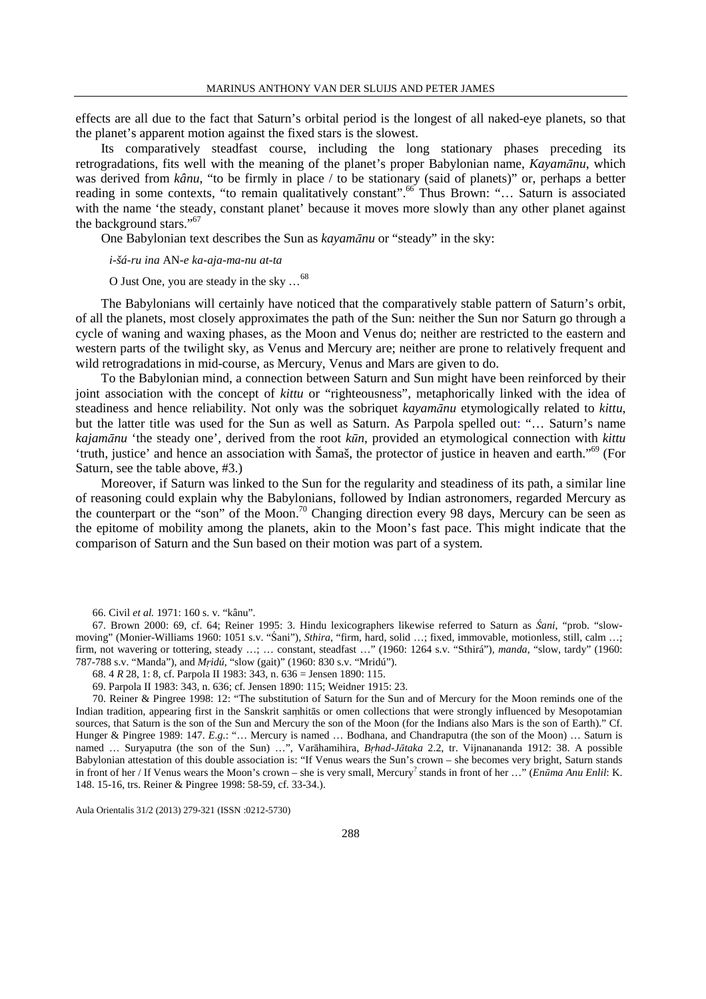effects are all due to the fact that Saturn's orbital period is the longest of all naked-eye planets, so that the planet's apparent motion against the fixed stars is the slowest.

Its comparatively steadfast course, including the long stationary phases preceding its retrogradations, fits well with the meaning of the planet's proper Babylonian name, *Kayamānu*, which was derived from *kânu*, "to be firmly in place / to be stationary (said of planets)" or, perhaps a better reading in some contexts, "to remain qualitatively constant".<sup>66</sup> Thus Brown: "... Saturn is associated with the name 'the steady, constant planet' because it moves more slowly than any other planet against the background stars."<sup>67</sup>

One Babylonian text describes the Sun as *kayamānu* or "steady" in the sky:

*i-šá-ru ina* AN*-e ka-aja-ma-nu at-ta*

O Just One, you are steady in the sky …<sup>68</sup>

The Babylonians will certainly have noticed that the comparatively stable pattern of Saturn's orbit, of all the planets, most closely approximates the path of the Sun: neither the Sun nor Saturn go through a cycle of waning and waxing phases, as the Moon and Venus do; neither are restricted to the eastern and western parts of the twilight sky, as Venus and Mercury are; neither are prone to relatively frequent and wild retrogradations in mid-course, as Mercury, Venus and Mars are given to do.

To the Babylonian mind, a connection between Saturn and Sun might have been reinforced by their joint association with the concept of *kittu* or "righteousness", metaphorically linked with the idea of steadiness and hence reliability. Not only was the sobriquet *kayamānu* etymologically related to *kittu*, but the latter title was used for the Sun as well as Saturn. As Parpola spelled out: "… Saturn's name *kajamānu* 'the steady one', derived from the root *kūn*, provided an etymological connection with *kittu* 'truth, justice' and hence an association with Šamaš, the protector of justice in heaven and earth."<sup>69</sup> (For Saturn, see the table above, #3.)

Moreover, if Saturn was linked to the Sun for the regularity and steadiness of its path, a similar line of reasoning could explain why the Babylonians, followed by Indian astronomers, regarded Mercury as the counterpart or the "son" of the Moon.<sup>70</sup> Changing direction every 98 days, Mercury can be seen as the epitome of mobility among the planets, akin to the Moon's fast pace. This might indicate that the comparison of Saturn and the Sun based on their motion was part of a system.

<sup>66.</sup> Civil *et al.* 1971: 160 s. v. "kânu".

<sup>67.</sup> Brown 2000: 69, cf. 64; Reiner 1995: 3. Hindu lexicographers likewise referred to Saturn as *Śani*, "prob. "slowmoving" (Monier-Williams 1960: 1051 s.v. "Śani"), *Sthira*, "firm, hard, solid …; fixed, immovable, motionless, still, calm …; firm, not wavering or tottering, steady …; … constant, steadfast …" (1960: 1264 s.v. "Sthirá"), *manda*, "slow, tardy" (1960: 787-788 s.v. "Manda"), and *Mṛidú*, "slow (gait)" (1960: 830 s.v. "Mridú").

<sup>68. 4</sup> *R* 28, 1: 8, cf. Parpola II 1983: 343, n. 636 = Jensen 1890: 115.

<sup>69.</sup> Parpola II 1983: 343, n. 636; cf. Jensen 1890: 115; Weidner 1915: 23.

<sup>70.</sup> Reiner & Pingree 1998: 12: "The substitution of Saturn for the Sun and of Mercury for the Moon reminds one of the Indian tradition, appearing first in the Sanskrit saṃhitās or omen collections that were strongly influenced by Mesopotamian sources, that Saturn is the son of the Sun and Mercury the son of the Moon (for the Indians also Mars is the son of Earth)." Cf. Hunger & Pingree 1989: 147. *E.g.*: "… Mercury is named … Bodhana, and Chandraputra (the son of the Moon) … Saturn is named … Suryaputra (the son of the Sun) …", Varāhamihira, *Bṛhad-Jātaka* 2.2, tr. Vijnanananda 1912: 38. A possible Babylonian attestation of this double association is: "If Venus wears the Sun's crown – she becomes very bright, Saturn stands in front of her / If Venus wears the Moon's crown – she is very small, Mercury? stands in front of her …" (*Enūma Anu Enlil*: K. 148. 15-16, trs. Reiner & Pingree 1998: 58-59, cf. 33-34.).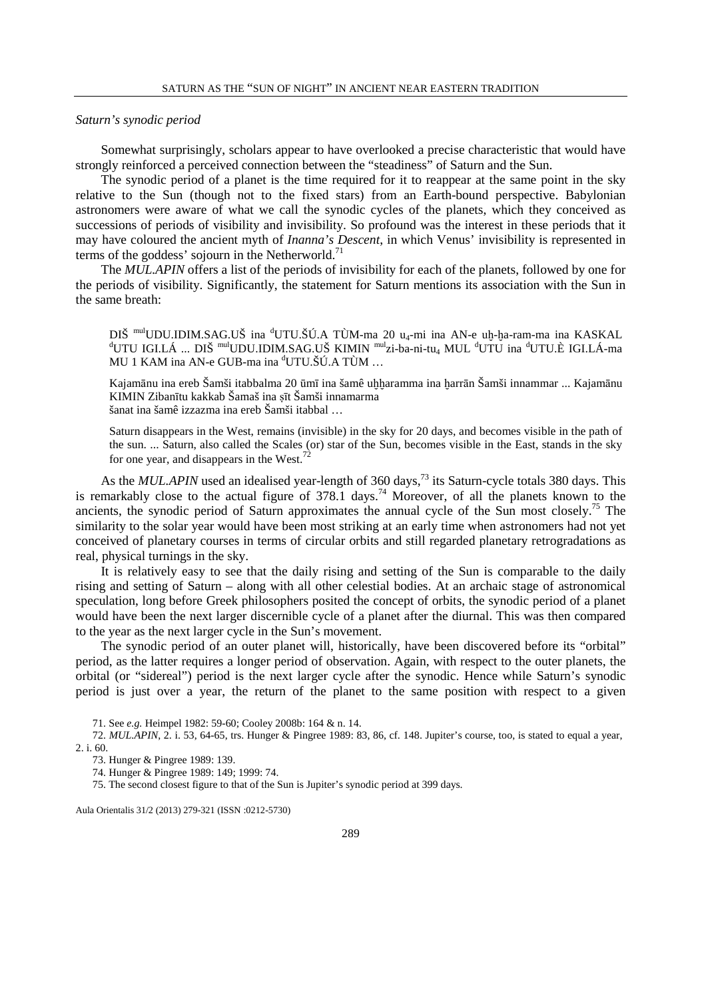#### *Saturn's synodic period*

Somewhat surprisingly, scholars appear to have overlooked a precise characteristic that would have strongly reinforced a perceived connection between the "steadiness" of Saturn and the Sun.

The synodic period of a planet is the time required for it to reappear at the same point in the sky relative to the Sun (though not to the fixed stars) from an Earth-bound perspective. Babylonian astronomers were aware of what we call the synodic cycles of the planets, which they conceived as successions of periods of visibility and invisibility. So profound was the interest in these periods that it may have coloured the ancient myth of *Inanna's Descent*, in which Venus' invisibility is represented in terms of the goddess' sojourn in the Netherworld.<sup>71</sup>

The *MUL.APIN* offers a list of the periods of invisibility for each of the planets, followed by one for the periods of visibility. Significantly, the statement for Saturn mentions its association with the Sun in the same breath:

DIŠ <sup>mul</sup>UDU.IDIM.SAG.UŠ ina <sup>d</sup>UTU.ŠÚ.A TÙM-ma 20 u<sub>4</sub>-mi ina AN-e uḥ-ḥa-ram-ma ina KASKAL dUTU IGI.LÁ ... DIŠ <sup>mul</sup>UDU.IDIM.SAG.UŠ KIMIN <sup>mul</sup>zi-ba-ni-tu<sub>4</sub> MUL <sup>d</sup>UTU ina <sup>d</sup>UTU.È IGI.LÁ-ma MU 1 KAM ina AN-e GUB-ma ina <sup>d</sup>UTU.ŠÚ.A TÙM ...

Kajamānu ina ereb Šamši itabbalma 20 ūmī ina šamê uḥḥaramma ina ḥarrān Šamši innammar ... Kajamānu KIMIN Zibanītu kakkab Šamaš ina ṣīt Šamši innamarma šanat ina šamê izzazma ina ereb Šamši itabbal …

Saturn disappears in the West, remains (invisible) in the sky for 20 days, and becomes visible in the path of the sun. ... Saturn, also called the Scales (or) star of the Sun, becomes visible in the East, stands in the sky for one year, and disappears in the West.<sup>72</sup>

As the *MUL.APIN* used an idealised year-length of 360 days,<sup>73</sup> its Saturn-cycle totals 380 days. This is remarkably close to the actual figure of 378.1 days.<sup>74</sup> Moreover, of all the planets known to the ancients, the synodic period of Saturn approximates the annual cycle of the Sun most closely.<sup>75</sup> The similarity to the solar year would have been most striking at an early time when astronomers had not yet conceived of planetary courses in terms of circular orbits and still regarded planetary retrogradations as real, physical turnings in the sky.

It is relatively easy to see that the daily rising and setting of the Sun is comparable to the daily rising and setting of Saturn – along with all other celestial bodies. At an archaic stage of astronomical speculation, long before Greek philosophers posited the concept of orbits, the synodic period of a planet would have been the next larger discernible cycle of a planet after the diurnal. This was then compared to the year as the next larger cycle in the Sun's movement.

The synodic period of an outer planet will, historically, have been discovered before its "orbital" period, as the latter requires a longer period of observation. Again, with respect to the outer planets, the orbital (or "sidereal") period is the next larger cycle after the synodic. Hence while Saturn's synodic period is just over a year, the return of the planet to the same position with respect to a given

71. See *e.g.* Heimpel 1982: 59-60; Cooley 2008b: 164 & n. 14.

72. *MUL.APIN*, 2. i. 53, 64-65, trs. Hunger & Pingree 1989: 83, 86, cf. 148. Jupiter's course, too, is stated to equal a year, 2. i. 60.

73. Hunger & Pingree 1989: 139.

74. Hunger & Pingree 1989: 149; 1999: 74.

75. The second closest figure to that of the Sun is Jupiter's synodic period at 399 days.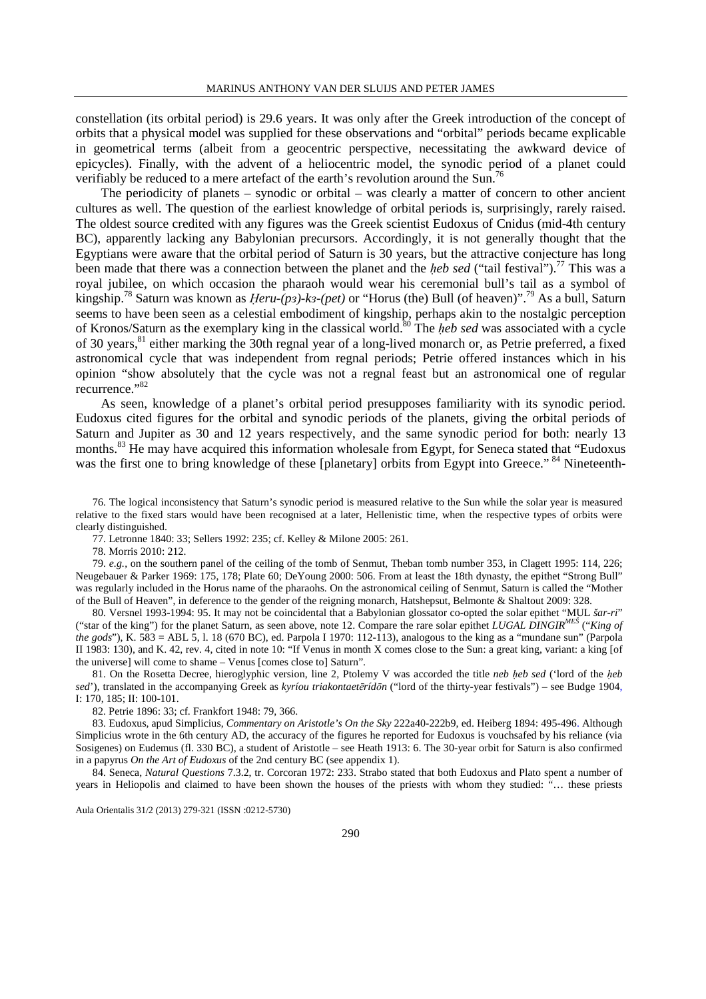constellation (its orbital period) is 29.6 years. It was only after the Greek introduction of the concept of orbits that a physical model was supplied for these observations and "orbital" periods became explicable in geometrical terms (albeit from a geocentric perspective, necessitating the awkward device of epicycles). Finally, with the advent of a heliocentric model, the synodic period of a planet could verifiably be reduced to a mere artefact of the earth's revolution around the Sun.<sup>76</sup>

The periodicity of planets – synodic or orbital – was clearly a matter of concern to other ancient cultures as well. The question of the earliest knowledge of orbital periods is, surprisingly, rarely raised. The oldest source credited with any figures was the Greek scientist Eudoxus of Cnidus (mid-4th century BC), apparently lacking any Babylonian precursors. Accordingly, it is not generally thought that the Egyptians were aware that the orbital period of Saturn is 30 years, but the attractive conjecture has long been made that there was a connection between the planet and the *heb sed* ("tail festival").<sup>77</sup> This was a royal jubilee, on which occasion the pharaoh would wear his ceremonial bull's tail as a symbol of kingship.<sup>78</sup> Saturn was known as *Ḥeru-(pɜ)-kɜ-(pet)* or "Horus (the) Bull (of heaven)".<sup>79</sup> As a bull, Saturn seems to have been seen as a celestial embodiment of kingship, perhaps akin to the nostalgic perception of Kronos/Saturn as the exemplary king in the classical world.<sup>80</sup> The *ḥeb sed* was associated with a cycle of 30 years,<sup>81</sup> either marking the 30th regnal year of a long-lived monarch or, as Petrie preferred, a fixed astronomical cycle that was independent from regnal periods; Petrie offered instances which in his opinion "show absolutely that the cycle was not a regnal feast but an astronomical one of regular recurrence."<sup>82</sup>

As seen, knowledge of a planet's orbital period presupposes familiarity with its synodic period. Eudoxus cited figures for the orbital and synodic periods of the planets, giving the orbital periods of Saturn and Jupiter as 30 and 12 years respectively, and the same synodic period for both: nearly 13 months.<sup>83</sup> He may have acquired this information wholesale from Egypt, for Seneca stated that "Eudoxus" was the first one to bring knowledge of these [planetary] orbits from Egypt into Greece."<sup>84</sup> Nineteenth-

76. The logical inconsistency that Saturn's synodic period is measured relative to the Sun while the solar year is measured relative to the fixed stars would have been recognised at a later, Hellenistic time, when the respective types of orbits were clearly distinguished.

77. Letronne 1840: 33; Sellers 1992: 235; cf. Kelley & Milone 2005: 261.

78. Morris 2010: 212.

79. *e.g.*, on the southern panel of the ceiling of the tomb of Senmut, Theban tomb number 353, in Clagett 1995: 114, 226; Neugebauer & Parker 1969: 175, 178; Plate 60; DeYoung 2000: 506. From at least the 18th dynasty, the epithet "Strong Bull" was regularly included in the Horus name of the pharaohs. On the astronomical ceiling of Senmut, Saturn is called the "Mother of the Bull of Heaven", in deference to the gender of the reigning monarch, Hatshepsut, Belmonte & Shaltout 2009: 328.

80. Versnel 1993-1994: 95. It may not be coincidental that a Babylonian glossator co-opted the solar epithet "MUL *šar-ri*" ("star of the king") for the planet Saturn, as seen above, note 12. Compare the rare solar epithet *LUGAL DINGIRMEŠ* ("*King of the gods*"), K. 583 = ABL 5, l. 18 (670 BC), ed. Parpola I 1970: 112-113), analogous to the king as a "mundane sun" (Parpola II 1983: 130), and K. 42, rev. 4, cited in note 10: "If Venus in month X comes close to the Sun: a great king, variant: a king [of the universe] will come to shame – Venus [comes close to] Saturn".

81. On the Rosetta Decree, hieroglyphic version, line 2, Ptolemy V was accorded the title *neb ḥeb sed* ('lord of the *ḥeb sed*'), translated in the accompanying Greek as *kyríou triakontaetērídōn* ("lord of the thirty-year festivals") – see Budge 1904, I: 170, 185; II: 100-101.

82. Petrie 1896: 33; cf. Frankfort 1948: 79, 366.

83. Eudoxus, apud Simplicius, *Commentary on Aristotle's On the Sky* 222a40-222b9, ed. Heiberg 1894: 495-496. Although Simplicius wrote in the 6th century AD, the accuracy of the figures he reported for Eudoxus is vouchsafed by his reliance (via Sosigenes) on Eudemus (fl. 330 BC), a student of Aristotle – see Heath 1913: 6. The 30-year orbit for Saturn is also confirmed in a papyrus *On the Art of Eudoxus* of the 2nd century BC (see appendix 1).

84. Seneca, *Natural Questions* 7.3.2, tr. Corcoran 1972: 233. Strabo stated that both Eudoxus and Plato spent a number of years in Heliopolis and claimed to have been shown the houses of the priests with whom they studied: "… these priests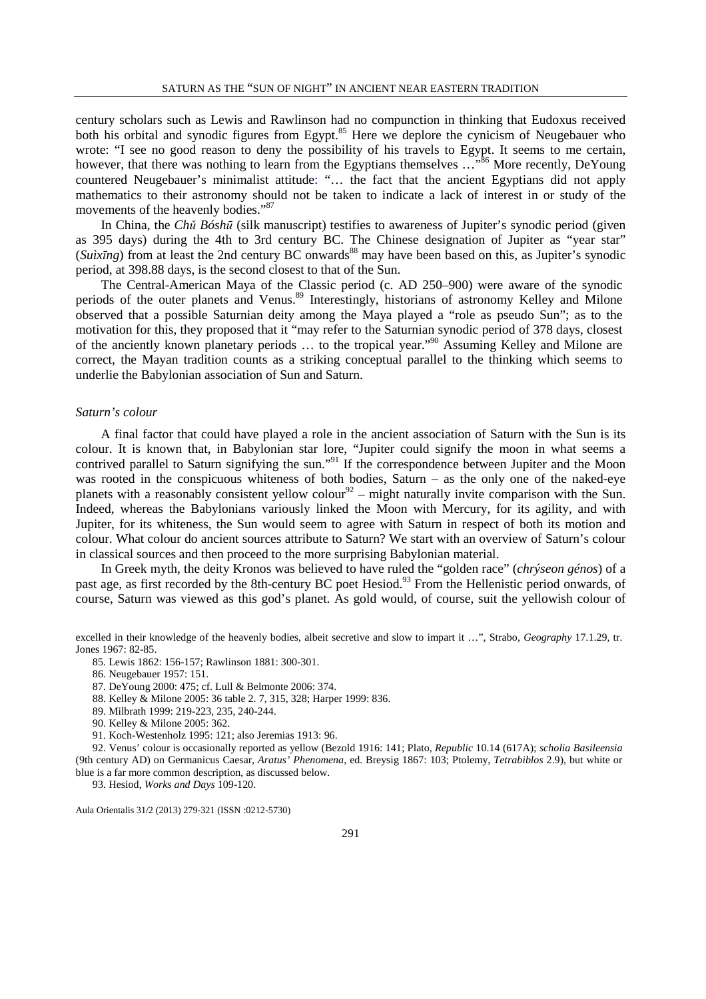century scholars such as Lewis and Rawlinson had no compunction in thinking that Eudoxus received both his orbital and synodic figures from Egypt.<sup>85</sup> Here we deplore the cynicism of Neugebauer who wrote: "I see no good reason to deny the possibility of his travels to Egypt. It seems to me certain, however, that there was nothing to learn from the Egyptians themselves ...<sup>86</sup> More recently, DeYoung countered Neugebauer's minimalist attitude: "… the fact that the ancient Egyptians did not apply mathematics to their astronomy should not be taken to indicate a lack of interest in or study of the movements of the heavenly bodies."<sup>87</sup>

In China, the *Chǔ Bóshū* (silk manuscript) testifies to awareness of Jupiter's synodic period (given as 395 days) during the 4th to 3rd century BC. The Chinese designation of Jupiter as "year star"  $(Su\lambda x\bar{I}nq)$  from at least the 2nd century BC onwards<sup>88</sup> may have been based on this, as Jupiter's synodic period, at 398.88 days, is the second closest to that of the Sun.

The Central-American Maya of the Classic period (c. AD 250–900) were aware of the synodic periods of the outer planets and Venus.<sup>89</sup> Interestingly, historians of astronomy Kelley and Milone observed that a possible Saturnian deity among the Maya played a "role as pseudo Sun"; as to the motivation for this, they proposed that it "may refer to the Saturnian synodic period of 378 days, closest of the anciently known planetary periods … to the tropical year."<sup>90</sup> Assuming Kelley and Milone are correct, the Mayan tradition counts as a striking conceptual parallel to the thinking which seems to underlie the Babylonian association of Sun and Saturn.

#### *Saturn's colour*

A final factor that could have played a role in the ancient association of Saturn with the Sun is its colour. It is known that, in Babylonian star lore, "Jupiter could signify the moon in what seems a contrived parallel to Saturn signifying the sun."<sup>91</sup> If the correspondence between Jupiter and the Moon was rooted in the conspicuous whiteness of both bodies, Saturn – as the only one of the naked-eye planets with a reasonably consistent yellow colour<sup>92</sup> – might naturally invite comparison with the Sun. Indeed, whereas the Babylonians variously linked the Moon with Mercury, for its agility, and with Jupiter, for its whiteness, the Sun would seem to agree with Saturn in respect of both its motion and colour. What colour do ancient sources attribute to Saturn? We start with an overview of Saturn's colour in classical sources and then proceed to the more surprising Babylonian material.

In Greek myth, the deity Kronos was believed to have ruled the "golden race" (*chrýseon génos*) of a past age, as first recorded by the 8th-century BC poet Hesiod.<sup>93</sup> From the Hellenistic period onwards, of course, Saturn was viewed as this god's planet. As gold would, of course, suit the yellowish colour of

excelled in their knowledge of the heavenly bodies, albeit secretive and slow to impart it …", Strabo, *Geography* 17.1.29, tr. Jones 1967: 82-85.

85. Lewis 1862: 156-157; Rawlinson 1881: 300-301.

86. Neugebauer 1957: 151.

- 87. DeYoung 2000: 475; cf. Lull & Belmonte 2006: 374.
- 88. Kelley & Milone 2005: 36 table 2. 7, 315, 328; Harper 1999: 836.
- 89. Milbrath 1999: 219-223, 235, 240-244.
- 90. Kelley & Milone 2005: 362.
- 91. Koch-Westenholz 1995: 121; also Jeremias 1913: 96.

92. Venus' colour is occasionally reported as yellow (Bezold 1916: 141; Plato, *Republic* 10.14 (617A); *scholia Basileensia* (9th century AD) on Germanicus Caesar, *Aratus' Phenomena*, ed. Breysig 1867: 103; Ptolemy, *Tetrabiblos* 2.9), but white or blue is a far more common description, as discussed below.

93. Hesiod, *Works and Days* 109-120.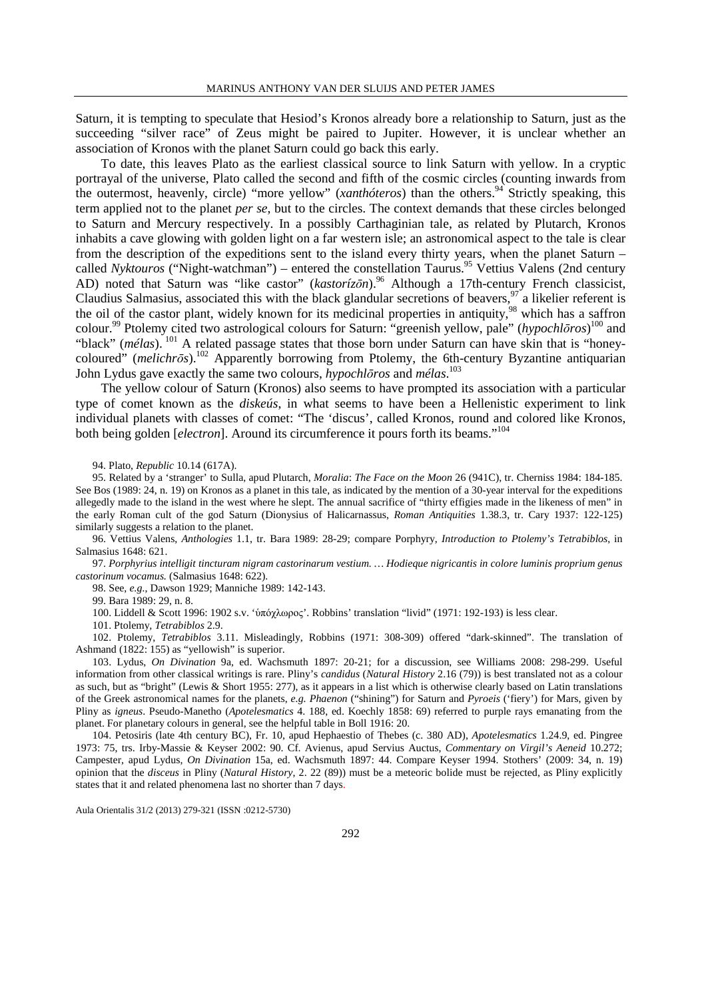Saturn, it is tempting to speculate that Hesiod's Kronos already bore a relationship to Saturn, just as the succeeding "silver race" of Zeus might be paired to Jupiter. However, it is unclear whether an association of Kronos with the planet Saturn could go back this early.

To date, this leaves Plato as the earliest classical source to link Saturn with yellow. In a cryptic portrayal of the universe, Plato called the second and fifth of the cosmic circles (counting inwards from the outermost, heavenly, circle) "more yellow" (*xanthóteros*) than the others.<sup>94</sup> Strictly speaking, this term applied not to the planet *per se*, but to the circles. The context demands that these circles belonged to Saturn and Mercury respectively. In a possibly Carthaginian tale, as related by Plutarch, Kronos inhabits a cave glowing with golden light on a far western isle; an astronomical aspect to the tale is clear from the description of the expeditions sent to the island every thirty years, when the planet Saturn – called *Nyktouros* ("Night-watchman") – entered the constellation Taurus.<sup>95</sup> Vettius Valens (2nd century AD) noted that Saturn was "like castor" (*kastorízon*).<sup>96</sup> Although a 17th-century French classicist, Claudius Salmasius, associated this with the black glandular secretions of beavers,  $\frac{97}{4}$  a likelier referent is the oil of the castor plant, widely known for its medicinal properties in antiquity,<sup>98</sup> which has a saffron colour.<sup>99</sup> Ptolemy cited two astrological colours for Saturn: "greenish yellow, pale" (*hypochlōros*) <sup>100</sup> and "black" (*mélas*).<sup>101</sup> A related passage states that those born under Saturn can have skin that is "honeycoloured" (*melichrōs*).<sup>102</sup> Apparently borrowing from Ptolemy, the 6th-century Byzantine antiquarian John Lydus gave exactly the same two colours, *hypochlōros* and *mélas*. 103

The yellow colour of Saturn (Kronos) also seems to have prompted its association with a particular type of comet known as the *diskeús*, in what seems to have been a Hellenistic experiment to link individual planets with classes of comet: "The 'discus', called Kronos, round and colored like Kronos, both being golden [*electron*]. Around its circumference it pours forth its beams."<sup>104</sup>

94. Plato, *Republic* 10.14 (617A).

95. Related by a 'stranger' to Sulla, apud Plutarch, *Moralia*: *The Face on the Moon* 26 (941C), tr. Cherniss 1984: 184-185. See Bos (1989: 24, n. 19) on Kronos as a planet in this tale, as indicated by the mention of a 30-year interval for the expeditions allegedly made to the island in the west where he slept. The annual sacrifice of "thirty effigies made in the likeness of men" in the early Roman cult of the god Saturn (Dionysius of Halicarnassus, *Roman Antiquities* 1.38.3, tr. Cary 1937: 122-125) similarly suggests a relation to the planet.

96. Vettius Valens, *Anthologies* 1.1, tr. Bara 1989: 28-29; compare Porphyry, *Introduction to Ptolemy's Tetrabiblos*, in Salmasius 1648: 621.

97. *Porphyrius intelligit tincturam nigram castorinarum vestium. … Hodieque nigricantis in colore luminis proprium genus castorinum vocamus.* (Salmasius 1648: 622).

98. See, *e.g.*, Dawson 1929; Manniche 1989: 142-143.

99. Bara 1989: 29, n. 8.

100. Liddell & Scott 1996: 1902 s.v. 'ὑπόχλωρος'. Robbins' translation "livid" (1971: 192-193) is less clear.

101. Ptolemy*, Tetrabiblos* 2.9.

102. Ptolemy, *Tetrabiblos* 3.11. Misleadingly, Robbins (1971: 308-309) offered "dark-skinned". The translation of Ashmand (1822: 155) as "yellowish" is superior.

103. Lydus, *On Divination* 9a, ed. Wachsmuth 1897: 20-21; for a discussion, see Williams 2008: 298-299. Useful information from other classical writings is rare. Pliny's *candidus* (*Natural History* 2.16 (79)) is best translated not as a colour as such, but as "bright" (Lewis & Short 1955: 277), as it appears in a list which is otherwise clearly based on Latin translations of the Greek astronomical names for the planets, *e.g. Phaenon* ("shining") for Saturn and *Pyroeis* ('fiery') for Mars, given by Pliny as *igneus*. Pseudo-Manetho (*Apotelesmatics* 4. 188, ed. Koechly 1858: 69) referred to purple rays emanating from the planet. For planetary colours in general, see the helpful table in Boll 1916: 20.

104. Petosiris (late 4th century BC), Fr. 10, apud Hephaestio of Thebes (c. 380 AD), *Apotelesmatics* 1.24.9, ed. Pingree 1973: 75, trs. Irby-Massie & Keyser 2002: 90. Cf. Avienus, apud Servius Auctus, *Commentary on Virgil's Aeneid* 10.272; Campester, apud Lydus, *On Divination* 15a, ed. Wachsmuth 1897: 44. Compare Keyser 1994. Stothers' (2009: 34, n. 19) opinion that the *disceus* in Pliny (*Natural History*, 2. 22 (89)) must be a meteoric bolide must be rejected, as Pliny explicitly states that it and related phenomena last no shorter than 7 days.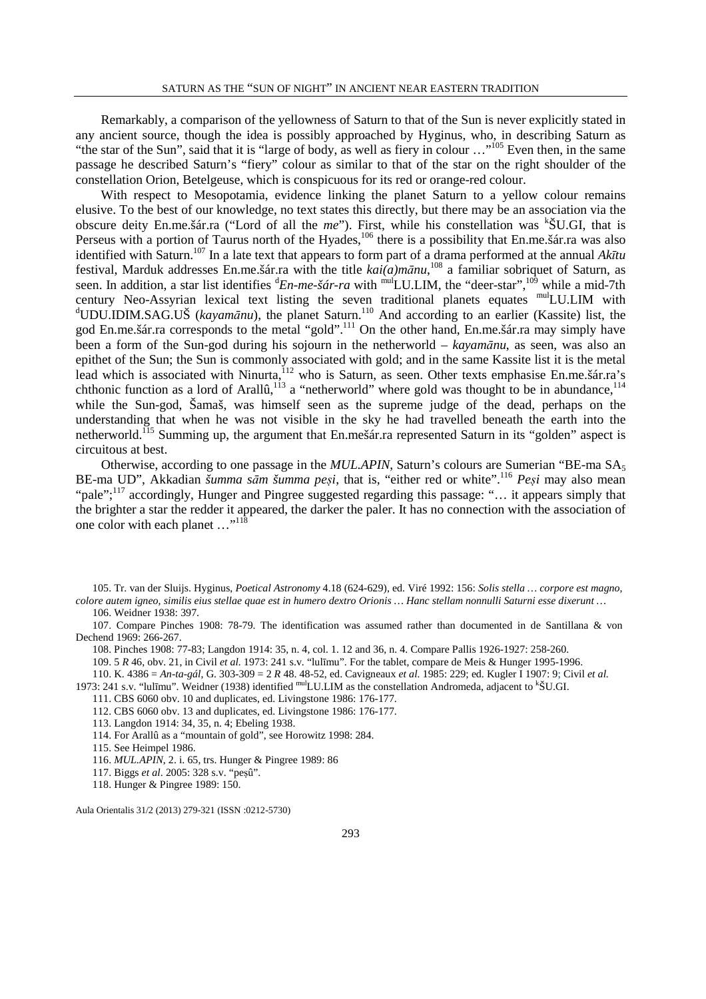Remarkably, a comparison of the yellowness of Saturn to that of the Sun is never explicitly stated in any ancient source, though the idea is possibly approached by Hyginus, who, in describing Saturn as "the star of the Sun", said that it is "large of body, as well as fiery in colour ..."<sup>105</sup> Even then, in the same passage he described Saturn's "fiery" colour as similar to that of the star on the right shoulder of the constellation Orion, Betelgeuse, which is conspicuous for its red or orange-red colour.

With respect to Mesopotamia, evidence linking the planet Saturn to a yellow colour remains elusive. To the best of our knowledge, no text states this directly, but there may be an association via the obscure deity En.me.šár.ra ("Lord of all the *me*"). First, while his constellation was <sup>k</sup>ŠU.GI, that is Perseus with a portion of Taurus north of the Hyades,<sup>106</sup> there is a possibility that En.me.šár.ra was also identified with Saturn.<sup>107</sup> In a late text that appears to form part of a drama performed at the annual *Akītu* festival, Marduk addresses En.me.šár.ra with the title *kai(a)mānu*, <sup>108</sup> a familiar sobriquet of Saturn, as seen. In addition, a star list identifies <sup>d</sup>*En-me-šár-ra* with <sup>mul</sup>LU.LIM, the "deer-star",<sup>109</sup> while a mid-7th century Neo-Assyrian lexical text listing the seven traditional planets equates <sup>mul</sup>LU.LIM with <sup>d</sup>UDU.IDIM.SAG.UŠ (kayamānu), the planet Saturn.<sup>110</sup> And according to an earlier (Kassite) list, the god En.me.šár.ra corresponds to the metal "gold".<sup>111</sup> On the other hand, En.me.šár.ra may simply have been a form of the Sun-god during his sojourn in the netherworld – *kayamānu*, as seen, was also an epithet of the Sun; the Sun is commonly associated with gold; and in the same Kassite list it is the metal lead which is associated with Ninurta, <sup>112</sup> who is Saturn, as seen. Other texts emphasise En.me.šár.ra's chthonic function as a lord of Arallû,<sup>113</sup> a "netherworld" where gold was thought to be in abundance,<sup>114</sup> while the Sun-god, Šamaš, was himself seen as the supreme judge of the dead, perhaps on the understanding that when he was not visible in the sky he had travelled beneath the earth into the netherworld.<sup>115</sup> Summing up, the argument that En.mešár.ra represented Saturn in its "golden" aspect is circuitous at best.

Otherwise, according to one passage in the *MUL.APIN*, Saturn's colours are Sumerian "BE-ma SA<sup>5</sup> BE-ma UD", Akkadian *šumma sām šumma peṣi*, that is, "either red or white".<sup>116</sup> *Peṣi* may also mean "pale"; $^{117}$  accordingly, Hunger and Pingree suggested regarding this passage: "... it appears simply that the brighter a star the redder it appeared, the darker the paler. It has no connection with the association of one color with each planet ..."<sup>118</sup>

105. Tr. van der Sluijs. Hyginus, *Poetical Astronomy* 4.18 (624-629), ed. Viré 1992: 156: *Solis stella … corpore est magno, colore autem igneo, similis eius stellae quae est in humero dextro Orionis … Hanc stellam nonnulli Saturni esse dixerunt …* 106. Weidner 1938: 397.

107. Compare Pinches 1908: 78-79. The identification was assumed rather than documented in de Santillana & von Dechend 1969: 266-267.

108. Pinches 1908: 77-83; Langdon 1914: 35, n. 4, col. 1. 12 and 36, n. 4. Compare Pallis 1926-1927: 258-260.

109. 5 *R* 46, obv. 21, in Civil *et al.* 1973: 241 s.v. "lulīmu". For the tablet, compare de Meis & Hunger 1995-1996.

110. K. 4386 = *An-ta-gál*, G. 303-309 = 2 *R* 48. 48-52, ed. Cavigneaux *et al.* 1985: 229; ed. Kugler I 1907: 9; Civil *et al.* 1973: 241 s.v. "lulīmu". Weidner (1938) identified mulLU.LIM as the constellation Andromeda, adjacent to <sup>k</sup>ŠU.GI.

111. CBS 6060 obv. 10 and duplicates, ed. Livingstone 1986: 176-177.

112. CBS 6060 obv. 13 and duplicates, ed. Livingstone 1986: 176-177.

113. Langdon 1914: 34, 35, n. 4; Ebeling 1938.

114. For Arallû as a "mountain of gold", see Horowitz 1998: 284.

115. See Heimpel 1986.

116. *MUL.APIN*, 2. i. 65, trs. Hunger & Pingree 1989: 86

117. Biggs *et al*. 2005: 328 s.v. "peṣû".

118. Hunger & Pingree 1989: 150.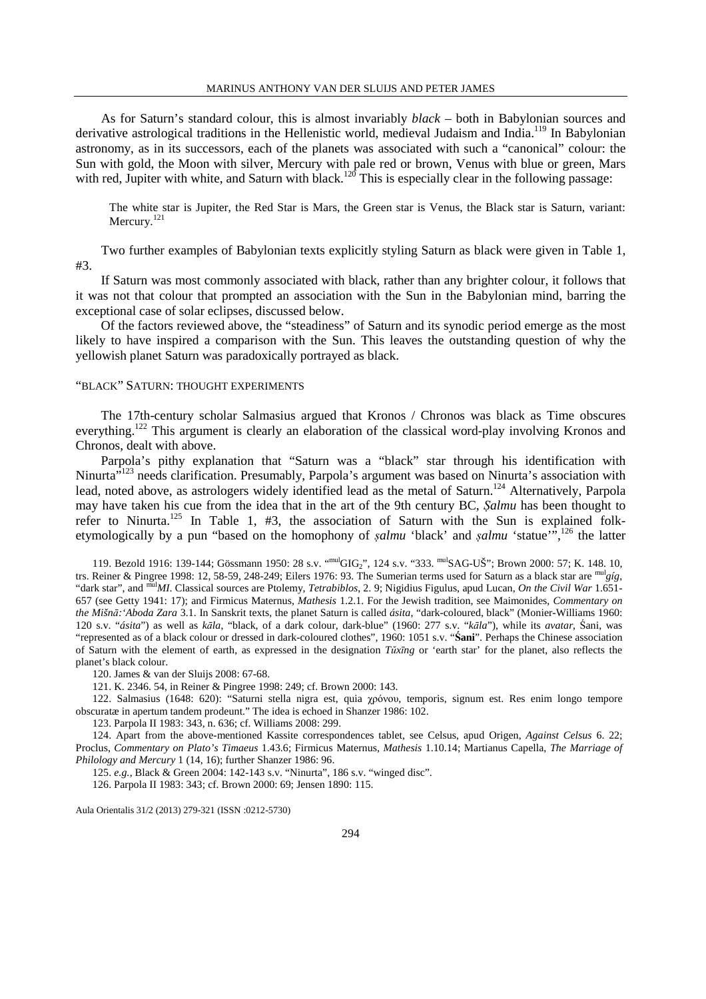As for Saturn's standard colour, this is almost invariably *black* – both in Babylonian sources and derivative astrological traditions in the Hellenistic world, medieval Judaism and India.<sup>119</sup> In Babylonian astronomy, as in its successors, each of the planets was associated with such a "canonical" colour: the Sun with gold, the Moon with silver, Mercury with pale red or brown, Venus with blue or green, Mars with red, Jupiter with white, and Saturn with black.<sup>120</sup> This is especially clear in the following passage:

The white star is Jupiter, the Red Star is Mars, the Green star is Venus, the Black star is Saturn, variant: Mercury.<sup>121</sup>

Two further examples of Babylonian texts explicitly styling Saturn as black were given in Table 1, #3.

If Saturn was most commonly associated with black, rather than any brighter colour, it follows that it was not that colour that prompted an association with the Sun in the Babylonian mind, barring the exceptional case of solar eclipses, discussed below.

Of the factors reviewed above, the "steadiness" of Saturn and its synodic period emerge as the most likely to have inspired a comparison with the Sun. This leaves the outstanding question of why the yellowish planet Saturn was paradoxically portrayed as black.

### "BLACK" SATURN: THOUGHT EXPERIMENTS

The 17th-century scholar Salmasius argued that Kronos / Chronos was black as Time obscures everything.<sup>122</sup> This argument is clearly an elaboration of the classical word-play involving Kronos and Chronos, dealt with above.

Parpola's pithy explanation that "Saturn was a "black" star through his identification with Ninurta<sup>"123</sup> needs clarification. Presumably, Parpola's argument was based on Ninurta's association with lead, noted above, as astrologers widely identified lead as the metal of Saturn.<sup>124</sup> Alternatively, Parpola may have taken his cue from the idea that in the art of the 9th century BC, *Ṣalmu* has been thought to refer to Ninurta.<sup>125</sup> In Table 1, #3, the association of Saturn with the Sun is explained folketymologically by a pun "based on the homophony of *ṣalmu* 'black' and *ṣalmu* 'statue'",<sup>126</sup> the latter

119. Bezold 1916: 139-144; Gössmann 1950: 28 s.v. "mulGIG2", 124 s.v. "333. mulSAG-UŠ"; Brown 2000: 57; K. 148. 10, trs. Reiner & Pingree 1998: 12, 58-59, 248-249; Eilers 1976: 93. The Sumerian terms used for Saturn as a black star are mul*gíg*, "dark star", and mul*MI*. Classical sources are Ptolemy, *Tetrabiblos*, 2. 9; Nigidius Figulus, apud Lucan, *On the Civil War* 1.651- 657 (see Getty 1941: 17); and Firmicus Maternus, *Mathesis* 1.2.1. For the Jewish tradition, see Maimonides, *Commentary on the Mišnā:'Aboda Zara* 3.1. In Sanskrit texts, the planet Saturn is called *ásita*, "dark-coloured, black" (Monier-Williams 1960: 120 s.v. "*ásita*") as well as *kāla*, "black, of a dark colour, dark-blue" (1960: 277 s.v. "*kāla*"), while its *avatar*, Śani, was "represented as of a black colour or dressed in dark-coloured clothes", 1960: 1051 s.v. "**Śani**". Perhaps the Chinese association of Saturn with the element of earth, as expressed in the designation *Tŭxīng* or 'earth star' for the planet, also reflects the planet's black colour.

120. James & van der Sluijs 2008: 67-68.

121. K. 2346. 54, in Reiner & Pingree 1998: 249; cf. Brown 2000: 143.

122. Salmasius (1648: 620): "Saturni stella nigra est, quia χρόνου, temporis, signum est. Res enim longo tempore obscuratæ in apertum tandem prodeunt." The idea is echoed in Shanzer 1986: 102.

123. Parpola II 1983: 343, n. 636; cf. Williams 2008: 299.

124. Apart from the above-mentioned Kassite correspondences tablet, see Celsus, apud Origen, *Against Celsus* 6. 22; Proclus, *Commentary on Plato's Timaeus* 1.43.6; Firmicus Maternus, *Mathesis* 1.10.14; Martianus Capella, *The Marriage of Philology and Mercury* 1 (14, 16); further Shanzer 1986: 96.

125. *e.g.*, Black & Green 2004: 142-143 s.v. "Ninurta", 186 s.v. "winged disc".

126. Parpola II 1983: 343; cf. Brown 2000: 69; Jensen 1890: 115.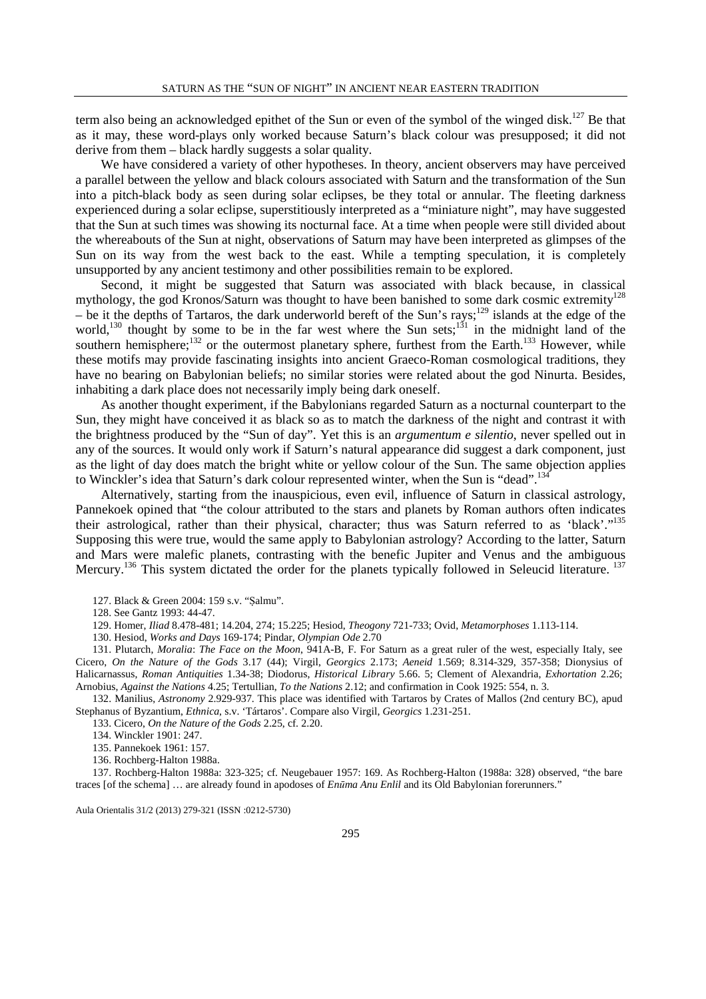term also being an acknowledged epithet of the Sun or even of the symbol of the winged disk.<sup>127</sup> Be that as it may, these word-plays only worked because Saturn's black colour was presupposed; it did not derive from them – black hardly suggests a solar quality.

We have considered a variety of other hypotheses. In theory, ancient observers may have perceived a parallel between the yellow and black colours associated with Saturn and the transformation of the Sun into a pitch-black body as seen during solar eclipses, be they total or annular. The fleeting darkness experienced during a solar eclipse, superstitiously interpreted as a "miniature night", may have suggested that the Sun at such times was showing its nocturnal face. At a time when people were still divided about the whereabouts of the Sun at night, observations of Saturn may have been interpreted as glimpses of the Sun on its way from the west back to the east. While a tempting speculation, it is completely unsupported by any ancient testimony and other possibilities remain to be explored.

Second, it might be suggested that Saturn was associated with black because, in classical mythology, the god Kronos/Saturn was thought to have been banished to some dark cosmic extremity<sup>128</sup> – be it the depths of Tartaros, the dark underworld bereft of the Sun's rays;<sup>129</sup> islands at the edge of the world,<sup>130</sup> thought by some to be in the far west where the Sun sets;<sup>131</sup> in the midnight land of the southern hemisphere;<sup>132</sup> or the outermost planetary sphere, furthest from the Earth.<sup>133</sup> However, while these motifs may provide fascinating insights into ancient Graeco-Roman cosmological traditions, they have no bearing on Babylonian beliefs; no similar stories were related about the god Ninurta. Besides, inhabiting a dark place does not necessarily imply being dark oneself.

As another thought experiment, if the Babylonians regarded Saturn as a nocturnal counterpart to the Sun, they might have conceived it as black so as to match the darkness of the night and contrast it with the brightness produced by the "Sun of day". Yet this is an *argumentum e silentio*, never spelled out in any of the sources. It would only work if Saturn's natural appearance did suggest a dark component, just as the light of day does match the bright white or yellow colour of the Sun. The same objection applies to Winckler's idea that Saturn's dark colour represented winter, when the Sun is "dead".<sup>134</sup>

Alternatively, starting from the inauspicious, even evil, influence of Saturn in classical astrology, Pannekoek opined that "the colour attributed to the stars and planets by Roman authors often indicates their astrological, rather than their physical, character; thus was Saturn referred to as 'black'."<sup>135</sup> Supposing this were true, would the same apply to Babylonian astrology? According to the latter, Saturn and Mars were malefic planets, contrasting with the benefic Jupiter and Venus and the ambiguous Mercury.<sup>136</sup> This system dictated the order for the planets typically followed in Seleucid literature.<sup>137</sup>

127. Black & Green 2004: 159 s.v. "Ṣalmu".

128. See Gantz 1993: 44-47.

129. Homer, *Iliad* 8.478-481; 14.204, 274; 15.225; Hesiod, *Theogony* 721-733; Ovid, *Metamorphoses* 1.113-114.

130. Hesiod, *Works and Days* 169-174; Pindar, *Olympian Ode* 2.70

131. Plutarch, *Moralia*: *The Face on the Moon*, 941A-B, F. For Saturn as a great ruler of the west, especially Italy, see Cicero, *On the Nature of the Gods* 3.17 (44); Virgil, *Georgics* 2.173; *Aeneid* 1.569; 8.314-329, 357-358; Dionysius of Halicarnassus, *Roman Antiquities* 1.34-38; Diodorus, *Historical Library* 5.66. 5; Clement of Alexandria, *Exhortation* 2.26; Arnobius, *Against the Nations* 4.25; Tertullian, *To the Nations* 2.12; and confirmation in Cook 1925: 554, n. 3.

132. Manilius, *Astronomy* 2.929-937. This place was identified with Tartaros by Crates of Mallos (2nd century BC), apud Stephanus of Byzantium, *Ethnica*, s.v. 'Tártaros'. Compare also Virgil, *Georgics* 1.231-251.

133. Cicero, *On the Nature of the Gods* 2.25, cf. 2.20.

134. Winckler 1901: 247.

135. Pannekoek 1961: 157.

136. Rochberg-Halton 1988a.

137. Rochberg-Halton 1988a: 323-325; cf. Neugebauer 1957: 169. As Rochberg-Halton (1988a: 328) observed, "the bare traces [of the schema] … are already found in apodoses of *Enūma Anu Enlil* and its Old Babylonian forerunners."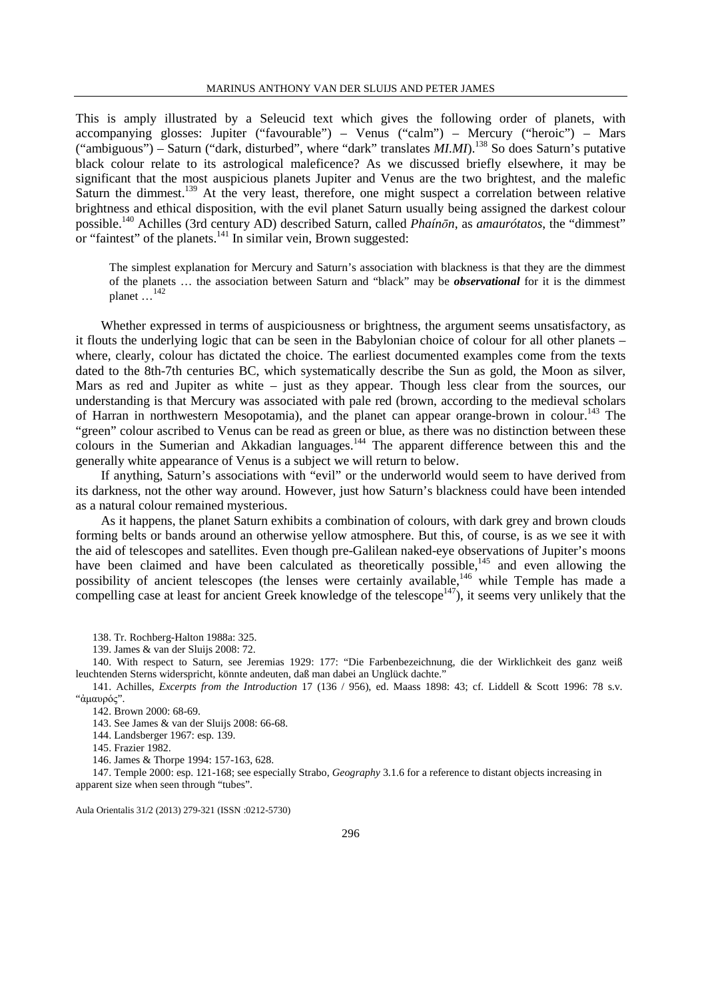This is amply illustrated by a Seleucid text which gives the following order of planets, with accompanying glosses: Jupiter ("favourable") – Venus ("calm") – Mercury ("heroic") – Mars ("ambiguous") – Saturn ("dark, disturbed", where "dark" translates *MI.MI*).<sup>138</sup> So does Saturn's putative black colour relate to its astrological maleficence? As we discussed briefly elsewhere, it may be significant that the most auspicious planets Jupiter and Venus are the two brightest, and the malefic Saturn the dimmest.<sup>139</sup> At the very least, therefore, one might suspect a correlation between relative brightness and ethical disposition, with the evil planet Saturn usually being assigned the darkest colour possible.<sup>140</sup> Achilles (3rd century AD) described Saturn, called *Phaínōn*, as *amaurótatos*, the "dimmest" or "faintest" of the planets. $141$  In similar vein, Brown suggested:

The simplest explanation for Mercury and Saturn's association with blackness is that they are the dimmest of the planets … the association between Saturn and "black" may be *observational* for it is the dimmest planet  $\ldots$ <sup>142</sup>

Whether expressed in terms of auspiciousness or brightness, the argument seems unsatisfactory, as it flouts the underlying logic that can be seen in the Babylonian choice of colour for all other planets – where, clearly, colour has dictated the choice. The earliest documented examples come from the texts dated to the 8th-7th centuries BC, which systematically describe the Sun as gold, the Moon as silver, Mars as red and Jupiter as white – just as they appear. Though less clear from the sources, our understanding is that Mercury was associated with pale red (brown, according to the medieval scholars of Harran in northwestern Mesopotamia), and the planet can appear orange-brown in colour.<sup>143</sup> The "green" colour ascribed to Venus can be read as green or blue, as there was no distinction between these colours in the Sumerian and Akkadian languages.<sup>144</sup> The apparent difference between this and the generally white appearance of Venus is a subject we will return to below.

If anything, Saturn's associations with "evil" or the underworld would seem to have derived from its darkness, not the other way around. However, just how Saturn's blackness could have been intended as a natural colour remained mysterious.

As it happens, the planet Saturn exhibits a combination of colours, with dark grey and brown clouds forming belts or bands around an otherwise yellow atmosphere. But this, of course, is as we see it with the aid of telescopes and satellites. Even though pre-Galilean naked-eye observations of Jupiter's moons have been claimed and have been calculated as theoretically possible,<sup>145</sup> and even allowing the possibility of ancient telescopes (the lenses were certainly available,<sup>146</sup> while Temple has made a compelling case at least for ancient Greek knowledge of the telescope<sup>147</sup>), it seems very unlikely that the

138. Tr. Rochberg-Halton 1988a: 325.

139. James & van der Sluijs 2008: 72.

140. With respect to Saturn, see Jeremias 1929: 177: "Die Farbenbezeichnung, die der Wirklichkeit des ganz weiß leuchtenden Sterns widerspricht, könnte andeuten, daß man dabei an Unglück dachte."

141. Achilles, *Excerpts from the Introduction* 17 (136 / 956), ed. Maass 1898: 43; cf. Liddell & Scott 1996: 78 s.v. "ἀµαυρός".

142. Brown 2000: 68-69.

143. See James & van der Sluijs 2008: 66-68.

144. Landsberger 1967: esp. 139.

145. Frazier 1982.

146. James & Thorpe 1994: 157-163, 628.

147. Temple 2000: esp. 121-168; see especially Strabo, *Geography* 3.1.6 for a reference to distant objects increasing in apparent size when seen through "tubes".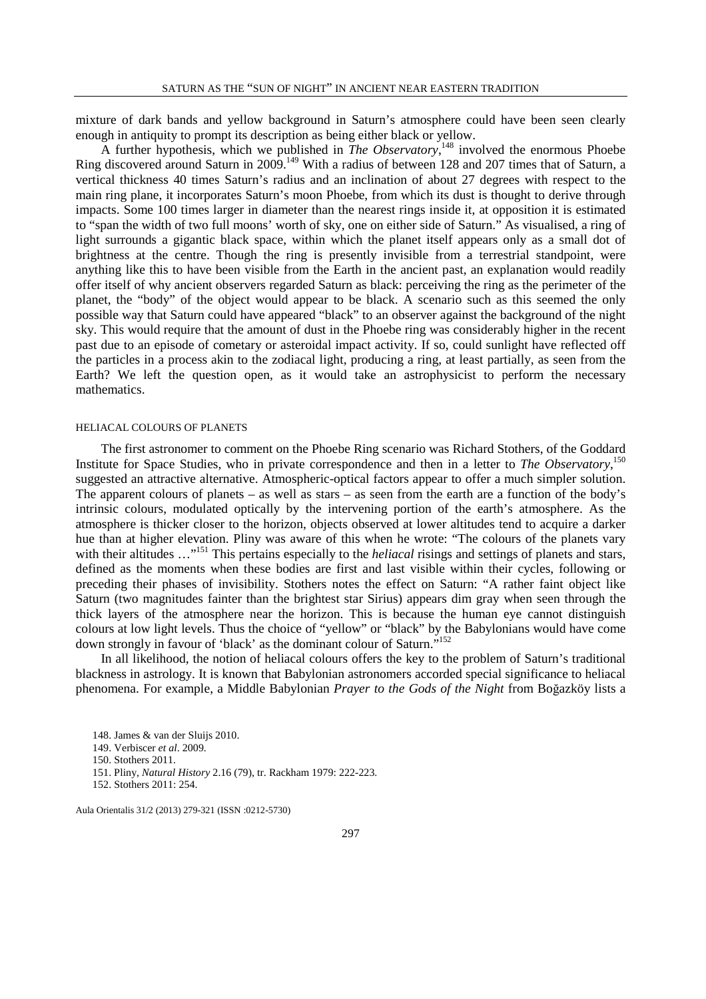mixture of dark bands and yellow background in Saturn's atmosphere could have been seen clearly enough in antiquity to prompt its description as being either black or yellow.

A further hypothesis, which we published in *The Observatory*,<sup>148</sup> involved the enormous Phoebe Ring discovered around Saturn in 2009.<sup>149</sup> With a radius of between 128 and 207 times that of Saturn, a vertical thickness 40 times Saturn's radius and an inclination of about 27 degrees with respect to the main ring plane, it incorporates Saturn's moon Phoebe, from which its dust is thought to derive through impacts. Some 100 times larger in diameter than the nearest rings inside it, at opposition it is estimated to "span the width of two full moons' worth of sky, one on either side of Saturn." As visualised, a ring of light surrounds a gigantic black space, within which the planet itself appears only as a small dot of brightness at the centre. Though the ring is presently invisible from a terrestrial standpoint, were anything like this to have been visible from the Earth in the ancient past, an explanation would readily offer itself of why ancient observers regarded Saturn as black: perceiving the ring as the perimeter of the planet, the "body" of the object would appear to be black. A scenario such as this seemed the only possible way that Saturn could have appeared "black" to an observer against the background of the night sky. This would require that the amount of dust in the Phoebe ring was considerably higher in the recent past due to an episode of cometary or asteroidal impact activity. If so, could sunlight have reflected off the particles in a process akin to the zodiacal light, producing a ring, at least partially, as seen from the Earth? We left the question open, as it would take an astrophysicist to perform the necessary mathematics.

### HELIACAL COLOURS OF PLANETS

The first astronomer to comment on the Phoebe Ring scenario was Richard Stothers, of the Goddard Institute for Space Studies, who in private correspondence and then in a letter to *The Observatory*, 150 suggested an attractive alternative. Atmospheric-optical factors appear to offer a much simpler solution. The apparent colours of planets – as well as stars – as seen from the earth are a function of the body's intrinsic colours, modulated optically by the intervening portion of the earth's atmosphere. As the atmosphere is thicker closer to the horizon, objects observed at lower altitudes tend to acquire a darker hue than at higher elevation. Pliny was aware of this when he wrote: "The colours of the planets vary with their altitudes ..."<sup>151</sup> This pertains especially to the *heliacal* risings and settings of planets and stars, defined as the moments when these bodies are first and last visible within their cycles, following or preceding their phases of invisibility. Stothers notes the effect on Saturn: "A rather faint object like Saturn (two magnitudes fainter than the brightest star Sirius) appears dim gray when seen through the thick layers of the atmosphere near the horizon. This is because the human eye cannot distinguish colours at low light levels. Thus the choice of "yellow" or "black" by the Babylonians would have come down strongly in favour of 'black' as the dominant colour of Saturn."<sup>152</sup>

In all likelihood, the notion of heliacal colours offers the key to the problem of Saturn's traditional blackness in astrology. It is known that Babylonian astronomers accorded special significance to heliacal phenomena. For example, a Middle Babylonian *Prayer to the Gods of the Night* from Boğazköy lists a

148. James & van der Sluijs 2010.

149. Verbiscer *et al*. 2009.

152. Stothers 2011: 254.

<sup>150.</sup> Stothers 2011.

<sup>151.</sup> Pliny, *Natural History* 2.16 (79), tr. Rackham 1979: 222-223.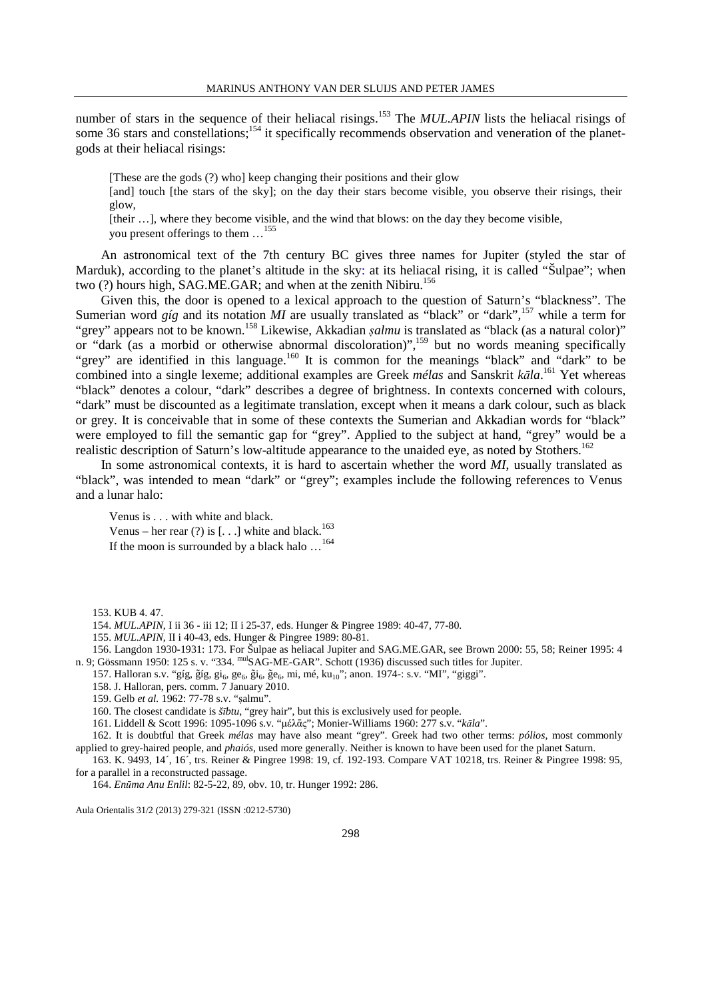number of stars in the sequence of their heliacal risings.<sup>153</sup> The *MUL.APIN* lists the heliacal risings of some 36 stars and constellations;<sup>154</sup> it specifically recommends observation and veneration of the planetgods at their heliacal risings:

[These are the gods (?) who] keep changing their positions and their glow

[and] touch [the stars of the sky]; on the day their stars become visible, you observe their risings, their glow,

[their ...], where they become visible, and the wind that blows: on the day they become visible, you present offerings to them …<sup>155</sup>

An astronomical text of the 7th century BC gives three names for Jupiter (styled the star of Marduk), according to the planet's altitude in the sky: at its heliacal rising, it is called "Šulpae"; when two  $(?)$  hours high, SAG.ME.GAR; and when at the zenith Nibiru.<sup>156</sup>

Given this, the door is opened to a lexical approach to the question of Saturn's "blackness". The Sumerian word *gíg* and its notation *MI* are usually translated as "black" or "dark",<sup>157</sup> while a term for "grey" appears not to be known.<sup>158</sup> Likewise, Akkadian *ṣalmu* is translated as "black (as a natural color)" or "dark (as a morbid or otherwise abnormal discoloration)",<sup>159</sup> but no words meaning specifically "grey" are identified in this language.<sup>160</sup> It is common for the meanings "black" and "dark" to be combined into a single lexeme; additional examples are Greek *mélas* and Sanskrit *kāla*. <sup>161</sup> Yet whereas "black" denotes a colour, "dark" describes a degree of brightness. In contexts concerned with colours, "dark" must be discounted as a legitimate translation, except when it means a dark colour, such as black or grey. It is conceivable that in some of these contexts the Sumerian and Akkadian words for "black" were employed to fill the semantic gap for "grey". Applied to the subject at hand, "grey" would be a realistic description of Saturn's low-altitude appearance to the unaided eye, as noted by Stothers.<sup>162</sup>

In some astronomical contexts, it is hard to ascertain whether the word *MI*, usually translated as "black", was intended to mean "dark" or "grey"; examples include the following references to Venus and a lunar halo:

Venus is . . . with white and black. Venus – her rear  $(?)$  is [...] white and black.<sup>163</sup> If the moon is surrounded by a black halo …<sup>164</sup>

153. KUB 4. 47.

154. *MUL.APIN*, I ii 36 - iii 12; II i 25-37, eds. Hunger & Pingree 1989: 40-47, 77-80.

155. *MUL.APIN*, II i 40-43, eds. Hunger & Pingree 1989: 80-81.

156. Langdon 1930-1931: 173. For Šulpae as heliacal Jupiter and SAG.ME.GAR, see Brown 2000: 55, 58; Reiner 1995: 4 n. 9; Gössmann 1950: 125 s. v. "334. mulSAG-ME-GAR". Schott (1936) discussed such titles for Jupiter.

157. Halloran s.v. "gíg, gíg, gi<sub>6</sub>, ge<sub>6</sub>, gi<sub>6</sub>, ge<sub>6</sub>, mi, mé, ku<sub>10</sub>"; anon. 1974-: s.v. "MI", "giggi".

158. J. Halloran, pers. comm. 7 January 2010.

159. Gelb *et al.* 1962: 77-78 s.v. "ṣalmu".

160. The closest candidate is *šībtu*, "grey hair", but this is exclusively used for people.

161. Liddell & Scott 1996: 1095-1096 s.v. "µέλᾱς"; Monier-Williams 1960: 277 s.v. "*kāla*".

162. It is doubtful that Greek *mélas* may have also meant "grey". Greek had two other terms: *pólios*, most commonly applied to grey-haired people, and *phaiós*, used more generally. Neither is known to have been used for the planet Saturn.

163. K. 9493, 14´, 16´, trs. Reiner & Pingree 1998: 19, cf. 192-193. Compare VAT 10218, trs. Reiner & Pingree 1998: 95, for a parallel in a reconstructed passage.

164. *Enūma Anu Enlil*: 82-5-22, 89, obv. 10, tr. Hunger 1992: 286.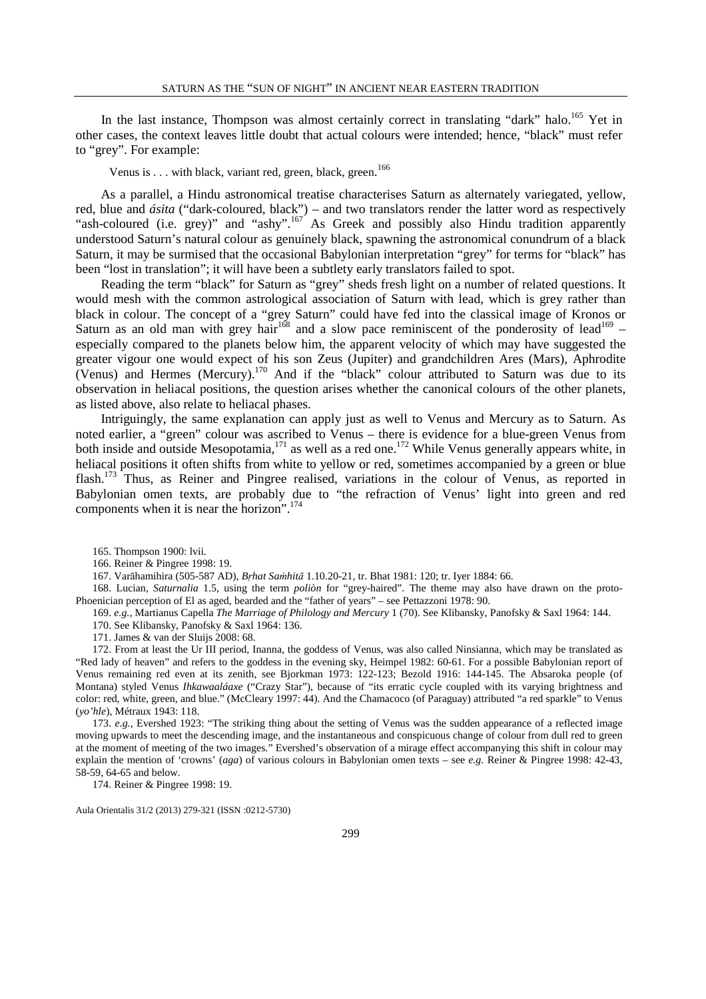In the last instance, Thompson was almost certainly correct in translating "dark" halo.<sup>165</sup> Yet in other cases, the context leaves little doubt that actual colours were intended; hence, "black" must refer to "grey". For example:

Venus is . . . with black, variant red, green, black, green.<sup>166</sup>

As a parallel, a Hindu astronomical treatise characterises Saturn as alternately variegated, yellow, red, blue and *ásita* ("dark-coloured, black") – and two translators render the latter word as respectively "ash-coloured (i.e. grey)" and "ashy".<sup>167</sup> As Greek and possibly also Hindu tradition apparently understood Saturn's natural colour as genuinely black, spawning the astronomical conundrum of a black Saturn, it may be surmised that the occasional Babylonian interpretation "grey" for terms for "black" has been "lost in translation"; it will have been a subtlety early translators failed to spot.

Reading the term "black" for Saturn as "grey" sheds fresh light on a number of related questions. It would mesh with the common astrological association of Saturn with lead, which is grey rather than black in colour. The concept of a "grey Saturn" could have fed into the classical image of Kronos or Saturn as an old man with grey hair<sup>168</sup> and a slow pace reminiscent of the ponderosity of lead<sup>169</sup> – especially compared to the planets below him, the apparent velocity of which may have suggested the greater vigour one would expect of his son Zeus (Jupiter) and grandchildren Ares (Mars), Aphrodite (Venus) and Hermes (Mercury).<sup>170</sup> And if the "black" colour attributed to Saturn was due to its observation in heliacal positions, the question arises whether the canonical colours of the other planets, as listed above, also relate to heliacal phases.

Intriguingly, the same explanation can apply just as well to Venus and Mercury as to Saturn. As noted earlier, a "green" colour was ascribed to Venus – there is evidence for a blue-green Venus from both inside and outside Mesopotamia,<sup>171</sup> as well as a red one.<sup>172</sup> While Venus generally appears white, in heliacal positions it often shifts from white to yellow or red, sometimes accompanied by a green or blue flash.<sup>173</sup> Thus, as Reiner and Pingree realised, variations in the colour of Venus, as reported in Babylonian omen texts, are probably due to "the refraction of Venus' light into green and red components when it is near the horizon".<sup>174</sup>

- 169. *e.g.*, Martianus Capella *The Marriage of Philology and Mercury* 1 (70). See Klibansky, Panofsky & Saxl 1964: 144.
	- 170. See Klibansky, Panofsky & Saxl 1964: 136.

171. James & van der Sluijs 2008: 68.

172. From at least the Ur III period, Inanna, the goddess of Venus, was also called Ninsianna, which may be translated as "Red lady of heaven" and refers to the goddess in the evening sky, Heimpel 1982: 60-61. For a possible Babylonian report of Venus remaining red even at its zenith, see Bjorkman 1973: 122-123; Bezold 1916: 144-145. The Absaroka people (of Montana) styled Venus *Ihkawaaláaxe* ("Crazy Star"), because of "its erratic cycle coupled with its varying brightness and color: red, white, green, and blue." (McCleary 1997: 44). And the Chamacoco (of Paraguay) attributed "a red sparkle" to Venus (*yo'hle*), Métraux 1943: 118.

173. *e.g.*, Evershed 1923: "The striking thing about the setting of Venus was the sudden appearance of a reflected image moving upwards to meet the descending image, and the instantaneous and conspicuous change of colour from dull red to green at the moment of meeting of the two images." Evershed's observation of a mirage effect accompanying this shift in colour may explain the mention of 'crowns' (*aga*) of various colours in Babylonian omen texts – see *e.g.* Reiner & Pingree 1998: 42-43, 58-59, 64-65 and below.

174. Reiner & Pingree 1998: 19.

<sup>165.</sup> Thompson 1900: lvii.

<sup>166.</sup> Reiner & Pingree 1998: 19.

<sup>167.</sup> Varāhamihira (505-587 AD), *Bṛhat Saṁhitā* 1.10.20-21, tr. Bhat 1981: 120; tr. Iyer 1884: 66.

<sup>168.</sup> Lucian, *Saturnalia* 1.5, using the term *poliòn* for "grey-haired". The theme may also have drawn on the proto-Phoenician perception of El as aged, bearded and the "father of years" – see Pettazzoni 1978: 90.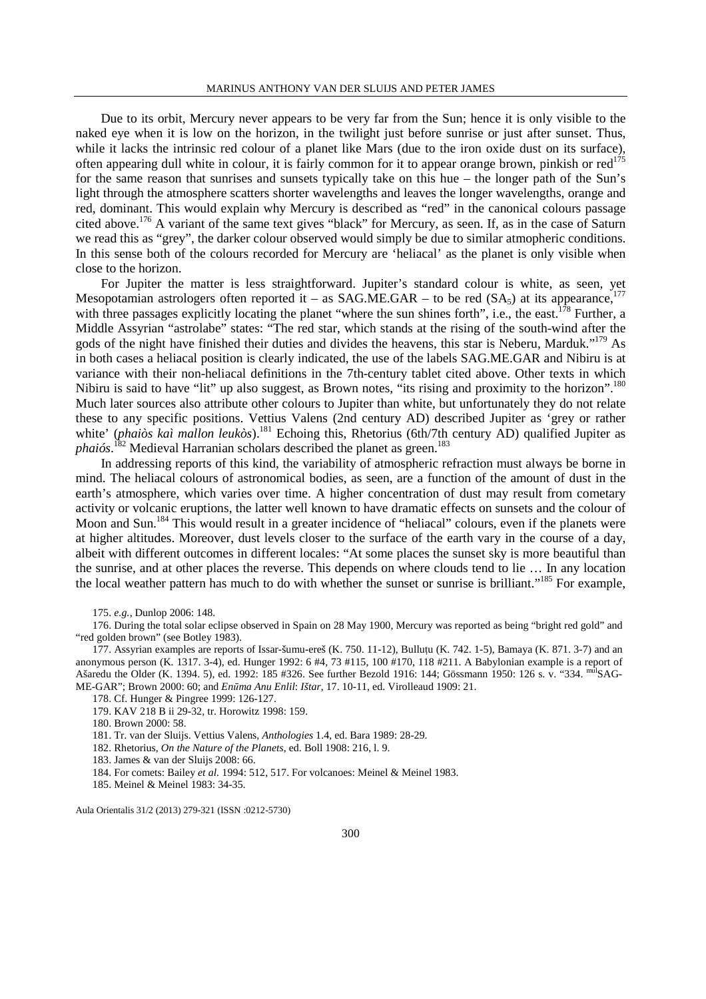Due to its orbit, Mercury never appears to be very far from the Sun; hence it is only visible to the naked eye when it is low on the horizon, in the twilight just before sunrise or just after sunset. Thus, while it lacks the intrinsic red colour of a planet like Mars (due to the iron oxide dust on its surface), often appearing dull white in colour, it is fairly common for it to appear orange brown, pinkish or red<sup>175</sup> for the same reason that sunrises and sunsets typically take on this hue – the longer path of the Sun's light through the atmosphere scatters shorter wavelengths and leaves the longer wavelengths, orange and red, dominant. This would explain why Mercury is described as "red" in the canonical colours passage cited above.<sup>176</sup> A variant of the same text gives "black" for Mercury, as seen. If, as in the case of Saturn we read this as "grey", the darker colour observed would simply be due to similar atmopheric conditions. In this sense both of the colours recorded for Mercury are 'heliacal' as the planet is only visible when close to the horizon.

For Jupiter the matter is less straightforward. Jupiter's standard colour is white, as seen, yet Mesopotamian astrologers often reported it – as SAG.ME.GAR – to be red (SA<sub>5</sub>) at its appearance,<sup>177</sup> with three passages explicitly locating the planet "where the sun shines forth", i.e., the east.<sup>178</sup> Further, a Middle Assyrian "astrolabe" states: "The red star, which stands at the rising of the south-wind after the gods of the night have finished their duties and divides the heavens, this star is Neberu, Marduk."<sup>179</sup> As in both cases a heliacal position is clearly indicated, the use of the labels SAG.ME.GAR and Nibiru is at variance with their non-heliacal definitions in the 7th-century tablet cited above. Other texts in which Nibiru is said to have "lit" up also suggest, as Brown notes, "its rising and proximity to the horizon".<sup>180</sup> Much later sources also attribute other colours to Jupiter than white, but unfortunately they do not relate these to any specific positions. Vettius Valens (2nd century AD) described Jupiter as 'grey or rather white' (*phaiòs kaì mallon leukòs*).<sup>181</sup> Echoing this, Rhetorius (6th/7th century AD) qualified Jupiter as *phaiós*.<sup>182</sup> Medieval Harranian scholars described the planet as green.<sup>183</sup>

In addressing reports of this kind, the variability of atmospheric refraction must always be borne in mind. The heliacal colours of astronomical bodies, as seen, are a function of the amount of dust in the earth's atmosphere, which varies over time. A higher concentration of dust may result from cometary activity or volcanic eruptions, the latter well known to have dramatic effects on sunsets and the colour of Moon and Sun.<sup>184</sup> This would result in a greater incidence of "heliacal" colours, even if the planets were at higher altitudes. Moreover, dust levels closer to the surface of the earth vary in the course of a day, albeit with different outcomes in different locales: "At some places the sunset sky is more beautiful than the sunrise, and at other places the reverse. This depends on where clouds tend to lie … In any location the local weather pattern has much to do with whether the sunset or sunrise is brilliant."<sup>185</sup> For example,

175. *e.g.*, Dunlop 2006: 148.

176. During the total solar eclipse observed in Spain on 28 May 1900, Mercury was reported as being "bright red gold" and "red golden brown" (see Botley 1983).

177. Assyrian examples are reports of Issar-šumu-ereš (K. 750. 11-12), Bulluṭu (K. 742. 1-5), Bamaya (K. 871. 3-7) and an anonymous person (K. 1317. 3-4), ed. Hunger 1992: 6 #4, 73 #115, 100 #170, 118 #211. A Babylonian example is a report of Ašaredu the Older (K. 1394. 5), ed. 1992: 185 #326. See further Bezold 1916: 144; Gössmann 1950: 126 s. v. "334. mulSAG-ME-GAR"; Brown 2000: 60; and *Enūma Anu Enlil*: *Ištar*, 17. 10-11, ed. Virolleaud 1909: 21.

178. Cf. Hunger & Pingree 1999: 126-127.

179. KAV 218 B ii 29-32, tr. Horowitz 1998: 159.

180. Brown 2000: 58.

181. Tr. van der Sluijs. Vettius Valens, *Anthologies* 1.4, ed. Bara 1989: 28-29.

182. Rhetorius, *On the Nature of the Planets*, ed. Boll 1908: 216, l. 9.

183. James & van der Sluijs 2008: 66.

184. For comets: Bailey *et al.* 1994: 512, 517. For volcanoes: Meinel & Meinel 1983.

185. Meinel & Meinel 1983: 34-35.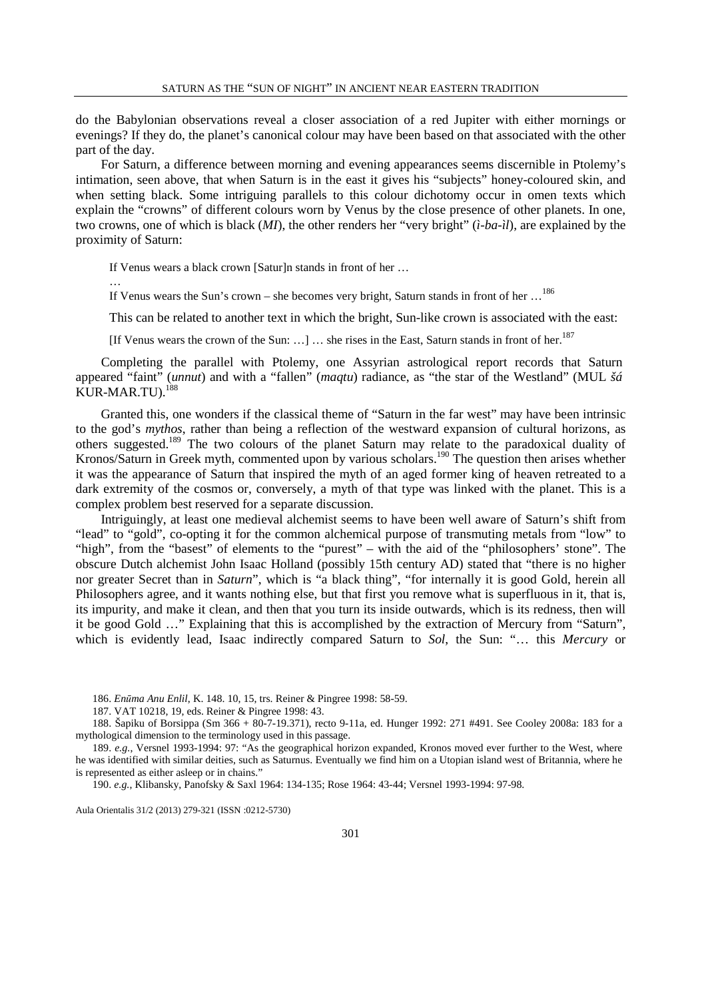do the Babylonian observations reveal a closer association of a red Jupiter with either mornings or evenings? If they do, the planet's canonical colour may have been based on that associated with the other part of the day.

For Saturn, a difference between morning and evening appearances seems discernible in Ptolemy's intimation, seen above, that when Saturn is in the east it gives his "subjects" honey-coloured skin, and when setting black. Some intriguing parallels to this colour dichotomy occur in omen texts which explain the "crowns" of different colours worn by Venus by the close presence of other planets. In one, two crowns, one of which is black (*MI*), the other renders her "very bright" (*ì-ba-ìl*), are explained by the proximity of Saturn:

If Venus wears a black crown [Saturln stands in front of her ...

…

If Venus wears the Sun's crown – she becomes very bright, Saturn stands in front of her  $\ldots^{186}$ 

This can be related to another text in which the bright, Sun-like crown is associated with the east:

[If Venus wears the crown of the Sun: ...] ... she rises in the East, Saturn stands in front of her.<sup>187</sup>

Completing the parallel with Ptolemy, one Assyrian astrological report records that Saturn appeared "faint" (*unnut*) and with a "fallen" (*maqtu*) radiance, as "the star of the Westland" (MUL *šá* KUR-MAR.TU).<sup>188</sup>

Granted this, one wonders if the classical theme of "Saturn in the far west" may have been intrinsic to the god's *mythos*, rather than being a reflection of the westward expansion of cultural horizons, as others suggested.<sup>189</sup> The two colours of the planet Saturn may relate to the paradoxical duality of Kronos/Saturn in Greek myth, commented upon by various scholars.<sup>190</sup> The question then arises whether it was the appearance of Saturn that inspired the myth of an aged former king of heaven retreated to a dark extremity of the cosmos or, conversely, a myth of that type was linked with the planet. This is a complex problem best reserved for a separate discussion.

Intriguingly, at least one medieval alchemist seems to have been well aware of Saturn's shift from "lead" to "gold", co-opting it for the common alchemical purpose of transmuting metals from "low" to "high", from the "basest" of elements to the "purest" – with the aid of the "philosophers' stone". The obscure Dutch alchemist John Isaac Holland (possibly 15th century AD) stated that "there is no higher nor greater Secret than in *Saturn*", which is "a black thing", "for internally it is good Gold, herein all Philosophers agree, and it wants nothing else, but that first you remove what is superfluous in it, that is, its impurity, and make it clean, and then that you turn its inside outwards, which is its redness, then will it be good Gold …" Explaining that this is accomplished by the extraction of Mercury from "Saturn", which is evidently lead, Isaac indirectly compared Saturn to *Sol*, the Sun: "… this *Mercury* or

186. *Enūma Anu Enlil*, K. 148. 10, 15, trs. Reiner & Pingree 1998: 58-59.

187. VAT 10218, 19, eds. Reiner & Pingree 1998: 43.

188. Šapiku of Borsippa (Sm 366 + 80-7-19.371), recto 9-11a, ed. Hunger 1992: 271 #491. See Cooley 2008a: 183 for a mythological dimension to the terminology used in this passage.

189. *e.g.*, Versnel 1993-1994: 97: "As the geographical horizon expanded, Kronos moved ever further to the West, where he was identified with similar deities, such as Saturnus. Eventually we find him on a Utopian island west of Britannia, where he is represented as either asleep or in chains.'

190. *e.g.*, Klibansky, Panofsky & Saxl 1964: 134-135; Rose 1964: 43-44; Versnel 1993-1994: 97-98.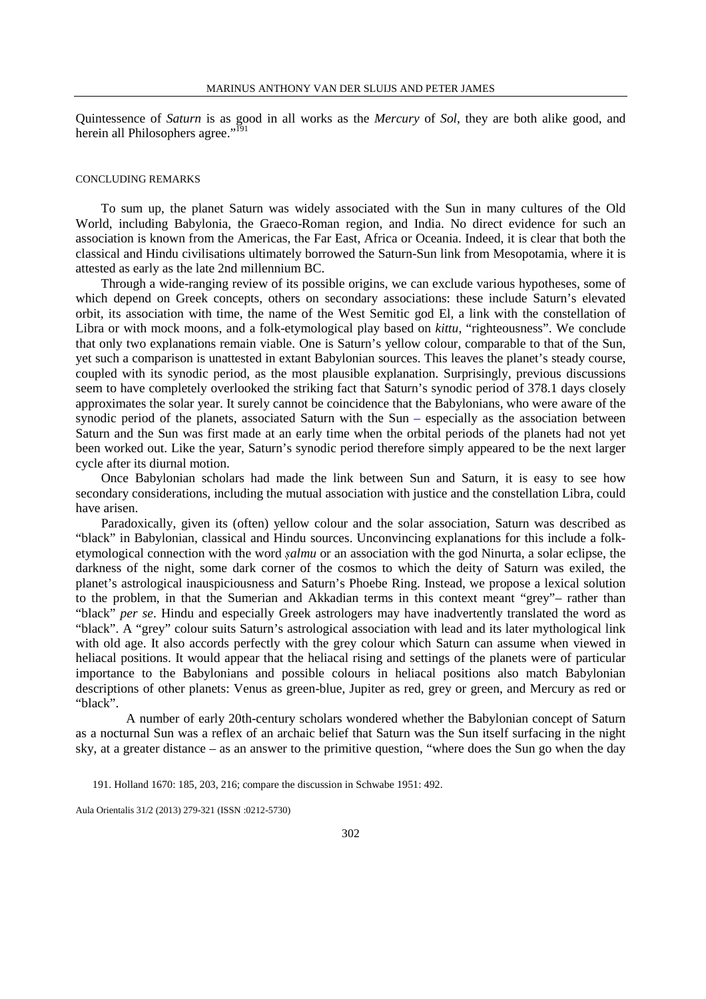Quintessence of *Saturn* is as good in all works as the *Mercury* of *Sol*, they are both alike good, and herein all Philosophers agree."<sup>191</sup>

#### CONCLUDING REMARKS

To sum up, the planet Saturn was widely associated with the Sun in many cultures of the Old World, including Babylonia, the Graeco-Roman region, and India. No direct evidence for such an association is known from the Americas, the Far East, Africa or Oceania. Indeed, it is clear that both the classical and Hindu civilisations ultimately borrowed the Saturn-Sun link from Mesopotamia, where it is attested as early as the late 2nd millennium BC.

Through a wide-ranging review of its possible origins, we can exclude various hypotheses, some of which depend on Greek concepts, others on secondary associations: these include Saturn's elevated orbit, its association with time, the name of the West Semitic god El, a link with the constellation of Libra or with mock moons, and a folk-etymological play based on *kittu*, "righteousness". We conclude that only two explanations remain viable. One is Saturn's yellow colour, comparable to that of the Sun, yet such a comparison is unattested in extant Babylonian sources. This leaves the planet's steady course, coupled with its synodic period, as the most plausible explanation. Surprisingly, previous discussions seem to have completely overlooked the striking fact that Saturn's synodic period of 378.1 days closely approximates the solar year. It surely cannot be coincidence that the Babylonians, who were aware of the synodic period of the planets, associated Saturn with the Sun – especially as the association between Saturn and the Sun was first made at an early time when the orbital periods of the planets had not yet been worked out. Like the year, Saturn's synodic period therefore simply appeared to be the next larger cycle after its diurnal motion.

Once Babylonian scholars had made the link between Sun and Saturn, it is easy to see how secondary considerations, including the mutual association with justice and the constellation Libra, could have arisen.

Paradoxically, given its (often) yellow colour and the solar association, Saturn was described as "black" in Babylonian, classical and Hindu sources. Unconvincing explanations for this include a folketymological connection with the word *ṣalmu* or an association with the god Ninurta, a solar eclipse, the darkness of the night, some dark corner of the cosmos to which the deity of Saturn was exiled, the planet's astrological inauspiciousness and Saturn's Phoebe Ring. Instead, we propose a lexical solution to the problem, in that the Sumerian and Akkadian terms in this context meant "grey"– rather than "black" *per se*. Hindu and especially Greek astrologers may have inadvertently translated the word as "black". A "grey" colour suits Saturn's astrological association with lead and its later mythological link with old age. It also accords perfectly with the grey colour which Saturn can assume when viewed in heliacal positions. It would appear that the heliacal rising and settings of the planets were of particular importance to the Babylonians and possible colours in heliacal positions also match Babylonian descriptions of other planets: Venus as green-blue, Jupiter as red, grey or green, and Mercury as red or "black".

 A number of early 20th-century scholars wondered whether the Babylonian concept of Saturn as a nocturnal Sun was a reflex of an archaic belief that Saturn was the Sun itself surfacing in the night sky, at a greater distance – as an answer to the primitive question, "where does the Sun go when the day

<sup>191.</sup> Holland 1670: 185, 203, 216; compare the discussion in Schwabe 1951: 492.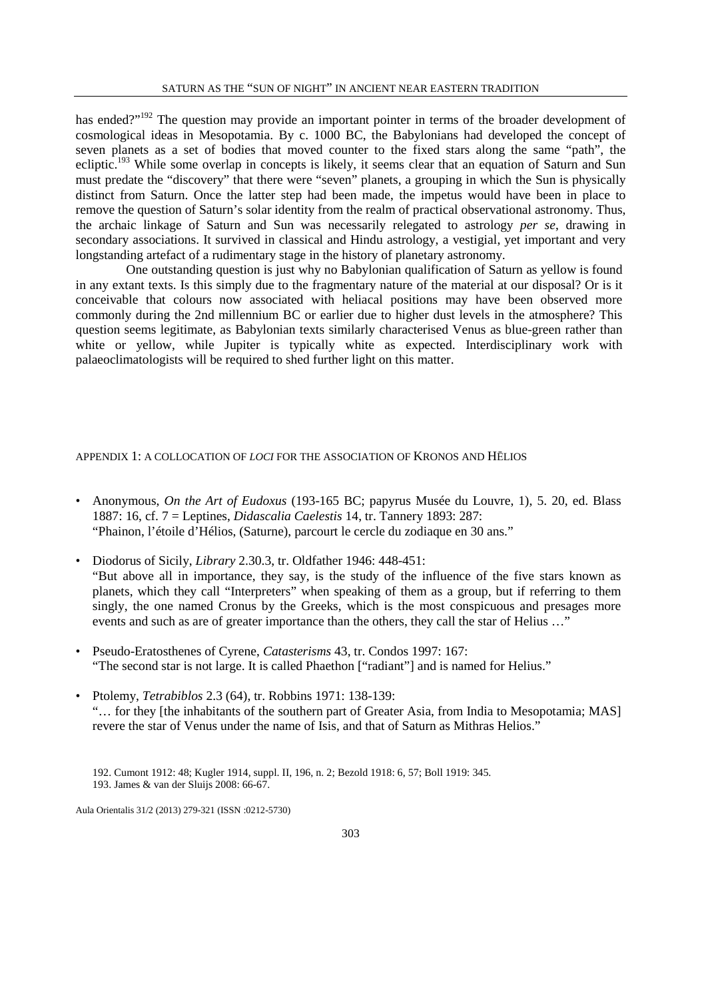has ended?"<sup>192</sup> The question may provide an important pointer in terms of the broader development of cosmological ideas in Mesopotamia. By c. 1000 BC, the Babylonians had developed the concept of seven planets as a set of bodies that moved counter to the fixed stars along the same "path", the ecliptic.<sup>193</sup> While some overlap in concepts is likely, it seems clear that an equation of Saturn and Sun must predate the "discovery" that there were "seven" planets, a grouping in which the Sun is physically distinct from Saturn. Once the latter step had been made, the impetus would have been in place to remove the question of Saturn's solar identity from the realm of practical observational astronomy. Thus, the archaic linkage of Saturn and Sun was necessarily relegated to astrology *per se*, drawing in secondary associations. It survived in classical and Hindu astrology, a vestigial, yet important and very longstanding artefact of a rudimentary stage in the history of planetary astronomy.

 One outstanding question is just why no Babylonian qualification of Saturn as yellow is found in any extant texts. Is this simply due to the fragmentary nature of the material at our disposal? Or is it conceivable that colours now associated with heliacal positions may have been observed more commonly during the 2nd millennium BC or earlier due to higher dust levels in the atmosphere? This question seems legitimate, as Babylonian texts similarly characterised Venus as blue-green rather than white or yellow, while Jupiter is typically white as expected. Interdisciplinary work with palaeoclimatologists will be required to shed further light on this matter.

### APPENDIX 1: A COLLOCATION OF *LOCI* FOR THE ASSOCIATION OF KRONOS AND HĒLIOS

- Anonymous, *On the Art of Eudoxus* (193-165 BC; papyrus Musée du Louvre, 1), 5. 20, ed. Blass 1887: 16, cf. 7 = Leptines, *Didascalia Caelestis* 14, tr. Tannery 1893: 287: "Phainon, l'étoile d'Hélios, (Saturne), parcourt le cercle du zodiaque en 30 ans."
- Diodorus of Sicily, *Library* 2.30.3, tr. Oldfather 1946: 448-451: "But above all in importance, they say, is the study of the influence of the five stars known as planets, which they call "Interpreters" when speaking of them as a group, but if referring to them singly, the one named Cronus by the Greeks, which is the most conspicuous and presages more events and such as are of greater importance than the others, they call the star of Helius …"
- Pseudo-Eratosthenes of Cyrene, *Catasterisms* 43, tr. Condos 1997: 167: "The second star is not large. It is called Phaethon ["radiant"] and is named for Helius."
- Ptolemy, *Tetrabiblos* 2.3 (64), tr. Robbins 1971: 138-139: "… for they [the inhabitants of the southern part of Greater Asia, from India to Mesopotamia; MAS] revere the star of Venus under the name of Isis, and that of Saturn as Mithras Helios."

192. Cumont 1912: 48; Kugler 1914, suppl. II, 196, n. 2; Bezold 1918: 6, 57; Boll 1919: 345. 193. James & van der Sluijs 2008: 66-67.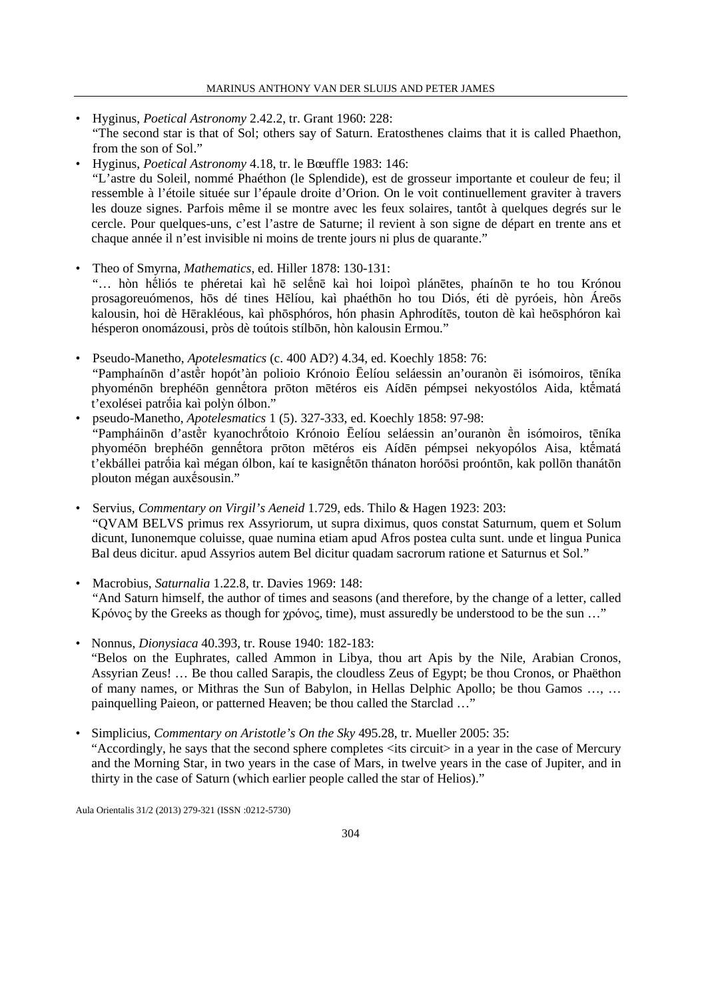- Hyginus, *Poetical Astronomy* 2.42.2, tr. Grant 1960: 228: "The second star is that of Sol; others say of Saturn. Eratosthenes claims that it is called Phaethon, from the son of Sol."
- Hyginus, *Poetical Astronomy* 4.18, tr. le Bœuffle 1983: 146: "L'astre du Soleil, nommé Phaéthon (le Splendide), est de grosseur importante et couleur de feu; il ressemble à l'étoile située sur l'épaule droite d'Orion. On le voit continuellement graviter à travers les douze signes. Parfois même il se montre avec les feux solaires, tantôt à quelques degrés sur le cercle. Pour quelques-uns, c'est l'astre de Saturne; il revient à son signe de départ en trente ans et chaque année il n'est invisible ni moins de trente jours ni plus de quarante."
- Theo of Smyrna, *Mathematics*, ed. Hiller 1878: 130-131: "… hòn hḗliós te phéretai kaì hē selḗnē kaì hoi loipoì plánētes, phaínōn te ho tou Krónou prosagoreuómenos, hōs dé tines Hēlíou, kaì phaéthōn ho tou Diós, éti dè pyróeis, hòn Áreōs kalousin, hoi dè Hērakléous, kaì phōsphóros, hón phasin Aphrodítēs, touton dè kaì heōsphóron kaì hésperon onomázousi, pròs dè toútois stílbōn, hòn kalousin Ermou."
- Pseudo-Manetho, *Apotelesmatics* (c. 400 AD?) 4.34, ed. Koechly 1858: 76: "Pamphaínōn d'astḕr hopót'àn polioio Krónoio Ēelíou seláessin an'ouranòn ēi isómoiros, tēníka phyoménōn brephéōn gennḗtora prōton mētéros eis Aídēn pémpsei nekyostólos Aida, ktḗmatá t'exolései patrṓia kaì polỳn ólbon."
- pseudo-Manetho, *Apotelesmatics* 1 (5). 327-333, ed. Koechly 1858: 97-98: "Pampháinōn d'astḕr kyanochrṓtoio Krónoio Ēelíou seláessin an'ouranòn ḕn isómoiros, tēníka phyoméōn brephéōn gennḗtora prōton mētéros eis Aídēn pémpsei nekyopólos Aisa, ktḗmatá t'ekbállei patrṓia kaì mégan ólbon, kaí te kasignḗtōn thánaton horóōsi proóntōn, kak pollōn thanátōn plouton mégan auxḗsousin."
- Servius, *Commentary on Virgil's Aeneid* 1.729, eds. Thilo & Hagen 1923: 203: "QVAM BELVS primus rex Assyriorum, ut supra diximus, quos constat Saturnum, quem et Solum dicunt, Iunonemque coluisse, quae numina etiam apud Afros postea culta sunt. unde et lingua Punica Bal deus dicitur. apud Assyrios autem Bel dicitur quadam sacrorum ratione et Saturnus et Sol."
- Macrobius, *Saturnalia* 1.22.8, tr. Davies 1969: 148: "And Saturn himself, the author of times and seasons (and therefore, by the change of a letter, called Κρόνος by the Greeks as though for χρόνος, time), must assuredly be understood to be the sun …"
- Nonnus, *Dionysiaca* 40.393, tr. Rouse 1940: 182-183: "Belos on the Euphrates, called Ammon in Libya, thou art Apis by the Nile, Arabian Cronos, Assyrian Zeus! … Be thou called Sarapis, the cloudless Zeus of Egypt; be thou Cronos, or Phaëthon of many names, or Mithras the Sun of Babylon, in Hellas Delphic Apollo; be thou Gamos …, … painquelling Paieon, or patterned Heaven; be thou called the Starclad …"
- Simplicius, *Commentary on Aristotle's On the Sky* 495.28, tr. Mueller 2005: 35: "Accordingly, he says that the second sphere completes <its circuit> in a year in the case of Mercury and the Morning Star, in two years in the case of Mars, in twelve years in the case of Jupiter, and in thirty in the case of Saturn (which earlier people called the star of Helios)."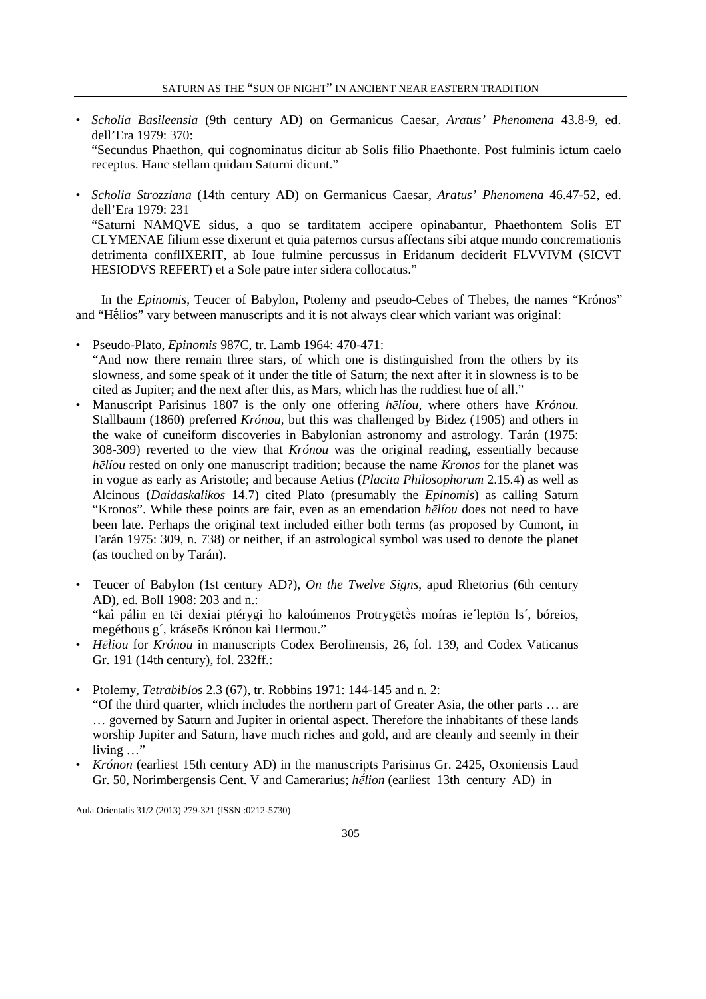- *Scholia Basileensia* (9th century AD) on Germanicus Caesar, *Aratus' Phenomena* 43.8-9, ed. dell'Era 1979: 370: "Secundus Phaethon, qui cognominatus dicitur ab Solis filio Phaethonte. Post fulminis ictum caelo receptus. Hanc stellam quidam Saturni dicunt."
- *Scholia Strozziana* (14th century AD) on Germanicus Caesar, *Aratus' Phenomena* 46.47-52, ed. dell'Era 1979: 231 "Saturni NAMQVE sidus, a quo se tarditatem accipere opinabantur, Phaethontem Solis ET CLYMENAE filium esse dixerunt et quia paternos cursus affectans sibi atque mundo concremationis detrimenta conflIXERIT, ab Ioue fulmine percussus in Eridanum deciderit FLVVIVM (SICVT HESIODVS REFERT) et a Sole patre inter sidera collocatus."

In the *Epinomis*, Teucer of Babylon, Ptolemy and pseudo-Cebes of Thebes, the names "Krónos" and "Hḗlios" vary between manuscripts and it is not always clear which variant was original:

- Pseudo-Plato, *Epinomis* 987C, tr. Lamb 1964: 470-471: "And now there remain three stars, of which one is distinguished from the others by its slowness, and some speak of it under the title of Saturn; the next after it in slowness is to be cited as Jupiter; and the next after this, as Mars, which has the ruddiest hue of all."
- Manuscript Parisinus 1807 is the only one offering *hēlíou*, where others have *Krónou*. Stallbaum (1860) preferred *Krónou*, but this was challenged by Bidez (1905) and others in the wake of cuneiform discoveries in Babylonian astronomy and astrology. Tarán (1975: 308-309) reverted to the view that *Krónou* was the original reading, essentially because *hēlíou* rested on only one manuscript tradition; because the name *Kronos* for the planet was in vogue as early as Aristotle; and because Aetius (*Placita Philosophorum* 2.15.4) as well as Alcinous (*Daidaskalikos* 14.7) cited Plato (presumably the *Epinomis*) as calling Saturn "Kronos". While these points are fair, even as an emendation *hēlíou* does not need to have been late. Perhaps the original text included either both terms (as proposed by Cumont, in Tarán 1975: 309, n. 738) or neither, if an astrological symbol was used to denote the planet (as touched on by Tarán).
- Teucer of Babylon (1st century AD?), *On the Twelve Signs*, apud Rhetorius (6th century AD), ed. Boll 1908: 203 and n.: "kaì pálin en tēi dexiai ptérygi ho kaloúmenos Protrygētḕs moíras ie´leptōn ls´, bóreios, megéthous g´, kráseōs Krónou kaì Hermou."
- *Hēliou* for *Krónou* in manuscripts Codex Berolinensis, 26, fol. 139, and Codex Vaticanus Gr. 191 (14th century), fol. 232ff.:
- Ptolemy, *Tetrabiblos* 2.3 (67), tr. Robbins 1971: 144-145 and n. 2: "Of the third quarter, which includes the northern part of Greater Asia, the other parts … are … governed by Saturn and Jupiter in oriental aspect. Therefore the inhabitants of these lands worship Jupiter and Saturn, have much riches and gold, and are cleanly and seemly in their living …"
- *Krónon* (earliest 15th century AD) in the manuscripts Parisinus Gr. 2425, Oxoniensis Laud Gr. 50, Norimbergensis Cent. V and Camerarius; *hḗlion* (earliest 13th century AD) in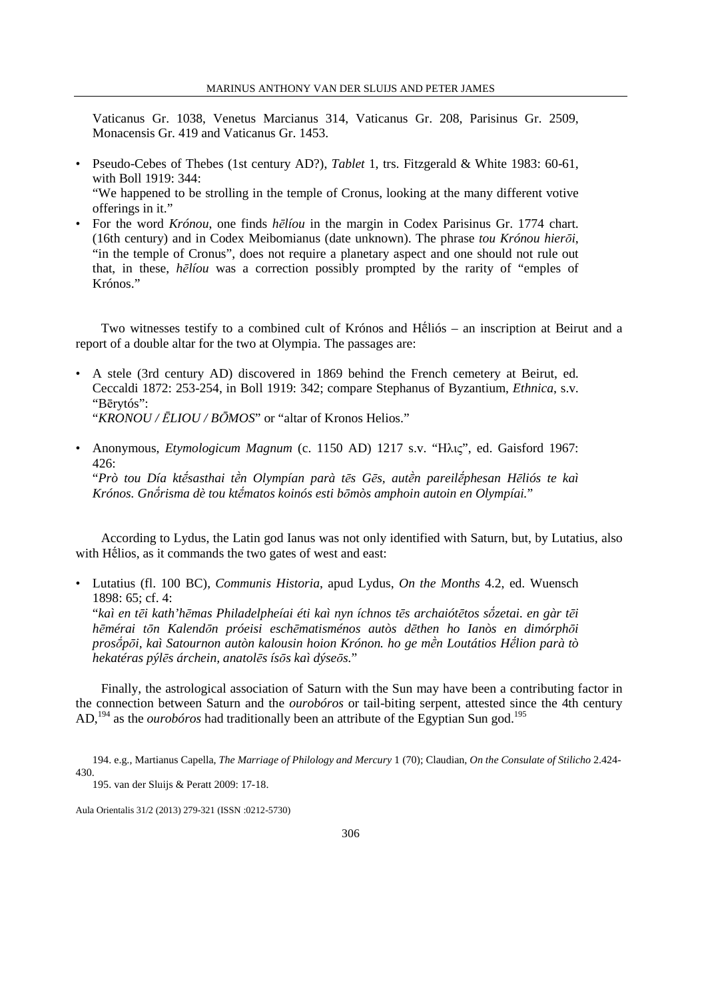Vaticanus Gr. 1038, Venetus Marcianus 314, Vaticanus Gr. 208, Parisinus Gr. 2509, Monacensis Gr. 419 and Vaticanus Gr. 1453.

- Pseudo-Cebes of Thebes (1st century AD?), *Tablet* 1, trs. Fitzgerald & White 1983: 60-61, with Boll 1919: 344: "We happened to be strolling in the temple of Cronus, looking at the many different votive offerings in it."
- For the word *Krónou*, one finds *hēlíou* in the margin in Codex Parisinus Gr. 1774 chart. (16th century) and in Codex Meibomianus (date unknown). The phrase *tou Krónou hierōi*, "in the temple of Cronus", does not require a planetary aspect and one should not rule out that, in these, *hēlíou* was a correction possibly prompted by the rarity of "emples of Krónos."

Two witnesses testify to a combined cult of Krónos and Hḗliós – an inscription at Beirut and a report of a double altar for the two at Olympia. The passages are:

• A stele (3rd century AD) discovered in 1869 behind the French cemetery at Beirut, ed. Ceccaldi 1872: 253-254, in Boll 1919: 342; compare Stephanus of Byzantium, *Ethnica*, s.v. "Bērytós":

"*KRONOU / ĒLIOU / BŌMOS*" or "altar of Kronos Helios."

• Anonymous, *Etymologicum Magnum* (c. 1150 AD) 1217 s.v. "Ηλις", ed. Gaisford 1967:  $426$ "*Prò tou Día ktḗsasthai tḕn Olympían parà tēs Gēs, autḕn pareilḗphesan Hēliós te kaì Krónos. Gnṓrisma dè tou ktḗmatos koinós esti bōmòs amphoin autoin en Olympíai.*"

According to Lydus, the Latin god Ianus was not only identified with Saturn, but, by Lutatius, also with Hḗlios, as it commands the two gates of west and east:

• Lutatius (fl. 100 BC), *Communis Historia*, apud Lydus, *On the Months* 4.2, ed. Wuensch 1898: 65; cf. 4: "*kaì en tēi kath'hēmas Philadelpheíai éti kaì nyn íchnos tēs archaiótētos sṓzetai. en gàr tēi hēmérai tōn Kalendōn próeisi eschēmatisménos autòs dēthen ho Ianòs en dimórphōi prosṓpōi, kaì Satournon autòn kalousin hoion Krónon. ho ge mḕn Loutátios Hḗlion parà tò hekatéras pýlēs árchein, anatolēs ísōs kaì dýseōs.*"

Finally, the astrological association of Saturn with the Sun may have been a contributing factor in the connection between Saturn and the *ourobóros* or tail-biting serpent, attested since the 4th century AD,<sup>194</sup> as the *ourobóros* had traditionally been an attribute of the Egyptian Sun god.<sup>195</sup>

<sup>194.</sup> e.g., Martianus Capella, *The Marriage of Philology and Mercury* 1 (70); Claudian, *On the Consulate of Stilicho* 2.424- 430.

<sup>195.</sup> van der Sluijs & Peratt 2009: 17-18.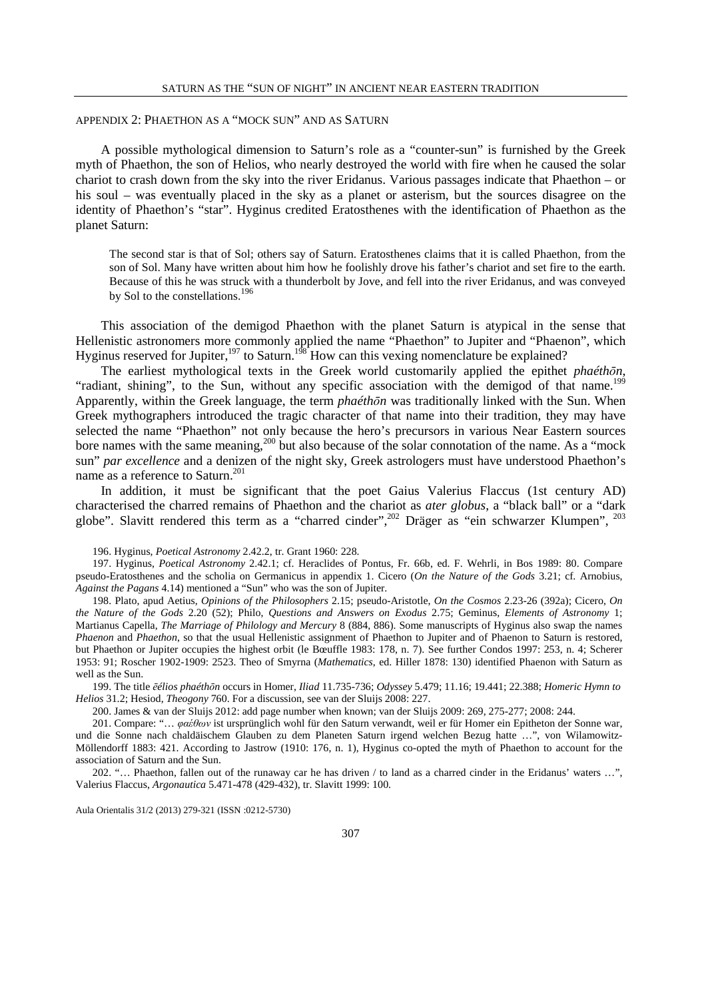#### APPENDIX 2: PHAETHON AS A "MOCK SUN" AND AS SATURN

A possible mythological dimension to Saturn's role as a "counter-sun" is furnished by the Greek myth of Phaethon, the son of Helios, who nearly destroyed the world with fire when he caused the solar chariot to crash down from the sky into the river Eridanus. Various passages indicate that Phaethon – or his soul – was eventually placed in the sky as a planet or asterism, but the sources disagree on the identity of Phaethon's "star". Hyginus credited Eratosthenes with the identification of Phaethon as the planet Saturn:

The second star is that of Sol; others say of Saturn. Eratosthenes claims that it is called Phaethon, from the son of Sol. Many have written about him how he foolishly drove his father's chariot and set fire to the earth. Because of this he was struck with a thunderbolt by Jove, and fell into the river Eridanus, and was conveyed by Sol to the constellations.<sup>196</sup>

This association of the demigod Phaethon with the planet Saturn is atypical in the sense that Hellenistic astronomers more commonly applied the name "Phaethon" to Jupiter and "Phaenon", which Hyginus reserved for Jupiter,<sup>197</sup> to Saturn.<sup>198</sup> How can this vexing nomenclature be explained?

The earliest mythological texts in the Greek world customarily applied the epithet *phaéthōn*, "radiant, shining", to the Sun, without any specific association with the demigod of that name.<sup>199</sup> Apparently, within the Greek language, the term *phaéthōn* was traditionally linked with the Sun. When Greek mythographers introduced the tragic character of that name into their tradition, they may have selected the name "Phaethon" not only because the hero's precursors in various Near Eastern sources bore names with the same meaning,<sup>200</sup> but also because of the solar connotation of the name. As a "mock" sun" *par excellence* and a denizen of the night sky, Greek astrologers must have understood Phaethon's name as a reference to Saturn.<sup>201</sup>

In addition, it must be significant that the poet Gaius Valerius Flaccus (1st century AD) characterised the charred remains of Phaethon and the chariot as *ater globus*, a "black ball" or a "dark globe". Slavitt rendered this term as a "charred cinder",<sup>202</sup> Dräger as "ein schwarzer Klumpen", <sup>203</sup>

196. Hyginus, *Poetical Astronomy* 2.42.2, tr. Grant 1960: 228.

197. Hyginus, *Poetical Astronomy* 2.42.1; cf. Heraclides of Pontus, Fr. 66b, ed. F. Wehrli, in Bos 1989: 80. Compare pseudo-Eratosthenes and the scholia on Germanicus in appendix 1. Cicero (*On the Nature of the Gods* 3.21; cf. Arnobius, *Against the Pagans* 4.14) mentioned a "Sun" who was the son of Jupiter.

198. Plato, apud Aetius, *Opinions of the Philosophers* 2.15; pseudo-Aristotle, *On the Cosmos* 2.23-26 (392a); Cicero, *On the Nature of the Gods* 2.20 (52); Philo, *Questions and Answers on Exodus* 2.75; Geminus, *Elements of Astronomy* 1; Martianus Capella, *The Marriage of Philology and Mercury* 8 (884, 886). Some manuscripts of Hyginus also swap the names *Phaenon* and *Phaethon*, so that the usual Hellenistic assignment of Phaethon to Jupiter and of Phaenon to Saturn is restored, but Phaethon or Jupiter occupies the highest orbit (le Bœuffle 1983: 178, n. 7). See further Condos 1997: 253, n. 4; Scherer 1953: 91; Roscher 1902-1909: 2523. Theo of Smyrna (*Mathematics*, ed. Hiller 1878: 130) identified Phaenon with Saturn as well as the Sun.

199. The title *ēélios phaéthōn* occurs in Homer, *Iliad* 11.735-736; *Odyssey* 5.479; 11.16; 19.441; 22.388; *Homeric Hymn to Helios* 31.2; Hesiod, *Theogony* 760. For a discussion, see van der Sluijs 2008: 227.

200. James & van der Sluijs 2012: add page number when known; van der Sluijs 2009: 269, 275-277; 2008: 244.

201. Compare: "… *φαέθων* ist ursprünglich wohl für den Saturn verwandt, weil er für Homer ein Epitheton der Sonne war, und die Sonne nach chaldäischem Glauben zu dem Planeten Saturn irgend welchen Bezug hatte …", von Wilamowitz-Möllendorff 1883: 421. According to Jastrow (1910: 176, n. 1), Hyginus co-opted the myth of Phaethon to account for the association of Saturn and the Sun.

202. "… Phaethon, fallen out of the runaway car he has driven / to land as a charred cinder in the Eridanus' waters …", Valerius Flaccus, *Argonautica* 5.471-478 (429-432), tr. Slavitt 1999: 100.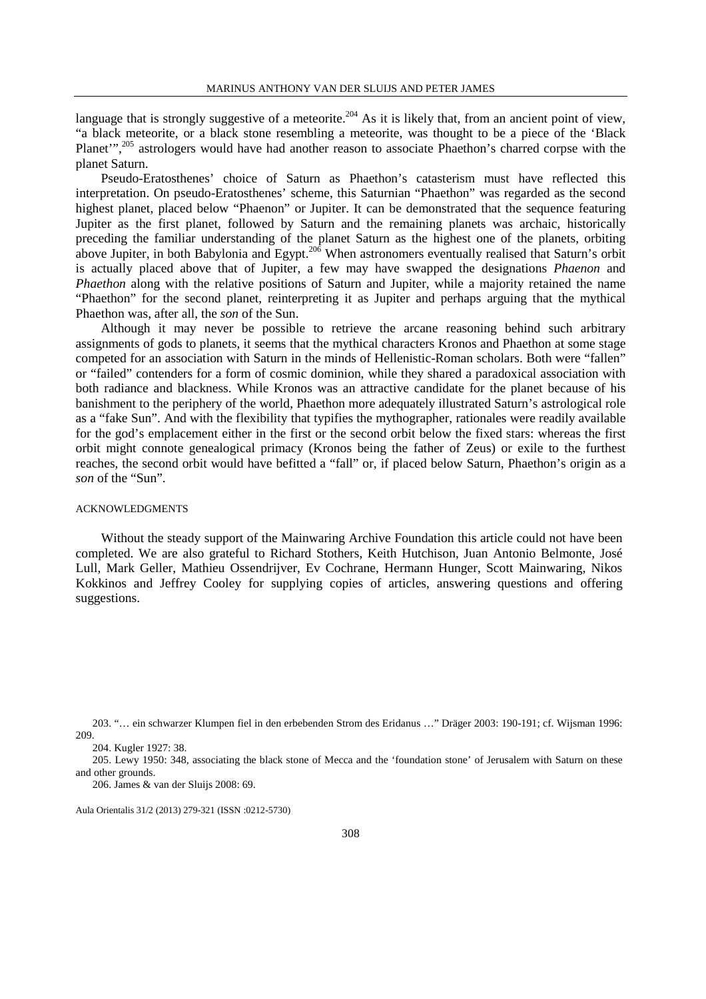language that is strongly suggestive of a meteorite.<sup>204</sup> As it is likely that, from an ancient point of view, "a black meteorite, or a black stone resembling a meteorite, was thought to be a piece of the 'Black Planet",<sup>205</sup> astrologers would have had another reason to associate Phaethon's charred corpse with the planet Saturn.

Pseudo-Eratosthenes' choice of Saturn as Phaethon's catasterism must have reflected this interpretation. On pseudo-Eratosthenes' scheme, this Saturnian "Phaethon" was regarded as the second highest planet, placed below "Phaenon" or Jupiter. It can be demonstrated that the sequence featuring Jupiter as the first planet, followed by Saturn and the remaining planets was archaic, historically preceding the familiar understanding of the planet Saturn as the highest one of the planets, orbiting above Jupiter, in both Babylonia and Egypt.<sup>206</sup> When astronomers eventually realised that Saturn's orbit is actually placed above that of Jupiter, a few may have swapped the designations *Phaenon* and *Phaethon* along with the relative positions of Saturn and Jupiter, while a majority retained the name "Phaethon" for the second planet, reinterpreting it as Jupiter and perhaps arguing that the mythical Phaethon was, after all, the *son* of the Sun.

Although it may never be possible to retrieve the arcane reasoning behind such arbitrary assignments of gods to planets, it seems that the mythical characters Kronos and Phaethon at some stage competed for an association with Saturn in the minds of Hellenistic-Roman scholars. Both were "fallen" or "failed" contenders for a form of cosmic dominion, while they shared a paradoxical association with both radiance and blackness. While Kronos was an attractive candidate for the planet because of his banishment to the periphery of the world, Phaethon more adequately illustrated Saturn's astrological role as a "fake Sun". And with the flexibility that typifies the mythographer, rationales were readily available for the god's emplacement either in the first or the second orbit below the fixed stars: whereas the first orbit might connote genealogical primacy (Kronos being the father of Zeus) or exile to the furthest reaches, the second orbit would have befitted a "fall" or, if placed below Saturn, Phaethon's origin as a *son* of the "Sun".

#### ACKNOWLEDGMENTS

Without the steady support of the Mainwaring Archive Foundation this article could not have been completed. We are also grateful to Richard Stothers, Keith Hutchison, Juan Antonio Belmonte, José Lull, Mark Geller, Mathieu Ossendrijver, Ev Cochrane, Hermann Hunger, Scott Mainwaring, Nikos Kokkinos and Jeffrey Cooley for supplying copies of articles, answering questions and offering suggestions.

<sup>203. &</sup>quot;… ein schwarzer Klumpen fiel in den erbebenden Strom des Eridanus …" Dräger 2003: 190-191; cf. Wijsman 1996: 209.

<sup>204.</sup> Kugler 1927: 38.

<sup>205.</sup> Lewy 1950: 348, associating the black stone of Mecca and the 'foundation stone' of Jerusalem with Saturn on these and other grounds.

<sup>206.</sup> James & van der Sluijs 2008: 69.

Aula Orientalis 31/2 (2013) 279-321 (ISSN :0212-5730)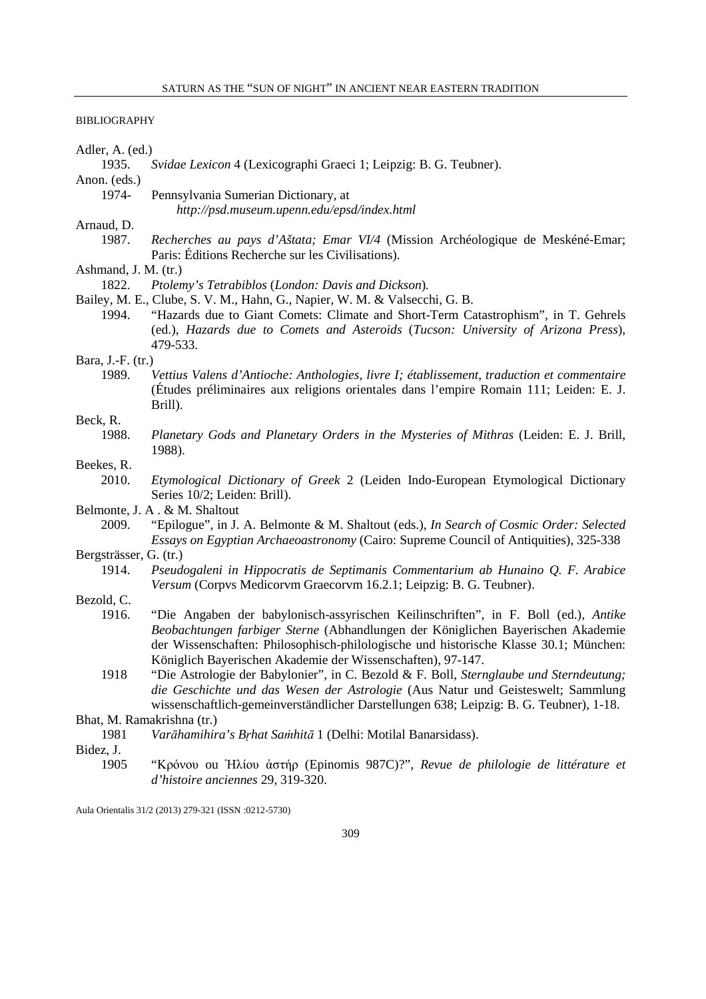# BIBLIOGRAPHY

| Adler, A. (ed.)        |                                                                                                                                                                                                                                                                                                                                 |
|------------------------|---------------------------------------------------------------------------------------------------------------------------------------------------------------------------------------------------------------------------------------------------------------------------------------------------------------------------------|
| 1935.                  | Svidae Lexicon 4 (Lexicographi Graeci 1; Leipzig: B. G. Teubner).                                                                                                                                                                                                                                                               |
| Anon. (eds.)           |                                                                                                                                                                                                                                                                                                                                 |
| 1974-                  | Pennsylvania Sumerian Dictionary, at                                                                                                                                                                                                                                                                                            |
|                        | http://psd.museum.upenn.edu/epsd/index.html                                                                                                                                                                                                                                                                                     |
| Arnaud, D.             |                                                                                                                                                                                                                                                                                                                                 |
| 1987.                  | Recherches au pays d'Aštata; Emar VI/4 (Mission Archéologique de Meskéné-Emar;<br>Paris: Éditions Recherche sur les Civilisations).                                                                                                                                                                                             |
| Ashmand, J. M. (tr.)   |                                                                                                                                                                                                                                                                                                                                 |
| 1822.                  | Ptolemy's Tetrabiblos (London: Davis and Dickson).                                                                                                                                                                                                                                                                              |
|                        | Bailey, M. E., Clube, S. V. M., Hahn, G., Napier, W. M. & Valsecchi, G. B.                                                                                                                                                                                                                                                      |
| 1994.                  | "Hazards due to Giant Comets: Climate and Short-Term Catastrophism", in T. Gehrels<br>(ed.), Hazards due to Comets and Asteroids (Tucson: University of Arizona Press),<br>479-533.                                                                                                                                             |
| Bara, J.-F. (tr.)      |                                                                                                                                                                                                                                                                                                                                 |
| 1989.                  | Vettius Valens d'Antioche: Anthologies, livre I; établissement, traduction et commentaire<br>(Études préliminaires aux religions orientales dans l'empire Romain 111; Leiden: E. J.<br>Brill).                                                                                                                                  |
| Beck, R.               |                                                                                                                                                                                                                                                                                                                                 |
| 1988.                  | Planetary Gods and Planetary Orders in the Mysteries of Mithras (Leiden: E. J. Brill,<br>1988).                                                                                                                                                                                                                                 |
| Beekes, R.             |                                                                                                                                                                                                                                                                                                                                 |
| 2010.                  | Etymological Dictionary of Greek 2 (Leiden Indo-European Etymological Dictionary<br>Series 10/2; Leiden: Brill).                                                                                                                                                                                                                |
|                        | Belmonte, J. A. & M. Shaltout                                                                                                                                                                                                                                                                                                   |
| 2009.                  | "Epilogue", in J. A. Belmonte & M. Shaltout (eds.), In Search of Cosmic Order: Selected<br><i>Essays on Egyptian Archaeoastronomy</i> (Cairo: Supreme Council of Antiquities), 325-338                                                                                                                                          |
| Bergsträsser, G. (tr.) |                                                                                                                                                                                                                                                                                                                                 |
| 1914.                  | Pseudogaleni in Hippocratis de Septimanis Commentarium ab Hunaino Q. F. Arabice<br>Versum (Corpvs Medicorvm Graecorvm 16.2.1; Leipzig: B. G. Teubner).                                                                                                                                                                          |
| Bezold, C.             |                                                                                                                                                                                                                                                                                                                                 |
| 1916.                  | "Die Angaben der babylonisch-assyrischen Keilinschriften", in F. Boll (ed.), Antike<br>Beobachtungen farbiger Sterne (Abhandlungen der Königlichen Bayerischen Akademie<br>der Wissenschaften: Philosophisch-philologische und historische Klasse 30.1; München:<br>Königlich Bayerischen Akademie der Wissenschaften), 97-147. |
| 1918                   | "Die Astrologie der Babylonier", in C. Bezold & F. Boll, Sternglaube und Sterndeutung;                                                                                                                                                                                                                                          |
|                        | die Geschichte und das Wesen der Astrologie (Aus Natur und Geisteswelt; Sammlung<br>wissenschaftlich-gemeinverständlicher Darstellungen 638; Leipzig: B. G. Teubner), 1-18.                                                                                                                                                     |
|                        | Bhat, M. Ramakrishna (tr.)                                                                                                                                                                                                                                                                                                      |
| 1981                   | Varāhamihira's Brhat Samhitā 1 (Delhi: Motilal Banarsidass).                                                                                                                                                                                                                                                                    |
| Bidez, J.              |                                                                                                                                                                                                                                                                                                                                 |
| 1905                   | "Κρόνου ου Ήλίου ἀστήρ (Epinomis 987C)?", Revue de philologie de littérature et<br>d'histoire anciennes 29, 319-320.                                                                                                                                                                                                            |
|                        |                                                                                                                                                                                                                                                                                                                                 |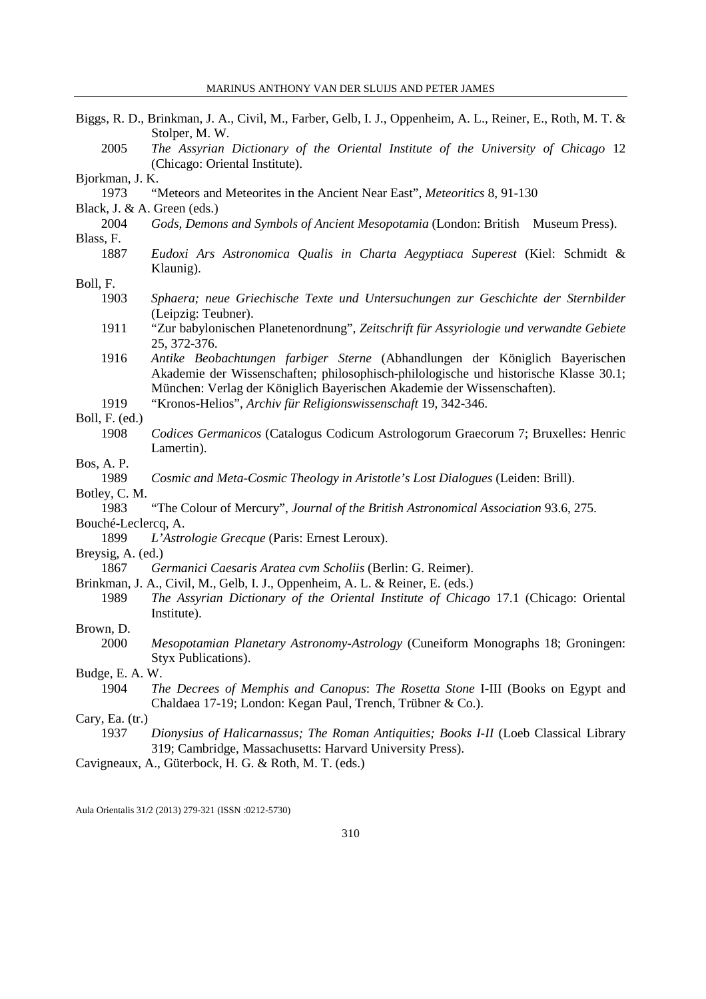|                     | Biggs, R. D., Brinkman, J. A., Civil, M., Farber, Gelb, I. J., Oppenheim, A. L., Reiner, E., Roth, M. T. &<br>Stolper, M. W.                                          |  |
|---------------------|-----------------------------------------------------------------------------------------------------------------------------------------------------------------------|--|
| 2005                | The Assyrian Dictionary of the Oriental Institute of the University of Chicago 12                                                                                     |  |
|                     | (Chicago: Oriental Institute).                                                                                                                                        |  |
| Bjorkman, J. K.     |                                                                                                                                                                       |  |
| 1973                | "Meteors and Meteorites in the Ancient Near East", Meteoritics 8, 91-130                                                                                              |  |
|                     | Black, J. & A. Green (eds.)                                                                                                                                           |  |
| 2004                | Gods, Demons and Symbols of Ancient Mesopotamia (London: British Museum Press).                                                                                       |  |
| Blass, F.           |                                                                                                                                                                       |  |
| 1887                | Eudoxi Ars Astronomica Qualis in Charta Aegyptiaca Superest (Kiel: Schmidt &<br>Klaunig).                                                                             |  |
| Boll, F.            |                                                                                                                                                                       |  |
| 1903                | Sphaera; neue Griechische Texte und Untersuchungen zur Geschichte der Sternbilder<br>(Leipzig: Teubner).                                                              |  |
| 1911                | "Zur babylonischen Planetenordnung", Zeitschrift für Assyriologie und verwandte Gebiete<br>25, 372-376.                                                               |  |
| 1916                | Antike Beobachtungen farbiger Sterne (Abhandlungen der Königlich Bayerischen<br>Akademie der Wissenschaften; philosophisch-philologische und historische Klasse 30.1; |  |
|                     | München: Verlag der Königlich Bayerischen Akademie der Wissenschaften).                                                                                               |  |
| 1919                | "Kronos-Helios", Archiv für Religionswissenschaft 19, 342-346.                                                                                                        |  |
| Boll, F. (ed.)      |                                                                                                                                                                       |  |
| 1908                | Codices Germanicos (Catalogus Codicum Astrologorum Graecorum 7; Bruxelles: Henric<br>Lamertin).                                                                       |  |
| Bos, A. P.          |                                                                                                                                                                       |  |
| 1989                | Cosmic and Meta-Cosmic Theology in Aristotle's Lost Dialogues (Leiden: Brill).                                                                                        |  |
| Botley, C. M.       |                                                                                                                                                                       |  |
| 1983                | "The Colour of Mercury", Journal of the British Astronomical Association 93.6, 275.                                                                                   |  |
| Bouché-Leclercq, A. |                                                                                                                                                                       |  |
| 1899                | L'Astrologie Grecque (Paris: Ernest Leroux).                                                                                                                          |  |
| Breysig, A. (ed.)   |                                                                                                                                                                       |  |
| 1867                | Germanici Caesaris Aratea cvm Scholiis (Berlin: G. Reimer).                                                                                                           |  |
|                     | Brinkman, J. A., Civil, M., Gelb, I. J., Oppenheim, A. L. & Reiner, E. (eds.)                                                                                         |  |
| 1989                | The Assyrian Dictionary of the Oriental Institute of Chicago 17.1 (Chicago: Oriental<br>Institute).                                                                   |  |
| Brown, D.           |                                                                                                                                                                       |  |
| 2000                | Mesopotamian Planetary Astronomy-Astrology (Cuneiform Monographs 18; Groningen:                                                                                       |  |
|                     | Styx Publications).                                                                                                                                                   |  |
| Budge, E. A. W.     |                                                                                                                                                                       |  |
| 1904                | The Decrees of Memphis and Canopus: The Rosetta Stone I-III (Books on Egypt and                                                                                       |  |
|                     | Chaldaea 17-19; London: Kegan Paul, Trench, Trübner & Co.).                                                                                                           |  |
| Cary, Ea. (tr.)     |                                                                                                                                                                       |  |
| 1937                | Dionysius of Halicarnassus; The Roman Antiquities; Books I-II (Loeb Classical Library<br>319; Cambridge, Massachusetts: Harvard University Press).                    |  |
|                     | Cavigneaux, A., Güterbock, H. G. & Roth, M. T. (eds.)                                                                                                                 |  |
|                     |                                                                                                                                                                       |  |
|                     |                                                                                                                                                                       |  |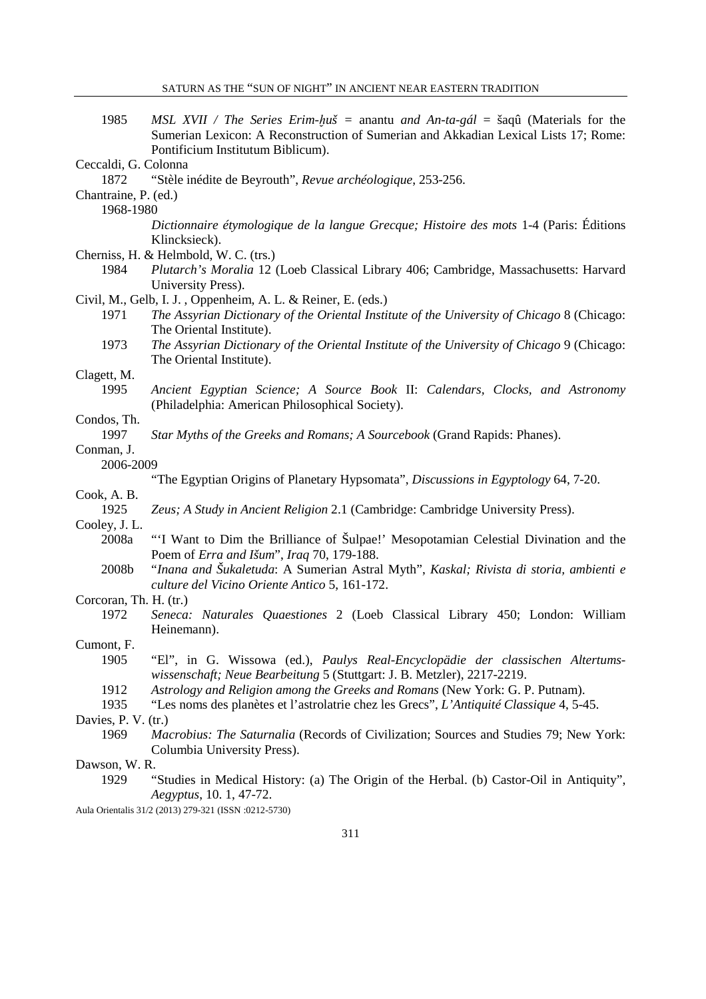| 1985                         | MSL XVII / The Series Erim-huš = anantu and An-ta-gál = šaqû (Materials for the<br>Sumerian Lexicon: A Reconstruction of Sumerian and Akkadian Lexical Lists 17; Rome: |
|------------------------------|------------------------------------------------------------------------------------------------------------------------------------------------------------------------|
|                              | Pontificium Institutum Biblicum).                                                                                                                                      |
| Ceccaldi, G. Colonna<br>1872 | "Stèle inédite de Beyrouth", Revue archéologique, 253-256.                                                                                                             |
|                              |                                                                                                                                                                        |
| Chantraine, P. (ed.)         |                                                                                                                                                                        |
| 1968-1980                    |                                                                                                                                                                        |
|                              | Dictionnaire étymologique de la langue Grecque; Histoire des mots 1-4 (Paris: Éditions<br>Klincksieck).                                                                |
|                              | Cherniss, H. & Helmbold, W. C. (trs.)                                                                                                                                  |
| 1984                         | Plutarch's Moralia 12 (Loeb Classical Library 406; Cambridge, Massachusetts: Harvard<br>University Press).                                                             |
|                              | Civil, M., Gelb, I. J., Oppenheim, A. L. & Reiner, E. (eds.)                                                                                                           |
| 1971                         | The Assyrian Dictionary of the Oriental Institute of the University of Chicago 8 (Chicago:<br>The Oriental Institute).                                                 |
| 1973                         | The Assyrian Dictionary of the Oriental Institute of the University of Chicago 9 (Chicago:<br>The Oriental Institute).                                                 |
| Clagett, M.                  |                                                                                                                                                                        |
| 1995                         | Ancient Egyptian Science; A Source Book II: Calendars, Clocks, and Astronomy<br>(Philadelphia: American Philosophical Society).                                        |
| Condos, Th.                  |                                                                                                                                                                        |
| 1997                         | Star Myths of the Greeks and Romans; A Sourcebook (Grand Rapids: Phanes).                                                                                              |
| Conman, J.                   |                                                                                                                                                                        |
| 2006-2009                    |                                                                                                                                                                        |
|                              | "The Egyptian Origins of Planetary Hypsomata", Discussions in Egyptology 64, 7-20.                                                                                     |
| Cook, A. B.                  |                                                                                                                                                                        |
| 1925                         | Zeus; A Study in Ancient Religion 2.1 (Cambridge: Cambridge University Press).                                                                                         |
| Cooley, J.L.                 |                                                                                                                                                                        |
| 2008a                        | "I Want to Dim the Brilliance of Šulpae!' Mesopotamian Celestial Divination and the<br>Poem of Erra and Išum", Iraq 70, 179-188.                                       |
| 2008b                        | "Inana and Šukaletuda: A Sumerian Astral Myth", Kaskal; Rivista di storia, ambienti e<br>culture del Vicino Oriente Antico 5, 161-172.                                 |
| Corcoran, Th. H. (tr.)       |                                                                                                                                                                        |
| 1972                         | Seneca: Naturales Quaestiones 2 (Loeb Classical Library 450; London: William<br>Heinemann).                                                                            |
| Cumont, F.                   |                                                                                                                                                                        |
| 1905                         | "El", in G. Wissowa (ed.), Paulys Real-Encyclopädie der classischen Altertums-<br>wissenschaft; Neue Bearbeitung 5 (Stuttgart: J. B. Metzler), 2217-2219.              |
| 1912                         | Astrology and Religion among the Greeks and Romans (New York: G. P. Putnam).                                                                                           |
| 1935                         | "Les noms des planètes et l'astrolatrie chez les Grecs", L'Antiquité Classique 4, 5-45.                                                                                |
| Davies, P. V. (tr.)          |                                                                                                                                                                        |
| 1969                         | Macrobius: The Saturnalia (Records of Civilization; Sources and Studies 79; New York:                                                                                  |
|                              | Columbia University Press).                                                                                                                                            |
| Dawson, W.R.                 |                                                                                                                                                                        |
| 1929                         | "Studies in Medical History: (a) The Origin of the Herbal. (b) Castor-Oil in Antiquity",<br>Aegyptus, 10. 1, 47-72.                                                    |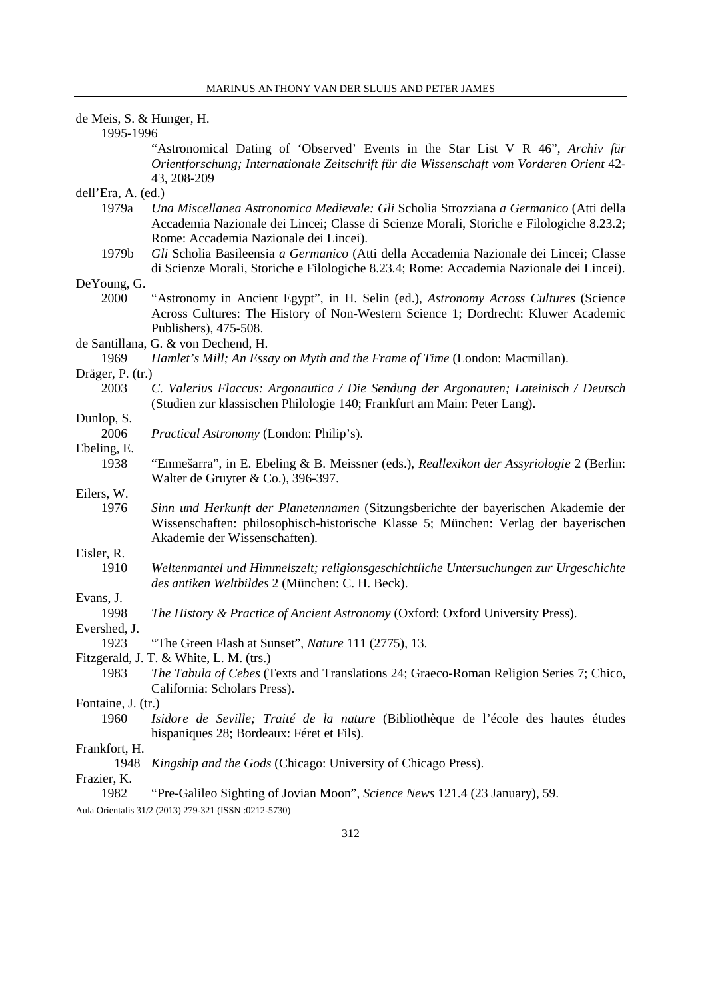| de Meis, S. & Hunger, H. |                                                                                                                                                                                                                             |  |
|--------------------------|-----------------------------------------------------------------------------------------------------------------------------------------------------------------------------------------------------------------------------|--|
| 1995-1996                |                                                                                                                                                                                                                             |  |
|                          | "Astronomical Dating of 'Observed' Events in the Star List V R 46", Archiv für<br>Orientforschung; Internationale Zeitschrift für die Wissenschaft vom Vorderen Orient 42-<br>43, 208-209                                   |  |
| dell'Era, A. (ed.)       |                                                                                                                                                                                                                             |  |
| 1979a                    | Una Miscellanea Astronomica Medievale: Gli Scholia Strozziana a Germanico (Atti della<br>Accademia Nazionale dei Lincei; Classe di Scienze Morali, Storiche e Filologiche 8.23.2;<br>Rome: Accademia Nazionale dei Lincei). |  |
| 1979b                    | Gli Scholia Basileensia a Germanico (Atti della Accademia Nazionale dei Lincei; Classe<br>di Scienze Morali, Storiche e Filologiche 8.23.4; Rome: Accademia Nazionale dei Lincei).                                          |  |
| DeYoung, G.              |                                                                                                                                                                                                                             |  |
| 2000                     | "Astronomy in Ancient Egypt", in H. Selin (ed.), Astronomy Across Cultures (Science<br>Across Cultures: The History of Non-Western Science 1; Dordrecht: Kluwer Academic<br>Publishers), 475-508.                           |  |
|                          | de Santillana, G. & von Dechend, H.                                                                                                                                                                                         |  |
| 1969                     | Hamlet's Mill; An Essay on Myth and the Frame of Time (London: Macmillan).                                                                                                                                                  |  |
| Dräger, P. (tr.)         |                                                                                                                                                                                                                             |  |
| 2003                     | C. Valerius Flaccus: Argonautica / Die Sendung der Argonauten; Lateinisch / Deutsch<br>(Studien zur klassischen Philologie 140; Frankfurt am Main: Peter Lang).                                                             |  |
| Dunlop, S.               |                                                                                                                                                                                                                             |  |
| 2006                     | <i>Practical Astronomy</i> (London: Philip's).                                                                                                                                                                              |  |
| Ebeling, E.              |                                                                                                                                                                                                                             |  |
| 1938                     | "Enmešarra", in E. Ebeling & B. Meissner (eds.), <i>Reallexikon der Assyriologie</i> 2 (Berlin:<br>Walter de Gruyter & Co.), 396-397.                                                                                       |  |
| Eilers, W.               |                                                                                                                                                                                                                             |  |
| 1976                     | Sinn und Herkunft der Planetennamen (Sitzungsberichte der bayerischen Akademie der<br>Wissenschaften: philosophisch-historische Klasse 5; München: Verlag der bayerischen<br>Akademie der Wissenschaften).                  |  |
| Eisler, R.               |                                                                                                                                                                                                                             |  |
| 1910                     | Weltenmantel und Himmelszelt; religionsgeschichtliche Untersuchungen zur Urgeschichte<br>des antiken Weltbildes 2 (München: C. H. Beck).                                                                                    |  |
| Evans, J.                |                                                                                                                                                                                                                             |  |
| 1998                     | The History & Practice of Ancient Astronomy (Oxford: Oxford University Press).                                                                                                                                              |  |
| Evershed, J.<br>1923     | "The Green Flash at Sunset", Nature 111 (2775), 13.                                                                                                                                                                         |  |
|                          | Fitzgerald, J. T. & White, L. M. (trs.)                                                                                                                                                                                     |  |
| 1983                     | <i>The Tabula of Cebes</i> (Texts and Translations 24; Graeco-Roman Religion Series 7; Chico,<br>California: Scholars Press).                                                                                               |  |
| Fontaine, J. (tr.)       |                                                                                                                                                                                                                             |  |
| 1960                     | Isidore de Seville; Traité de la nature (Bibliothèque de l'école des hautes études<br>hispaniques 28; Bordeaux: Féret et Fils).                                                                                             |  |
| Frankfort, H.            |                                                                                                                                                                                                                             |  |
| 1948                     | Kingship and the Gods (Chicago: University of Chicago Press).                                                                                                                                                               |  |
| Frazier, K.<br>1982      | "Pre-Galileo Sighting of Jovian Moon", Science News 121.4 (23 January), 59.                                                                                                                                                 |  |
|                          | Aula Orientalis 31/2 (2013) 279-321 (ISSN :0212-5730)                                                                                                                                                                       |  |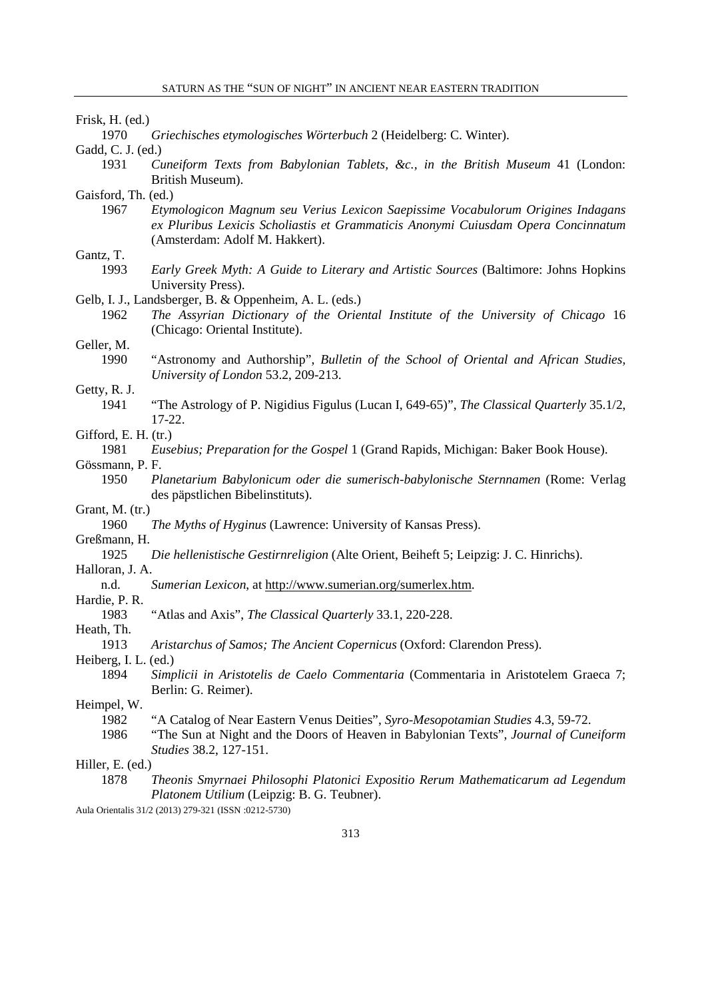1970 *Griechisches etymologisches Wörterbuch* 2 (Heidelberg: C. Winter).

Gadd, C. J. (ed.)

- 1931 *Cuneiform Texts from Babylonian Tablets, &c., in the British Museum* 41 (London: British Museum).
- Gaisford, Th. (ed.)
	- 1967 *Etymologicon Magnum seu Verius Lexicon Saepissime Vocabulorum Origines Indagans ex Pluribus Lexicis Scholiastis et Grammaticis Anonymi Cuiusdam Opera Concinnatum*  (Amsterdam: Adolf M. Hakkert).

# Gantz, T.

- 1993 *Early Greek Myth: A Guide to Literary and Artistic Sources* (Baltimore: Johns Hopkins University Press).
- Gelb, I. J., Landsberger, B. & Oppenheim, A. L. (eds.)
	- 1962 *The Assyrian Dictionary of the Oriental Institute of the University of Chicago* 16 (Chicago: Oriental Institute).

### Geller, M.

1990 "Astronomy and Authorship", *Bulletin of the School of Oriental and African Studies, University of London* 53.2, 209-213.

#### Getty, R. J.

1941 "The Astrology of P. Nigidius Figulus (Lucan I, 649-65)", *The Classical Quarterly* 35.1/2, 17-22.

### Gifford, E. H. (tr.)

1981 *Eusebius; Preparation for the Gospel* 1 (Grand Rapids, Michigan: Baker Book House).

## Gössmann, P. F.

1950 *Planetarium Babylonicum oder die sumerisch-babylonische Sternnamen* (Rome: Verlag des päpstlichen Bibelinstituts).

#### Grant, M. (tr.)

1960 *The Myths of Hyginus* (Lawrence: University of Kansas Press).

Greßmann, H.

1925 *Die hellenistische Gestirnreligion* (Alte Orient, Beiheft 5; Leipzig: J. C. Hinrichs).

## Halloran, J. A.

n.d. *Sumerian Lexicon*, at http://www.sumerian.org/sumerlex.htm.

# Hardie, P. R.

1983 "Atlas and Axis", *The Classical Quarterly* 33.1, 220-228.

# Heath, Th.

1913 *Aristarchus of Samos; The Ancient Copernicus* (Oxford: Clarendon Press).

Heiberg, I. L. (ed.)

1894 *Simplicii in Aristotelis de Caelo Commentaria* (Commentaria in Aristotelem Graeca 7; Berlin: G. Reimer).

### Heimpel, W.

- 1982 "A Catalog of Near Eastern Venus Deities", *Syro-Mesopotamian Studies* 4.3, 59-72.
- 1986 "The Sun at Night and the Doors of Heaven in Babylonian Texts", *Journal of Cuneiform Studies* 38.2, 127-151.

### Hiller, E. (ed.)

1878 *Theonis Smyrnaei Philosophi Platonici Expositio Rerum Mathematicarum ad Legendum Platonem Utilium* (Leipzig: B. G. Teubner).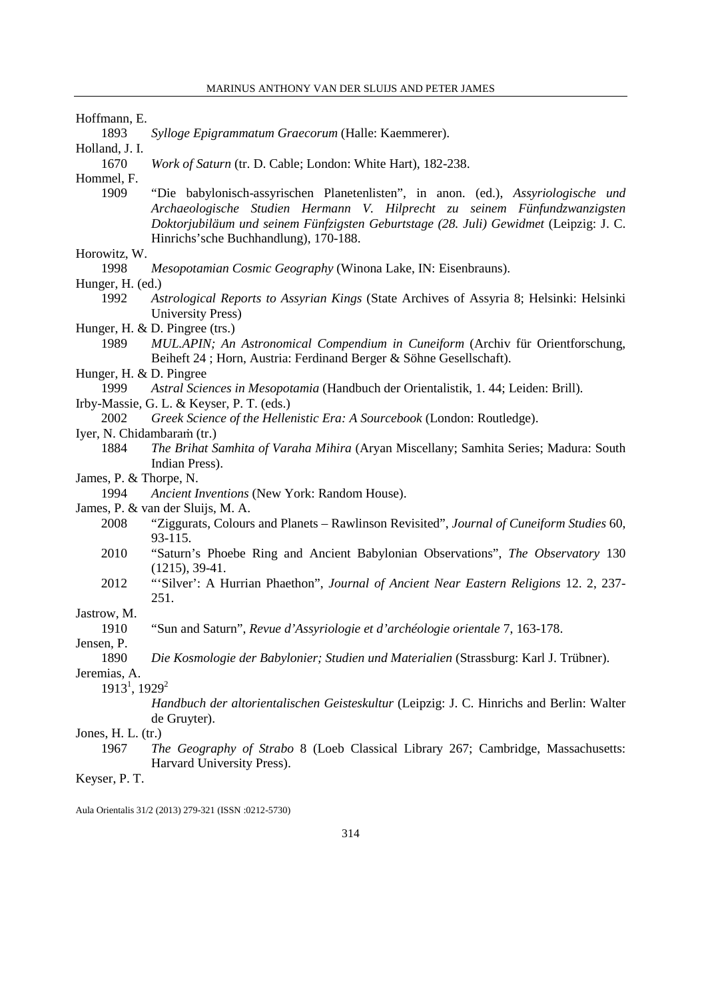| Hoffmann, E. |  |
|--------------|--|
|--------------|--|

1893 *Sylloge Epigrammatum Graecorum* (Halle: Kaemmerer).

Holland, J. I.

1670 *Work of Saturn* (tr. D. Cable; London: White Hart), 182-238.

Hommel, F.

1909 "Die babylonisch-assyrischen Planetenlisten", in anon. (ed.), *Assyriologische und Archaeologische Studien Hermann V. Hilprecht zu seinem Fünfundzwanzigsten Doktorjubiläum und seinem Fünfzigsten Geburtstage (28. Juli) Gewidmet* (Leipzig: J. C. Hinrichs'sche Buchhandlung), 170-188.

# Horowitz, W.

- 1998 *Mesopotamian Cosmic Geography* (Winona Lake, IN: Eisenbrauns).
- Hunger, H. (ed.)
	- 1992 *Astrological Reports to Assyrian Kings* (State Archives of Assyria 8; Helsinki: Helsinki University Press)
- Hunger, H. & D. Pingree (trs.)
	- 1989 *MUL.APIN; An Astronomical Compendium in Cuneiform* (Archiv für Orientforschung, Beiheft 24 ; Horn, Austria: Ferdinand Berger & Söhne Gesellschaft).
- Hunger, H. & D. Pingree
- 1999 *Astral Sciences in Mesopotamia* (Handbuch der Orientalistik, 1. 44; Leiden: Brill).
- Irby-Massie, G. L. & Keyser, P. T. (eds.)
- 2002 *Greek Science of the Hellenistic Era: A Sourcebook* (London: Routledge).
- Iyer, N. Chidambaraṁ (tr.)
	- 1884 *The Brihat Samhita of Varaha Mihira* (Aryan Miscellany; Samhita Series; Madura: South Indian Press).
- James, P. & Thorpe, N.
	- 1994 *Ancient Inventions* (New York: Random House).
- James, P. & van der Sluijs, M. A.
	- 2008 "Ziggurats, Colours and Planets Rawlinson Revisited", *Journal of Cuneiform Studies* 60, 93-115.
	- 2010 "Saturn's Phoebe Ring and Ancient Babylonian Observations", *The Observatory* 130 (1215), 39-41.
	- 2012 "'Silver': A Hurrian Phaethon", *Journal of Ancient Near Eastern Religions* 12. 2, 237- 251.

# Jastrow, M.

1910 "Sun and Saturn", *Revue d'Assyriologie et d'archéologie orientale* 7, 163-178.

Jensen, P.

1890 *Die Kosmologie der Babylonier; Studien und Materialien* (Strassburg: Karl J. Trübner).

Jeremias, A.

- 1913<sup>1</sup>, 1929<sup>2</sup>
	- *Handbuch der altorientalischen Geisteskultur* (Leipzig: J. C. Hinrichs and Berlin: Walter de Gruyter).

### Jones, H. L. (tr.)

1967 *The Geography of Strabo* 8 (Loeb Classical Library 267; Cambridge, Massachusetts: Harvard University Press).

### Keyser, P. T.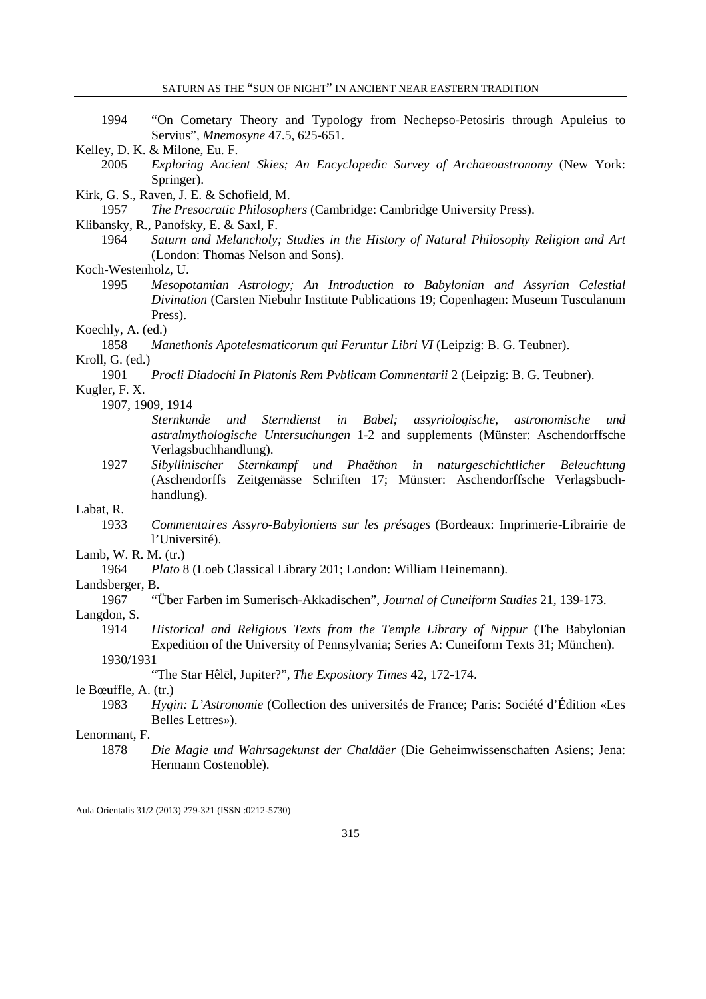- 1994 "On Cometary Theory and Typology from Nechepso-Petosiris through Apuleius to Servius", *Mnemosyne* 47.5, 625-651.
- Kelley, D. K. & Milone, Eu. F.
	- 2005 *Exploring Ancient Skies; An Encyclopedic Survey of Archaeoastronomy* (New York: Springer).
- Kirk, G. S., Raven, J. E. & Schofield, M.

1957 *The Presocratic Philosophers* (Cambridge: Cambridge University Press).

- Klibansky, R., Panofsky, E. & Saxl, F.
	- 1964 *Saturn and Melancholy; Studies in the History of Natural Philosophy Religion and Art* (London: Thomas Nelson and Sons).

Koch-Westenholz, U.

1995 *Mesopotamian Astrology; An Introduction to Babylonian and Assyrian Celestial Divination* (Carsten Niebuhr Institute Publications 19; Copenhagen: Museum Tusculanum Press).

# Koechly, A. (ed.)

- 1858 *Manethonis Apotelesmaticorum qui Feruntur Libri VI* (Leipzig: B. G. Teubner). Kroll, G. (ed.)
- 1901 *Procli Diadochi In Platonis Rem Pvblicam Commentarii* 2 (Leipzig: B. G. Teubner).
- Kugler, F. X.

1907, 1909, 1914

- *Sternkunde und Sterndienst in Babel; assyriologische, astronomische und astralmythologische Untersuchungen* 1-2 and supplements (Münster: Aschendorffsche Verlagsbuchhandlung).
- 1927 *Sibyllinischer Sternkampf und Phaëthon in naturgeschichtlicher Beleuchtung* (Aschendorffs Zeitgemässe Schriften 17; Münster: Aschendorffsche Verlagsbuchhandlung).

### Labat, R.

1933 *Commentaires Assyro-Babyloniens sur les présages* (Bordeaux: Imprimerie-Librairie de l'Université).

Lamb, W. R. M. (tr.)

1964 *Plato* 8 (Loeb Classical Library 201; London: William Heinemann).

Landsberger, B.

1967 "Über Farben im Sumerisch-Akkadischen", *Journal of Cuneiform Studies* 21, 139-173.

### Langdon, S.

1914 *Historical and Religious Texts from the Temple Library of Nippur* (The Babylonian Expedition of the University of Pennsylvania; Series A: Cuneiform Texts 31; München).

1930/1931

"The Star Hêlēl, Jupiter?", *The Expository Times* 42, 172-174.

le Bœuffle, A. (tr.)

1983 *Hygin: L'Astronomie* (Collection des universités de France; Paris: Société d'Édition «Les Belles Lettres»).

## Lenormant, F.

1878 *Die Magie und Wahrsagekunst der Chaldäer* (Die Geheimwissenschaften Asiens; Jena: Hermann Costenoble).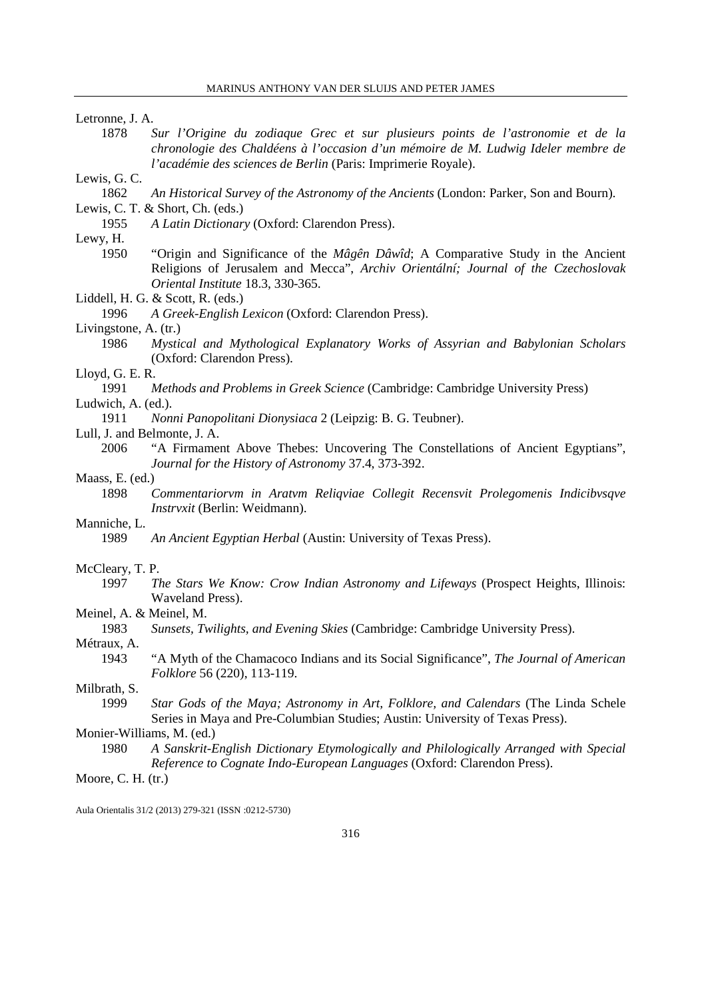Letronne, J. A.

1878 *Sur l'Origine du zodiaque Grec et sur plusieurs points de l'astronomie et de la chronologie des Chaldéens à l'occasion d'un mémoire de M. Ludwig Ideler membre de l'académie des sciences de Berlin* (Paris: Imprimerie Royale).

### Lewis, G. C.

- 1862 *An Historical Survey of the Astronomy of the Ancients* (London: Parker, Son and Bourn). Lewis, C. T. & Short, Ch. (eds.)
- 1955 *A Latin Dictionary* (Oxford: Clarendon Press).

### Lewy, H.

1950 "Origin and Significance of the *Mâgên Dâwîd*; A Comparative Study in the Ancient Religions of Jerusalem and Mecca", *Archiv Orientální; Journal of the Czechoslovak Oriental Institute* 18.3, 330-365.

### Liddell, H. G. & Scott, R. (eds.)

1996 *A Greek-English Lexicon* (Oxford: Clarendon Press).

### Livingstone, A. (tr.)

1986 *Mystical and Mythological Explanatory Works of Assyrian and Babylonian Scholars* (Oxford: Clarendon Press).

### Lloyd, G. E. R.

1991 *Methods and Problems in Greek Science* (Cambridge: Cambridge University Press)

Ludwich, A. (ed.).

- 1911 *Nonni Panopolitani Dionysiaca* 2 (Leipzig: B. G. Teubner).
- Lull, J. and Belmonte, J. A.
	- 2006 "A Firmament Above Thebes: Uncovering The Constellations of Ancient Egyptians", *Journal for the History of Astronomy* 37.4, 373-392.

### Maass, E. (ed.)

1898 *Commentariorvm in Aratvm Reliqviae Collegit Recensvit Prolegomenis Indicibvsqve Instrvxit* (Berlin: Weidmann).

## Manniche, L.

1989 *An Ancient Egyptian Herbal* (Austin: University of Texas Press).

#### McCleary, T. P.

1997 *The Stars We Know: Crow Indian Astronomy and Lifeways* (Prospect Heights, Illinois: Waveland Press).

### Meinel, A. & Meinel, M.

1983 *Sunsets, Twilights, and Evening Skies* (Cambridge: Cambridge University Press).

# Métraux, A.

1943 "A Myth of the Chamacoco Indians and its Social Significance", *The Journal of American Folklore* 56 (220), 113-119.

### Milbrath, S.

1999 *Star Gods of the Maya; Astronomy in Art, Folklore, and Calendars* (The Linda Schele Series in Maya and Pre-Columbian Studies; Austin: University of Texas Press).

### Monier-Williams, M. (ed.)

1980 *A Sanskrit-English Dictionary Etymologically and Philologically Arranged with Special Reference to Cognate Indo-European Languages* (Oxford: Clarendon Press).

# Moore, C. H. (tr.)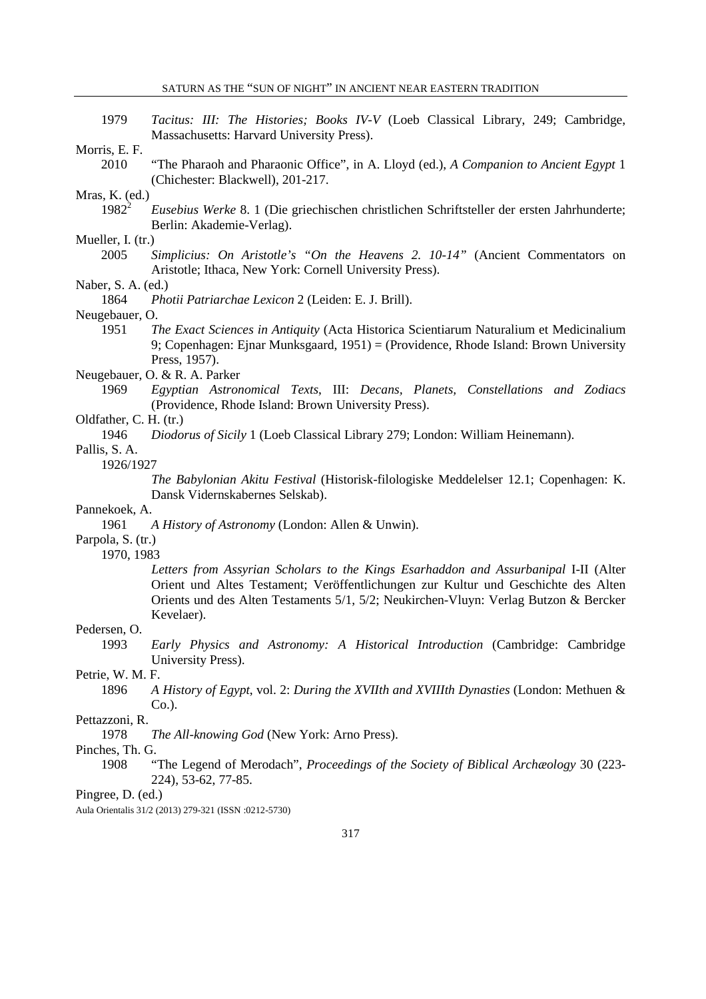| 1979                   | Tacitus: III: The Histories; Books IV-V (Loeb Classical Library, 249; Cambridge,<br>Massachusetts: Harvard University Press). |
|------------------------|-------------------------------------------------------------------------------------------------------------------------------|
| Morris, E. F.          |                                                                                                                               |
| 2010                   | "The Pharaoh and Pharaonic Office", in A. Lloyd (ed.), A Companion to Ancient Egypt 1                                         |
|                        |                                                                                                                               |
|                        | (Chichester: Blackwell), 201-217.                                                                                             |
| Mras, K. (ed.)         |                                                                                                                               |
| $1982^2$               | Eusebius Werke 8. 1 (Die griechischen christlichen Schriftsteller der ersten Jahrhunderte;                                    |
|                        |                                                                                                                               |
|                        | Berlin: Akademie-Verlag).                                                                                                     |
| Mueller, I. (tr.)      |                                                                                                                               |
| 2005                   | Simplicius: On Aristotle's "On the Heavens 2. 10-14" (Ancient Commentators on                                                 |
|                        |                                                                                                                               |
|                        | Aristotle; Ithaca, New York: Cornell University Press).                                                                       |
| Naber, S. A. (ed.)     |                                                                                                                               |
| 1864                   | Photii Patriarchae Lexicon 2 (Leiden: E. J. Brill).                                                                           |
|                        |                                                                                                                               |
| Neugebauer, O.         |                                                                                                                               |
| 1951                   | The Exact Sciences in Antiquity (Acta Historica Scientiarum Naturalium et Medicinalium                                        |
|                        | 9; Copenhagen: Ejnar Munksgaard, $1951$ ) = (Providence, Rhode Island: Brown University                                       |
|                        | Press, 1957).                                                                                                                 |
|                        |                                                                                                                               |
|                        | Neugebauer, O. & R. A. Parker                                                                                                 |
| 1969                   | Egyptian Astronomical Texts, III: Decans, Planets, Constellations and Zodiacs                                                 |
|                        | (Providence, Rhode Island: Brown University Press).                                                                           |
|                        |                                                                                                                               |
| Oldfather, C. H. (tr.) |                                                                                                                               |
| 1946                   | Diodorus of Sicily 1 (Loeb Classical Library 279; London: William Heinemann).                                                 |
| Pallis, S. A.          |                                                                                                                               |
|                        |                                                                                                                               |
| 1926/1927              |                                                                                                                               |
|                        | The Babylonian Akitu Festival (Historisk-filologiske Meddelelser 12.1; Copenhagen: K.                                         |
|                        | Dansk Vidernskabernes Selskab).                                                                                               |
|                        |                                                                                                                               |
| Pannekoek, A.          |                                                                                                                               |
| 1961                   | A History of Astronomy (London: Allen & Unwin).                                                                               |
| Parpola, S. (tr.)      |                                                                                                                               |
| 1970, 1983             |                                                                                                                               |
|                        |                                                                                                                               |
|                        | Letters from Assyrian Scholars to the Kings Esarhaddon and Assurbanipal I-II (Alter                                           |
|                        | Orient und Altes Testament; Veröffentlichungen zur Kultur und Geschichte des Alten                                            |
|                        | Orients und des Alten Testaments 5/1, 5/2; Neukirchen-Vluyn: Verlag Butzon & Bercker                                          |
|                        |                                                                                                                               |
|                        | Kevelaer).                                                                                                                    |
| Pedersen, O.           |                                                                                                                               |
| 1993                   | Early Physics and Astronomy: A Historical Introduction (Cambridge: Cambridge                                                  |
|                        | University Press).                                                                                                            |
|                        |                                                                                                                               |
| Petrie, W. M. F.       |                                                                                                                               |
| 1896                   | A History of Egypt, vol. 2: During the XVIIth and XVIIIth Dynasties (London: Methuen &                                        |
|                        | $Co.$ ).                                                                                                                      |
|                        |                                                                                                                               |
| Pettazzoni, R.         |                                                                                                                               |
| 1978                   | The All-knowing God (New York: Arno Press).                                                                                   |
| Pinches, Th. G.        |                                                                                                                               |
| 1908                   |                                                                                                                               |
|                        | "The Legend of Merodach", Proceedings of the Society of Biblical Archaeology 30 (223-                                         |
|                        | 224), 53-62, 77-85.                                                                                                           |
| Pingree, D. (ed.)      |                                                                                                                               |
|                        | Aula Orientalis 31/2 (2013) 279-321 (ISSN :0212-5730)                                                                         |
|                        |                                                                                                                               |
|                        | 217                                                                                                                           |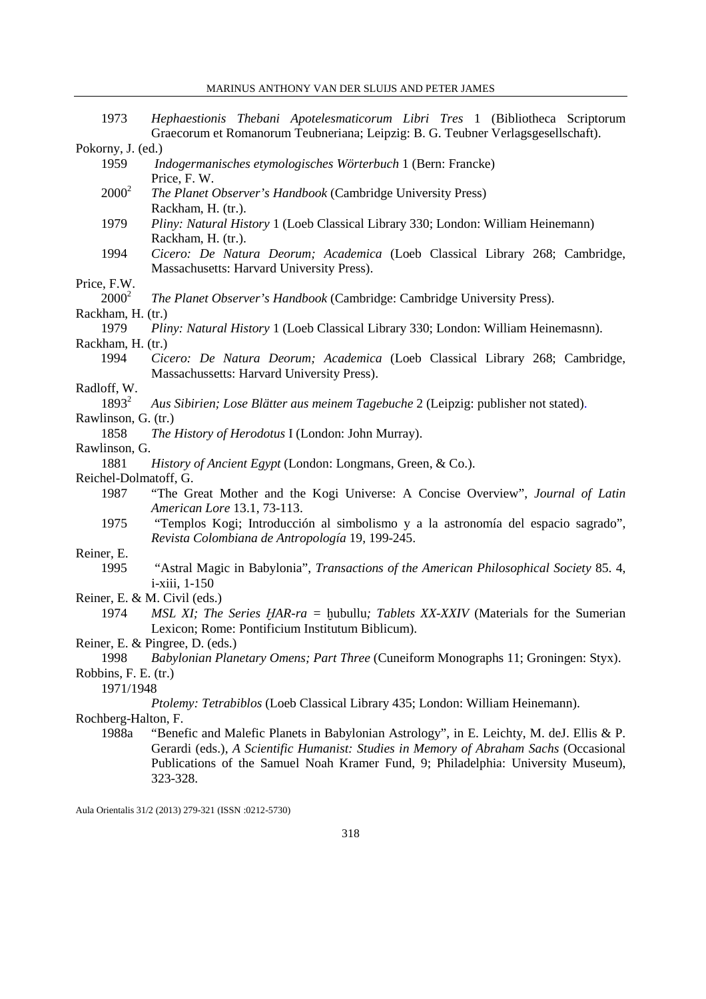| 1973                  | Hephaestionis Thebani Apotelesmaticorum Libri Tres 1 (Bibliotheca Scriptorum<br>Graecorum et Romanorum Teubneriana; Leipzig: B. G. Teubner Verlagsgesellschaft). |
|-----------------------|------------------------------------------------------------------------------------------------------------------------------------------------------------------|
| Pokorny, J. (ed.)     |                                                                                                                                                                  |
| 1959                  | Indogermanisches etymologisches Wörterbuch 1 (Bern: Francke)<br>Price, F. W.                                                                                     |
| $2000^2$              | The Planet Observer's Handbook (Cambridge University Press)<br>Rackham, H. (tr.).                                                                                |
| 1979                  | Pliny: Natural History 1 (Loeb Classical Library 330; London: William Heinemann)<br>Rackham, H. (tr.).                                                           |
| 1994                  | Cicero: De Natura Deorum; Academica (Loeb Classical Library 268; Cambridge,<br>Massachusetts: Harvard University Press).                                         |
| Price, F.W.           |                                                                                                                                                                  |
| $2000^2$              | The Planet Observer's Handbook (Cambridge: Cambridge University Press).                                                                                          |
| Rackham, H. (tr.)     |                                                                                                                                                                  |
| 1979                  | Pliny: Natural History 1 (Loeb Classical Library 330; London: William Heinemasnn).                                                                               |
| Rackham, H. (tr.)     |                                                                                                                                                                  |
| 1994                  | Cicero: De Natura Deorum; Academica (Loeb Classical Library 268; Cambridge,                                                                                      |
|                       | Massachussetts: Harvard University Press).                                                                                                                       |
| Radloff, W.           |                                                                                                                                                                  |
| $1893^2$              | Aus Sibirien; Lose Blätter aus meinem Tagebuche 2 (Leipzig: publisher not stated).                                                                               |
| Rawlinson, G. (tr.)   |                                                                                                                                                                  |
| 1858                  | The History of Herodotus I (London: John Murray).                                                                                                                |
| Rawlinson, G.         |                                                                                                                                                                  |
| 1881                  | History of Ancient Egypt (London: Longmans, Green, & Co.).                                                                                                       |
| Reichel-Dolmatoff, G. |                                                                                                                                                                  |
| 1987                  | "The Great Mother and the Kogi Universe: A Concise Overview", Journal of Latin                                                                                   |
|                       | American Lore 13.1, 73-113.                                                                                                                                      |
| 1975                  | "Templos Kogi; Introducción al simbolismo y a la astronomía del espacio sagrado",                                                                                |
|                       | Revista Colombiana de Antropología 19, 199-245.                                                                                                                  |
| Reiner, E.            |                                                                                                                                                                  |
| 1995                  | "Astral Magic in Babylonia", Transactions of the American Philosophical Society 85. 4,                                                                           |
|                       | i-xiii, 1-150                                                                                                                                                    |
|                       | Reiner, E. & M. Civil (eds.)                                                                                                                                     |
| 1974                  | MSL XI; The Series HAR-ra = hubullu; Tablets XX-XXIV (Materials for the Sumerian<br>Lexicon; Rome: Pontificium Institutum Biblicum).                             |
|                       | Reiner, E. & Pingree, D. (eds.)                                                                                                                                  |
| 1998                  | Babylonian Planetary Omens; Part Three (Cuneiform Monographs 11; Groningen: Styx).                                                                               |
| Robbins, F. E. (tr.)  |                                                                                                                                                                  |
| 1971/1948             |                                                                                                                                                                  |
|                       | Ptolemy: Tetrabiblos (Loeb Classical Library 435; London: William Heinemann).                                                                                    |
| Rochberg-Halton, F.   |                                                                                                                                                                  |
| 1988a                 | "Benefic and Malefic Planets in Babylonian Astrology", in E. Leichty, M. deJ. Ellis & P.                                                                         |
|                       | Gerardi (eds.), A Scientific Humanist: Studies in Memory of Abraham Sachs (Occasional                                                                            |
|                       | Publications of the Samuel Noah Kramer Fund, 9; Philadelphia: University Museum),                                                                                |
|                       | 323-328.                                                                                                                                                         |
|                       |                                                                                                                                                                  |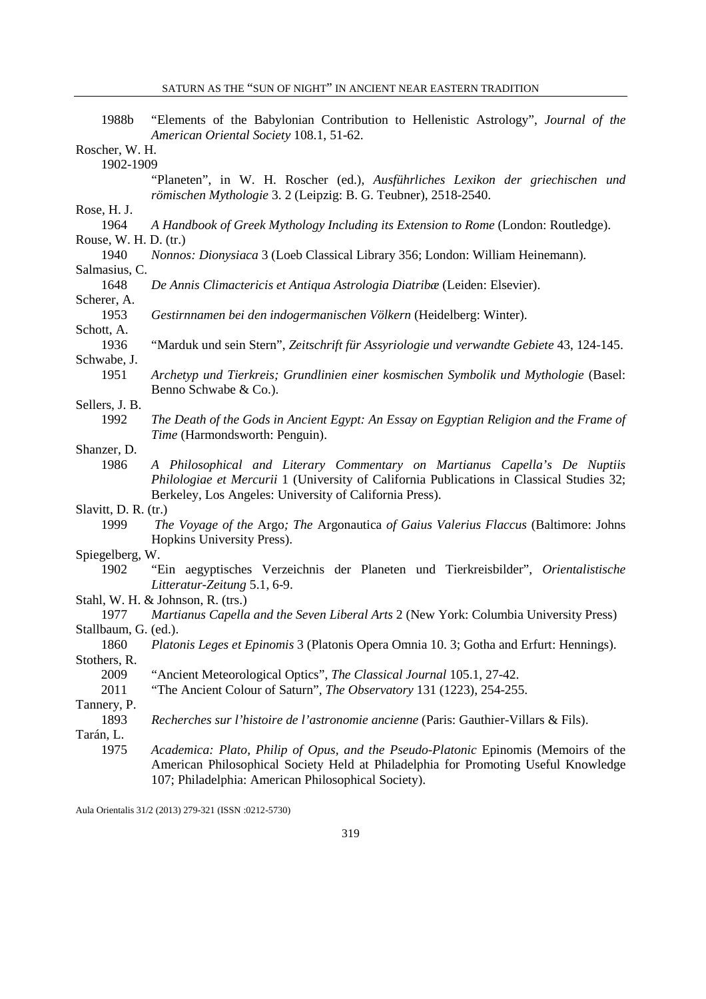| 1988b                 | "Elements of the Babylonian Contribution to Hellenistic Astrology", Journal of the<br>American Oriental Society 108.1, 51-62.                                                                                                     |
|-----------------------|-----------------------------------------------------------------------------------------------------------------------------------------------------------------------------------------------------------------------------------|
| Roscher, W. H.        |                                                                                                                                                                                                                                   |
| 1902-1909             |                                                                                                                                                                                                                                   |
|                       | "Planeten", in W. H. Roscher (ed.), Ausführliches Lexikon der griechischen und<br>römischen Mythologie 3. 2 (Leipzig: B. G. Teubner), 2518-2540.                                                                                  |
| Rose, H. J.           |                                                                                                                                                                                                                                   |
| 1964                  | A Handbook of Greek Mythology Including its Extension to Rome (London: Routledge).                                                                                                                                                |
| Rouse, W. H. D. (tr.) |                                                                                                                                                                                                                                   |
| 1940                  | Nonnos: Dionysiaca 3 (Loeb Classical Library 356; London: William Heinemann).                                                                                                                                                     |
| Salmasius, C.         |                                                                                                                                                                                                                                   |
| 1648                  | De Annis Climactericis et Antiqua Astrologia Diatribæ (Leiden: Elsevier).                                                                                                                                                         |
| Scherer, A.           |                                                                                                                                                                                                                                   |
| 1953                  | Gestirnnamen bei den indogermanischen Völkern (Heidelberg: Winter).                                                                                                                                                               |
| Schott, A.            |                                                                                                                                                                                                                                   |
| 1936                  | "Marduk und sein Stern", Zeitschrift für Assyriologie und verwandte Gebiete 43, 124-145.                                                                                                                                          |
| Schwabe, J.           |                                                                                                                                                                                                                                   |
| 1951                  | Archetyp und Tierkreis; Grundlinien einer kosmischen Symbolik und Mythologie (Basel:<br>Benno Schwabe & Co.).                                                                                                                     |
| Sellers, J. B.        |                                                                                                                                                                                                                                   |
| 1992                  | The Death of the Gods in Ancient Egypt: An Essay on Egyptian Religion and the Frame of<br>Time (Harmondsworth: Penguin).                                                                                                          |
| Shanzer, D.           |                                                                                                                                                                                                                                   |
| 1986                  | A Philosophical and Literary Commentary on Martianus Capella's De Nuptiis<br>Philologiae et Mercurii 1 (University of California Publications in Classical Studies 32;<br>Berkeley, Los Angeles: University of California Press). |
| Slavitt, D. R. (tr.)  |                                                                                                                                                                                                                                   |
| 1999                  | The Voyage of the Argo; The Argonautica of Gaius Valerius Flaccus (Baltimore: Johns<br>Hopkins University Press).                                                                                                                 |
| Spiegelberg, W.       |                                                                                                                                                                                                                                   |
| 1902                  | "Ein aegyptisches Verzeichnis der Planeten und Tierkreisbilder", Orientalistische<br>Litteratur-Zeitung 5.1, 6-9.                                                                                                                 |
|                       | Stahl, W. H. & Johnson, R. (trs.)                                                                                                                                                                                                 |
| 1977                  | Martianus Capella and the Seven Liberal Arts 2 (New York: Columbia University Press)                                                                                                                                              |
| Stallbaum, G. (ed.).  |                                                                                                                                                                                                                                   |
| 1860                  | Platonis Leges et Epinomis 3 (Platonis Opera Omnia 10. 3; Gotha and Erfurt: Hennings).                                                                                                                                            |
| Stothers, R.          |                                                                                                                                                                                                                                   |
| 2009                  | "Ancient Meteorological Optics", The Classical Journal 105.1, 27-42.                                                                                                                                                              |
| 2011                  | "The Ancient Colour of Saturn", The Observatory 131 (1223), 254-255.                                                                                                                                                              |
| Tannery, P.           |                                                                                                                                                                                                                                   |
| 1893                  | Recherches sur l'histoire de l'astronomie ancienne (Paris: Gauthier-Villars & Fils).                                                                                                                                              |
| Tarán, L.             |                                                                                                                                                                                                                                   |
| 1975                  | Academica: Plato, Philip of Opus, and the Pseudo-Platonic Epinomis (Memoirs of the<br>American Philosophical Society Held at Philadelphia for Promoting Useful Knowledge<br>107; Philadelphia: American Philosophical Society).   |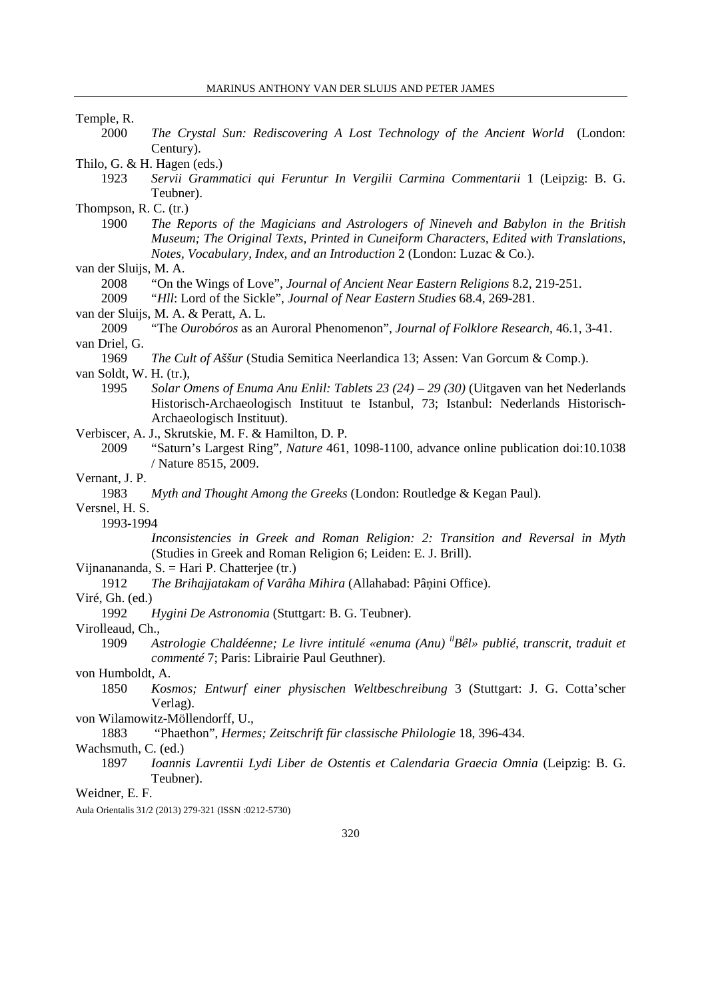$\overline{\phantom{a}}$ 

| Temple, R.                                                                                                     |
|----------------------------------------------------------------------------------------------------------------|
| 2000<br>The Crystal Sun: Rediscovering A Lost Technology of the Ancient World (London:                         |
| Century).                                                                                                      |
| Thilo, G. & H. Hagen (eds.)                                                                                    |
| 1923<br>Servii Grammatici qui Feruntur In Vergilii Carmina Commentarii 1 (Leipzig: B. G.                       |
| Teubner).                                                                                                      |
| Thompson, R. C. (tr.)                                                                                          |
| 1900<br>The Reports of the Magicians and Astrologers of Nineveh and Babylon in the British                     |
| Museum; The Original Texts, Printed in Cuneiform Characters, Edited with Translations,                         |
| Notes, Vocabulary, Index, and an Introduction 2 (London: Luzac & Co.).                                         |
| van der Sluijs, M. A.                                                                                          |
| 2008<br>"On the Wings of Love", Journal of Ancient Near Eastern Religions 8.2, 219-251.                        |
| 2009<br>"Hll: Lord of the Sickle", Journal of Near Eastern Studies 68.4, 269-281.                              |
| van der Sluijs, M. A. & Peratt, A. L.                                                                          |
| 2009<br>"The Ourobóros as an Auroral Phenomenon", Journal of Folklore Research, 46.1, 3-41.                    |
| van Driel, G.                                                                                                  |
| 1969<br>The Cult of Aššur (Studia Semitica Neerlandica 13; Assen: Van Gorcum & Comp.).                         |
| van Soldt, W. H. (tr.),                                                                                        |
| 1995<br>Solar Omens of Enuma Anu Enlil: Tablets $23(24) - 29(30)$ (Uitgaven van het Nederlands                 |
| Historisch-Archaeologisch Instituut te Istanbul, 73; Istanbul: Nederlands Historisch-                          |
| Archaeologisch Instituut).                                                                                     |
| Verbiscer, A. J., Skrutskie, M. F. & Hamilton, D. P.                                                           |
| "Saturn's Largest Ring", <i>Nature</i> 461, 1098-1100, advance online publication doi:10.1038<br>2009          |
| / Nature 8515, 2009.                                                                                           |
| Vernant, J. P.<br>1983                                                                                         |
| Myth and Thought Among the Greeks (London: Routledge & Kegan Paul).<br>Versnel, H. S.                          |
| 1993-1994                                                                                                      |
| Inconsistencies in Greek and Roman Religion: 2: Transition and Reversal in Myth                                |
| (Studies in Greek and Roman Religion 6; Leiden: E. J. Brill).                                                  |
| Vijnanananda, $S = Hari P$ . Chatterjee (tr.)                                                                  |
| The Brihajjatakam of Varâha Mihira (Allahabad: Pâņini Office).<br>1912                                         |
| Viré, Gh. (ed.)                                                                                                |
| 1992<br>Hygini De Astronomia (Stuttgart: B. G. Teubner).                                                       |
| Virolleaud, Ch.,                                                                                               |
| Astrologie Chaldéenne; Le livre intitulé «enuma (Anu) <sup>il</sup> Bêl» publié, transcrit, traduit et<br>1909 |
| commenté 7; Paris: Librairie Paul Geuthner).                                                                   |
| von Humboldt, A.                                                                                               |
| 1850<br>Kosmos; Entwurf einer physischen Weltbeschreibung 3 (Stuttgart: J. G. Cotta'scher                      |
| Verlag).                                                                                                       |
| von Wilamowitz-Möllendorff, U.,                                                                                |
| "Phaethon", Hermes; Zeitschrift für classische Philologie 18, 396-434.<br>1883                                 |
| Wachsmuth, C. (ed.)                                                                                            |
| Ioannis Lavrentii Lydi Liber de Ostentis et Calendaria Graecia Omnia (Leipzig: B. G.<br>1897                   |
| Teubner).                                                                                                      |
| Weidner, E. F.                                                                                                 |
| Aula Orientalis 31/2 (2013) 279-321 (ISSN :0212-5730)                                                          |
|                                                                                                                |